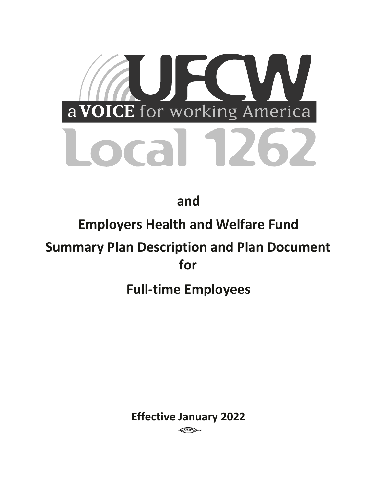

**and** 

## **Employers Health and Welfare Fund**

# **Summary Plan Description and Plan Document for**

## **Full-time Employees**

**Effective January 2022** 

CGCC/IBTO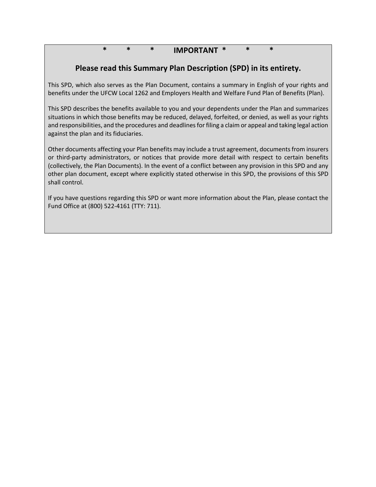## **\* \* \* IMPORTANT \* \* \***

## **Please read this Summary Plan Description (SPD) in its entirety.**

This SPD, which also serves as the Plan Document, contains a summary in English of your rights and benefits under the UFCW Local 1262 and Employers Health and Welfare Fund Plan of Benefits (Plan).

This SPD describes the benefits available to you and your dependents under the Plan and summarizes situations in which those benefits may be reduced, delayed, forfeited, or denied, as well as your rights and responsibilities, and the procedures and deadlines for filing a claim or appeal and taking legal action against the plan and its fiduciaries.

Other documents affecting your Plan benefits may include a trust agreement, documents from insurers or third-party administrators, or notices that provide more detail with respect to certain benefits (collectively, the Plan Documents). In the event of a conflict between any provision in this SPD and any other plan document, except where explicitly stated otherwise in this SPD, the provisions of this SPD shall control.

If you have questions regarding this SPD or want more information about the Plan, please contact the Fund Office at (800) 522-4161 (TTY: 711).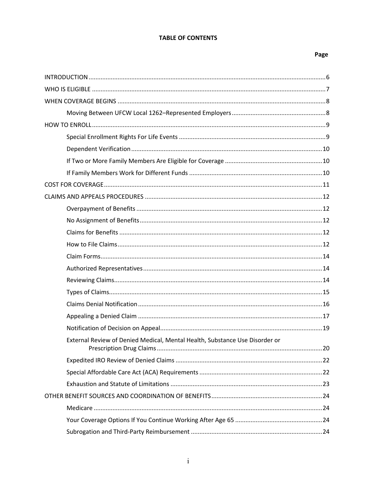#### **TABLE OF CONTENTS**

| External Review of Denied Medical, Mental Health, Substance Use Disorder or |  |
|-----------------------------------------------------------------------------|--|
|                                                                             |  |
|                                                                             |  |
|                                                                             |  |
|                                                                             |  |
|                                                                             |  |
|                                                                             |  |
|                                                                             |  |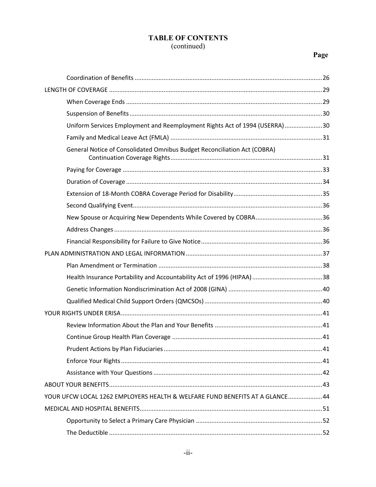| Uniform Services Employment and Reemployment Rights Act of 1994 (USERRA)30  |  |
|-----------------------------------------------------------------------------|--|
|                                                                             |  |
| General Notice of Consolidated Omnibus Budget Reconciliation Act (COBRA)    |  |
|                                                                             |  |
|                                                                             |  |
|                                                                             |  |
|                                                                             |  |
|                                                                             |  |
|                                                                             |  |
|                                                                             |  |
|                                                                             |  |
|                                                                             |  |
|                                                                             |  |
|                                                                             |  |
|                                                                             |  |
|                                                                             |  |
|                                                                             |  |
|                                                                             |  |
|                                                                             |  |
|                                                                             |  |
|                                                                             |  |
|                                                                             |  |
| YOUR UFCW LOCAL 1262 EMPLOYERS HEALTH & WELFARE FUND BENEFITS AT A GLANCE44 |  |
|                                                                             |  |
|                                                                             |  |
|                                                                             |  |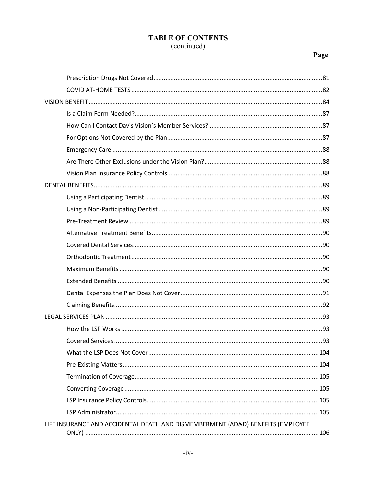| LIFE INSURANCE AND ACCIDENTAL DEATH AND DISMEMBERMENT (AD&D) BENEFITS (EMPLOYEE |  |
|---------------------------------------------------------------------------------|--|
|                                                                                 |  |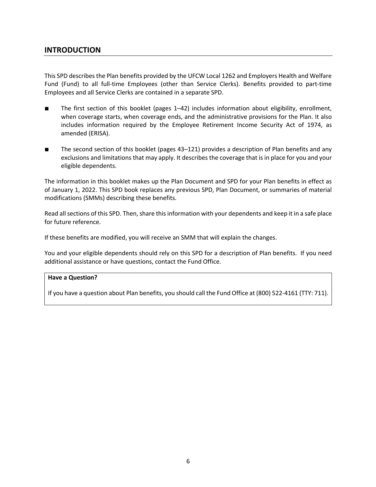### **INTRODUCTION**

This SPD describes the Plan benefits provided by the UFCW Local 1262 and Employers Health and Welfare Fund (Fund) to all full-time Employees (other than Service Clerks). Benefits provided to part-time Employees and all Service Clerks are contained in a separate SPD.

- The first section of this booklet (pages 1–42) includes information about eligibility, enrollment, when coverage starts, when coverage ends, and the administrative provisions for the Plan. It also includes information required by the Employee Retirement Income Security Act of 1974, as amended (ERISA).
- The second section of this booklet (pages 43–121) provides a description of Plan benefits and any exclusions and limitations that may apply. It describes the coverage that is in place for you and your eligible dependents.

The information in this booklet makes up the Plan Document and SPD for your Plan benefits in effect as of January 1, 2022. This SPD book replaces any previous SPD, Plan Document, or summaries of material modifications (SMMs) describing these benefits.

Read all sections of this SPD. Then, share this information with your dependents and keep it in a safe place for future reference.

If these benefits are modified, you will receive an SMM that will explain the changes.

You and your eligible dependents should rely on this SPD for a description of Plan benefits. If you need additional assistance or have questions, contact the Fund Office.

#### **Have a Question?**

If you have a question about Plan benefits, you should call the Fund Office at (800) 522-4161 (TTY: 711).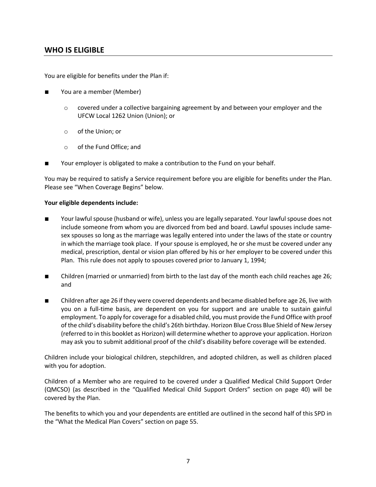### **WHO IS ELIGIBLE**

You are eligible for benefits under the Plan if:

- You are a member (Member)
	- $\circ$  covered under a collective bargaining agreement by and between your employer and the UFCW Local 1262 Union (Union); or
	- o of the Union; or
	- o of the Fund Office; and
- Your employer is obligated to make a contribution to the Fund on your behalf.

You may be required to satisfy a Service requirement before you are eligible for benefits under the Plan. Please see "When Coverage Begins" below.

#### **Your eligible dependents include:**

- Your lawful spouse (husband or wife), unless you are legally separated. Your lawful spouse does not include someone from whom you are divorced from bed and board. Lawful spouses include samesex spouses so long as the marriage was legally entered into under the laws of the state or country in which the marriage took place. If your spouse is employed, he or she must be covered under any medical, prescription, dental or vision plan offered by his or her employer to be covered under this Plan. This rule does not apply to spouses covered prior to January 1, 1994;
- Children (married or unmarried) from birth to the last day of the month each child reaches age 26; and
- Children after age 26 if they were covered dependents and became disabled before age 26, live with you on a full-time basis, are dependent on you for support and are unable to sustain gainful employment. To apply for coverage for a disabled child, you must provide the Fund Office with proof of the child's disability before the child's 26th birthday. Horizon Blue Cross Blue Shield of New Jersey (referred to in this booklet as Horizon) will determine whether to approve your application. Horizon may ask you to submit additional proof of the child's disability before coverage will be extended.

Children include your biological children, stepchildren, and adopted children, as well as children placed with you for adoption.

Children of a Member who are required to be covered under a Qualified Medical Child Support Order (QMCSO) (as described in the "Qualified Medical Child Support Orders" section on page 40) will be covered by the Plan.

The benefits to which you and your dependents are entitled are outlined in the second half of this SPD in the "What the Medical Plan Covers" section on page 55.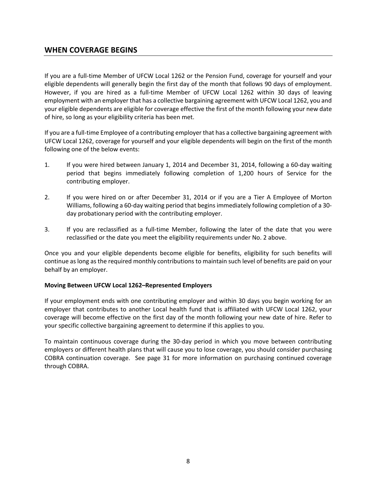### **WHEN COVERAGE BEGINS**

If you are a full-time Member of UFCW Local 1262 or the Pension Fund, coverage for yourself and your eligible dependents will generally begin the first day of the month that follows 90 days of employment. However, if you are hired as a full-time Member of UFCW Local 1262 within 30 days of leaving employment with an employer that has a collective bargaining agreement with UFCW Local 1262, you and your eligible dependents are eligible for coverage effective the first of the month following your new date of hire, so long as your eligibility criteria has been met.

If you are a full-time Employee of a contributing employer that has a collective bargaining agreement with UFCW Local 1262, coverage for yourself and your eligible dependents will begin on the first of the month following one of the below events:

- 1. If you were hired between January 1, 2014 and December 31, 2014, following a 60-day waiting period that begins immediately following completion of 1,200 hours of Service for the contributing employer.
- 2. If you were hired on or after December 31, 2014 or if you are a Tier A Employee of Morton Williams, following a 60-day waiting period that begins immediately following completion of a 30 day probationary period with the contributing employer.
- 3. If you are reclassified as a full-time Member, following the later of the date that you were reclassified or the date you meet the eligibility requirements under No. 2 above.

Once you and your eligible dependents become eligible for benefits, eligibility for such benefits will continue as long as the required monthly contributions to maintain such level of benefits are paid on your behalf by an employer.

#### **Moving Between UFCW Local 1262–Represented Employers**

If your employment ends with one contributing employer and within 30 days you begin working for an employer that contributes to another Local health fund that is affiliated with UFCW Local 1262, your coverage will become effective on the first day of the month following your new date of hire. Refer to your specific collective bargaining agreement to determine if this applies to you.

To maintain continuous coverage during the 30-day period in which you move between contributing employers or different health plans that will cause you to lose coverage, you should consider purchasing COBRA continuation coverage. See page 31 for more information on purchasing continued coverage through COBRA.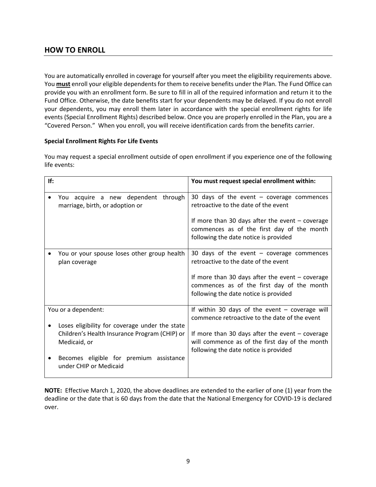## **HOW TO ENROLL**

You are automatically enrolled in coverage for yourself after you meet the eligibility requirements above. You **must** enroll your eligible dependents for them to receive benefits under the Plan. The Fund Office can provide you with an enrollment form. Be sure to fill in all of the required information and return it to the Fund Office. Otherwise, the date benefits start for your dependents may be delayed. If you do not enroll your dependents, you may enroll them later in accordance with the special enrollment rights for life events (Special Enrollment Rights) described below. Once you are properly enrolled in the Plan, you are a "Covered Person." When you enroll, you will receive identification cards from the benefits carrier.

#### **Special Enrollment Rights For Life Events**

You may request a special enrollment outside of open enrollment if you experience one of the following life events:

| If:                                                                                                             | You must request special enrollment within:                                                                                                  |
|-----------------------------------------------------------------------------------------------------------------|----------------------------------------------------------------------------------------------------------------------------------------------|
| You acquire a new dependent through<br>marriage, birth, or adoption or                                          | 30 days of the event $-$ coverage commences<br>retroactive to the date of the event                                                          |
|                                                                                                                 | If more than 30 days after the event $-$ coverage<br>commences as of the first day of the month<br>following the date notice is provided     |
| You or your spouse loses other group health<br>plan coverage                                                    | 30 days of the event $-$ coverage commences<br>retroactive to the date of the event                                                          |
|                                                                                                                 | If more than 30 days after the event $-$ coverage<br>commences as of the first day of the month<br>following the date notice is provided     |
| You or a dependent:                                                                                             | If within 30 days of the event $-$ coverage will<br>commence retroactive to the date of the event                                            |
| Loses eligibility for coverage under the state<br>Children's Health Insurance Program (CHIP) or<br>Medicaid, or | If more than 30 days after the event $-$ coverage<br>will commence as of the first day of the month<br>following the date notice is provided |
| Becomes eligible for premium assistance<br>under CHIP or Medicaid                                               |                                                                                                                                              |

**NOTE:** Effective March 1, 2020, the above deadlines are extended to the earlier of one (1) year from the deadline or the date that is 60 days from the date that the National Emergency for COVID-19 is declared over.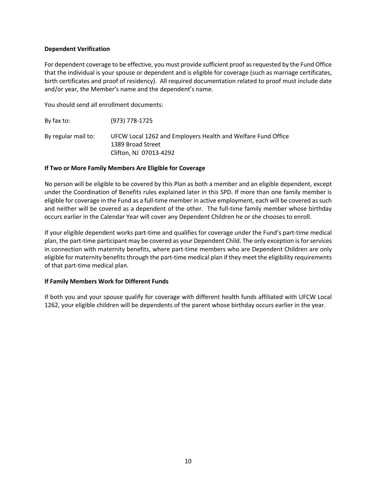#### **Dependent Verification**

For dependent coverage to be effective, you must provide sufficient proof as requested by the Fund Office that the individual is your spouse or dependent and is eligible for coverage (such as marriage certificates, birth certificates and proof of residency). All required documentation related to proof must include date and/or year, the Member's name and the dependent's name.

You should send all enrollment documents:

By fax to: (973) 778-1725 By regular mail to: UFCW Local 1262 and Employers Health and Welfare Fund Office 1389 Broad Street Clifton, NJ 07013-4292

#### **If Two or More Family Members Are Eligible for Coverage**

No person will be eligible to be covered by this Plan as both a member and an eligible dependent, except under the Coordination of Benefits rules explained later in this SPD. If more than one family member is eligible for coverage in the Fund as a full-time member in active employment, each will be covered as such and neither will be covered as a dependent of the other. The full-time family member whose birthday occurs earlier in the Calendar Year will cover any Dependent Children he or she chooses to enroll.

If your eligible dependent works part-time and qualifies for coverage under the Fund's part-time medical plan, the part-time participant may be covered as your Dependent Child. The only exception is for services in connection with maternity benefits, where part-time members who are Dependent Children are only eligible for maternity benefits through the part-time medical plan if they meet the eligibility requirements of that part-time medical plan.

#### **If Family Members Work for Different Funds**

If both you and your spouse qualify for coverage with different health funds affiliated with UFCW Local 1262, your eligible children will be dependents of the parent whose birthday occurs earlier in the year.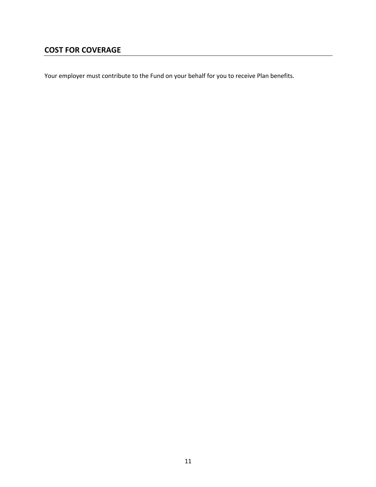## **COST FOR COVERAGE**

Your employer must contribute to the Fund on your behalf for you to receive Plan benefits.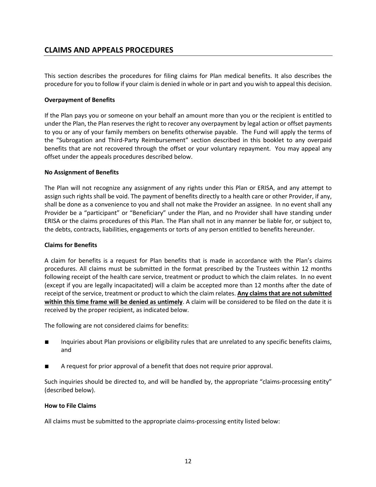## **CLAIMS AND APPEALS PROCEDURES**

This section describes the procedures for filing claims for Plan medical benefits. It also describes the procedure for you to follow if your claim is denied in whole or in part and you wish to appeal this decision.

#### **Overpayment of Benefits**

If the Plan pays you or someone on your behalf an amount more than you or the recipient is entitled to under the Plan, the Plan reserves the right to recover any overpayment by legal action or offset payments to you or any of your family members on benefits otherwise payable. The Fund will apply the terms of the "Subrogation and Third-Party Reimbursement" section described in this booklet to any overpaid benefits that are not recovered through the offset or your voluntary repayment. You may appeal any offset under the appeals procedures described below.

#### **No Assignment of Benefits**

The Plan will not recognize any assignment of any rights under this Plan or ERISA, and any attempt to assign such rights shall be void. The payment of benefits directly to a health care or other Provider, if any, shall be done as a convenience to you and shall not make the Provider an assignee. In no event shall any Provider be a "participant" or "Beneficiary" under the Plan, and no Provider shall have standing under ERISA or the claims procedures of this Plan. The Plan shall not in any manner be liable for, or subject to, the debts, contracts, liabilities, engagements or torts of any person entitled to benefits hereunder.

#### **Claims for Benefits**

A claim for benefits is a request for Plan benefits that is made in accordance with the Plan's claims procedures. All claims must be submitted in the format prescribed by the Trustees within 12 months following receipt of the health care service, treatment or product to which the claim relates. In no event (except if you are legally incapacitated) will a claim be accepted more than 12 months after the date of receipt of the service, treatment or product to which the claim relates. **Any claims that are not submitted within this time frame will be denied as untimely**. A claim will be considered to be filed on the date it is received by the proper recipient, as indicated below.

The following are not considered claims for benefits:

- Inquiries about Plan provisions or eligibility rules that are unrelated to any specific benefits claims, and
- A request for prior approval of a benefit that does not require prior approval.

Such inquiries should be directed to, and will be handled by, the appropriate "claims-processing entity" (described below).

#### **How to File Claims**

All claims must be submitted to the appropriate claims-processing entity listed below: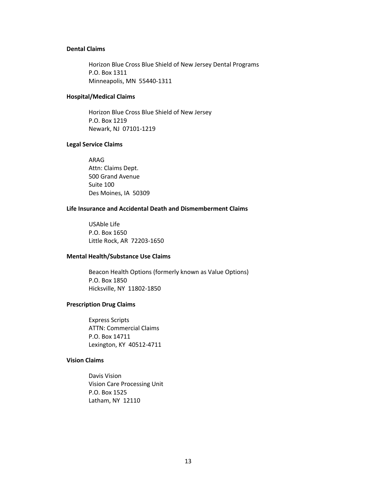#### **Dental Claims**

Horizon Blue Cross Blue Shield of New Jersey Dental Programs P.O. Box 1311 Minneapolis, MN 55440-1311

#### **Hospital/Medical Claims**

Horizon Blue Cross Blue Shield of New Jersey P.O. Box 1219 Newark, NJ 07101-1219

#### **Legal Service Claims**

ARAG Attn: Claims Dept. 500 Grand Avenue Suite 100 Des Moines, IA 50309

#### **Life Insurance and Accidental Death and Dismemberment Claims**

USAble Life P.O. Box 1650 Little Rock, AR 72203-1650

#### **Mental Health/Substance Use Claims**

Beacon Health Options (formerly known as Value Options) P.O. Box 1850 Hicksville, NY 11802-1850

#### **Prescription Drug Claims**

Express Scripts ATTN: Commercial Claims P.O. Box 14711 Lexington, KY 40512-4711

#### **Vision Claims**

Davis Vision Vision Care Processing Unit P.O. Box 1525 Latham, NY 12110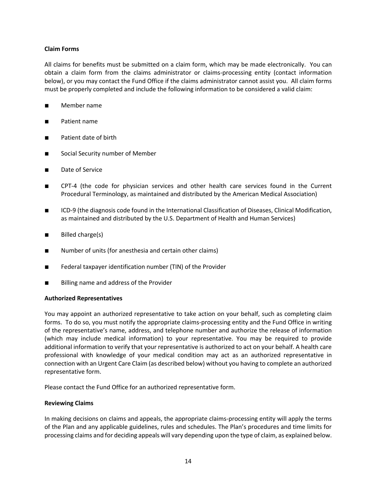#### **Claim Forms**

All claims for benefits must be submitted on a claim form, which may be made electronically. You can obtain a claim form from the claims administrator or claims-processing entity (contact information below), or you may contact the Fund Office if the claims administrator cannot assist you. All claim forms must be properly completed and include the following information to be considered a valid claim:

- Member name
- Patient name
- Patient date of birth
- Social Security number of Member
- Date of Service
- CPT-4 (the code for physician services and other health care services found in the Current Procedural Terminology, as maintained and distributed by the American Medical Association)
- ICD-9 (the diagnosis code found in the International Classification of Diseases, Clinical Modification, as maintained and distributed by the U.S. Department of Health and Human Services)
- Billed charge(s)
- Number of units (for anesthesia and certain other claims)
- Federal taxpayer identification number (TIN) of the Provider
- Billing name and address of the Provider

#### **Authorized Representatives**

You may appoint an authorized representative to take action on your behalf, such as completing claim forms. To do so, you must notify the appropriate claims-processing entity and the Fund Office in writing of the representative's name, address, and telephone number and authorize the release of information (which may include medical information) to your representative. You may be required to provide additional information to verify that your representative is authorized to act on your behalf. A health care professional with knowledge of your medical condition may act as an authorized representative in connection with an Urgent Care Claim (as described below) without you having to complete an authorized representative form.

Please contact the Fund Office for an authorized representative form.

#### **Reviewing Claims**

In making decisions on claims and appeals, the appropriate claims-processing entity will apply the terms of the Plan and any applicable guidelines, rules and schedules. The Plan's procedures and time limits for processing claims and for deciding appeals will vary depending upon the type of claim, as explained below.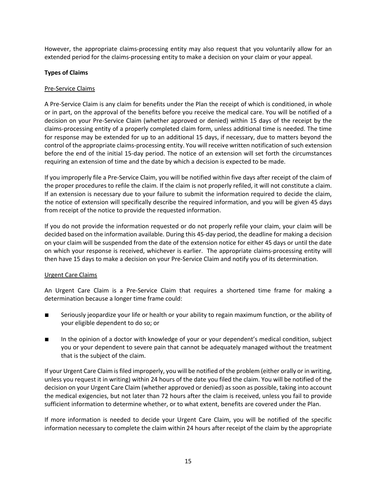However, the appropriate claims-processing entity may also request that you voluntarily allow for an extended period for the claims-processing entity to make a decision on your claim or your appeal.

#### **Types of Claims**

#### Pre-Service Claims

A Pre-Service Claim is any claim for benefits under the Plan the receipt of which is conditioned, in whole or in part, on the approval of the benefits before you receive the medical care. You will be notified of a decision on your Pre-Service Claim (whether approved or denied) within 15 days of the receipt by the claims-processing entity of a properly completed claim form, unless additional time is needed. The time for response may be extended for up to an additional 15 days, if necessary, due to matters beyond the control of the appropriate claims-processing entity. You will receive written notification of such extension before the end of the initial 15-day period. The notice of an extension will set forth the circumstances requiring an extension of time and the date by which a decision is expected to be made.

If you improperly file a Pre-Service Claim, you will be notified within five days after receipt of the claim of the proper procedures to refile the claim. If the claim is not properly refiled, it will not constitute a claim. If an extension is necessary due to your failure to submit the information required to decide the claim, the notice of extension will specifically describe the required information, and you will be given 45 days from receipt of the notice to provide the requested information.

If you do not provide the information requested or do not properly refile your claim, your claim will be decided based on the information available. During this 45-day period, the deadline for making a decision on your claim will be suspended from the date of the extension notice for either 45 days or until the date on which your response is received, whichever is earlier. The appropriate claims-processing entity will then have 15 days to make a decision on your Pre-Service Claim and notify you of its determination.

#### Urgent Care Claims

An Urgent Care Claim is a Pre-Service Claim that requires a shortened time frame for making a determination because a longer time frame could:

- Seriously jeopardize your life or health or your ability to regain maximum function, or the ability of your eligible dependent to do so; or
- In the opinion of a doctor with knowledge of your or your dependent's medical condition, subject you or your dependent to severe pain that cannot be adequately managed without the treatment that is the subject of the claim.

If your Urgent Care Claim is filed improperly, you will be notified of the problem (either orally or in writing, unless you request it in writing) within 24 hours of the date you filed the claim. You will be notified of the decision on your Urgent Care Claim (whether approved or denied) as soon as possible, taking into account the medical exigencies, but not later than 72 hours after the claim is received, unless you fail to provide sufficient information to determine whether, or to what extent, benefits are covered under the Plan.

If more information is needed to decide your Urgent Care Claim, you will be notified of the specific information necessary to complete the claim within 24 hours after receipt of the claim by the appropriate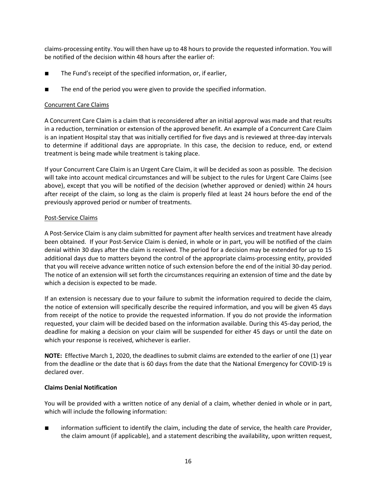claims-processing entity. You will then have up to 48 hours to provide the requested information. You will be notified of the decision within 48 hours after the earlier of:

- The Fund's receipt of the specified information, or, if earlier,
- The end of the period you were given to provide the specified information.

#### Concurrent Care Claims

A Concurrent Care Claim is a claim that is reconsidered after an initial approval was made and that results in a reduction, termination or extension of the approved benefit. An example of a Concurrent Care Claim is an inpatient Hospital stay that was initially certified for five days and is reviewed at three-day intervals to determine if additional days are appropriate. In this case, the decision to reduce, end, or extend treatment is being made while treatment is taking place.

If your Concurrent Care Claim is an Urgent Care Claim, it will be decided as soon as possible. The decision will take into account medical circumstances and will be subject to the rules for Urgent Care Claims (see above), except that you will be notified of the decision (whether approved or denied) within 24 hours after receipt of the claim, so long as the claim is properly filed at least 24 hours before the end of the previously approved period or number of treatments.

#### Post-Service Claims

A Post-Service Claim is any claim submitted for payment after health services and treatment have already been obtained. If your Post-Service Claim is denied, in whole or in part, you will be notified of the claim denial within 30 days after the claim is received. The period for a decision may be extended for up to 15 additional days due to matters beyond the control of the appropriate claims-processing entity, provided that you will receive advance written notice of such extension before the end of the initial 30-day period. The notice of an extension will set forth the circumstances requiring an extension of time and the date by which a decision is expected to be made.

If an extension is necessary due to your failure to submit the information required to decide the claim, the notice of extension will specifically describe the required information, and you will be given 45 days from receipt of the notice to provide the requested information. If you do not provide the information requested, your claim will be decided based on the information available. During this 45-day period, the deadline for making a decision on your claim will be suspended for either 45 days or until the date on which your response is received, whichever is earlier.

**NOTE:** Effective March 1, 2020, the deadlines to submit claims are extended to the earlier of one (1) year from the deadline or the date that is 60 days from the date that the National Emergency for COVID-19 is declared over.

#### **Claims Denial Notification**

You will be provided with a written notice of any denial of a claim, whether denied in whole or in part, which will include the following information:

■ information sufficient to identify the claim, including the date of service, the health care Provider, the claim amount (if applicable), and a statement describing the availability, upon written request,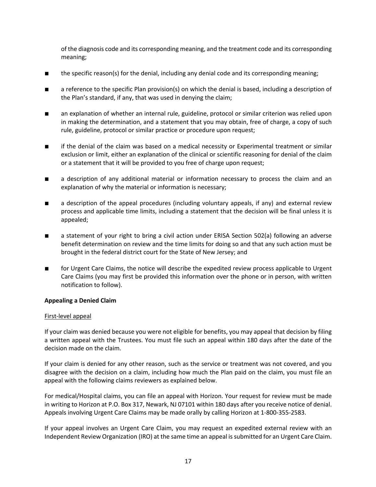of the diagnosis code and its corresponding meaning, and the treatment code and its corresponding meaning;

- the specific reason(s) for the denial, including any denial code and its corresponding meaning;
- a reference to the specific Plan provision(s) on which the denial is based, including a description of the Plan's standard, if any, that was used in denying the claim;
- an explanation of whether an internal rule, guideline, protocol or similar criterion was relied upon in making the determination, and a statement that you may obtain, free of charge, a copy of such rule, guideline, protocol or similar practice or procedure upon request;
- if the denial of the claim was based on a medical necessity or Experimental treatment or similar exclusion or limit, either an explanation of the clinical or scientific reasoning for denial of the claim or a statement that it will be provided to you free of charge upon request;
- a description of any additional material or information necessary to process the claim and an explanation of why the material or information is necessary;
- a description of the appeal procedures (including voluntary appeals, if any) and external review process and applicable time limits, including a statement that the decision will be final unless it is appealed;
- a statement of your right to bring a civil action under ERISA Section 502(a) following an adverse benefit determination on review and the time limits for doing so and that any such action must be brought in the federal district court for the State of New Jersey; and
- for Urgent Care Claims, the notice will describe the expedited review process applicable to Urgent Care Claims (you may first be provided this information over the phone or in person, with written notification to follow).

#### **Appealing a Denied Claim**

#### First-level appeal

If your claim was denied because you were not eligible for benefits, you may appeal that decision by filing a written appeal with the Trustees. You must file such an appeal within 180 days after the date of the decision made on the claim.

If your claim is denied for any other reason, such as the service or treatment was not covered, and you disagree with the decision on a claim, including how much the Plan paid on the claim, you must file an appeal with the following claims reviewers as explained below.

For medical/Hospital claims, you can file an appeal with Horizon. Your request for review must be made in writing to Horizon at P.O. Box 317, Newark, NJ 07101 within 180 days after you receive notice of denial. Appeals involving Urgent Care Claims may be made orally by calling Horizon at 1-800-355-2583.

If your appeal involves an Urgent Care Claim, you may request an expedited external review with an Independent Review Organization (IRO) at the same time an appeal is submitted for an Urgent Care Claim.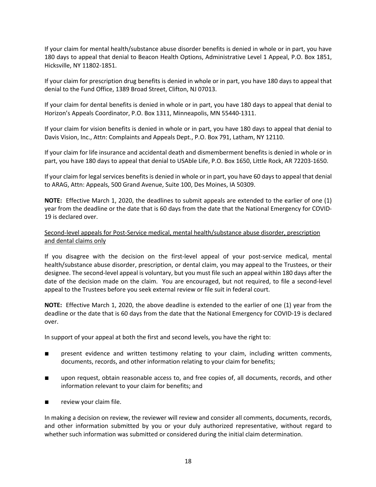If your claim for mental health/substance abuse disorder benefits is denied in whole or in part, you have 180 days to appeal that denial to Beacon Health Options, Administrative Level 1 Appeal, P.O. Box 1851, Hicksville, NY 11802-1851.

If your claim for prescription drug benefits is denied in whole or in part, you have 180 days to appeal that denial to the Fund Office, 1389 Broad Street, Clifton, NJ 07013.

If your claim for dental benefits is denied in whole or in part, you have 180 days to appeal that denial to Horizon's Appeals Coordinator, P.O. Box 1311, Minneapolis, MN 55440-1311.

If your claim for vision benefits is denied in whole or in part, you have 180 days to appeal that denial to Davis Vision, Inc., Attn: Complaints and Appeals Dept., P.O. Box 791, Latham, NY 12110.

If your claim for life insurance and accidental death and dismemberment benefits is denied in whole or in part, you have 180 days to appeal that denial to USAble Life, P.O. Box 1650, Little Rock, AR 72203-1650.

If your claim for legal services benefits is denied in whole or in part, you have 60 days to appeal that denial to ARAG, Attn: Appeals, 500 Grand Avenue, Suite 100, Des Moines, IA 50309.

**NOTE:** Effective March 1, 2020, the deadlines to submit appeals are extended to the earlier of one (1) year from the deadline or the date that is 60 days from the date that the National Emergency for COVID-19 is declared over.

#### Second-level appeals for Post-Service medical, mental health/substance abuse disorder, prescription and dental claims only

If you disagree with the decision on the first-level appeal of your post-service medical, mental health/substance abuse disorder, prescription, or dental claim, you may appeal to the Trustees, or their designee. The second-level appeal is voluntary, but you must file such an appeal within 180 days after the date of the decision made on the claim. You are encouraged, but not required, to file a second-level appeal to the Trustees before you seek external review or file suit in federal court.

**NOTE:** Effective March 1, 2020, the above deadline is extended to the earlier of one (1) year from the deadline or the date that is 60 days from the date that the National Emergency for COVID-19 is declared over.

In support of your appeal at both the first and second levels, you have the right to:

- present evidence and written testimony relating to your claim, including written comments, documents, records, and other information relating to your claim for benefits;
- upon request, obtain reasonable access to, and free copies of, all documents, records, and other information relevant to your claim for benefits; and
- review your claim file.

In making a decision on review, the reviewer will review and consider all comments, documents, records, and other information submitted by you or your duly authorized representative, without regard to whether such information was submitted or considered during the initial claim determination.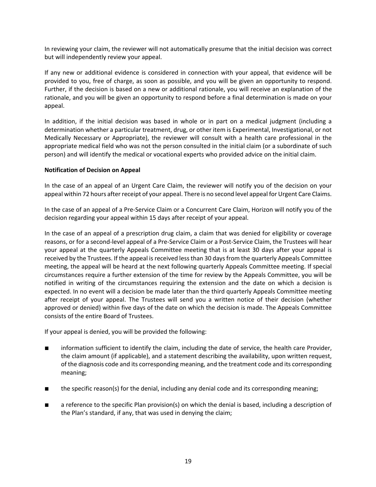In reviewing your claim, the reviewer will not automatically presume that the initial decision was correct but will independently review your appeal.

If any new or additional evidence is considered in connection with your appeal, that evidence will be provided to you, free of charge, as soon as possible, and you will be given an opportunity to respond. Further, if the decision is based on a new or additional rationale, you will receive an explanation of the rationale, and you will be given an opportunity to respond before a final determination is made on your appeal.

In addition, if the initial decision was based in whole or in part on a medical judgment (including a determination whether a particular treatment, drug, or other item is Experimental, Investigational, or not Medically Necessary or Appropriate), the reviewer will consult with a health care professional in the appropriate medical field who was not the person consulted in the initial claim (or a subordinate of such person) and will identify the medical or vocational experts who provided advice on the initial claim.

#### **Notification of Decision on Appeal**

In the case of an appeal of an Urgent Care Claim, the reviewer will notify you of the decision on your appeal within 72 hours after receipt of your appeal. There is no second level appeal for Urgent Care Claims.

In the case of an appeal of a Pre-Service Claim or a Concurrent Care Claim, Horizon will notify you of the decision regarding your appeal within 15 days after receipt of your appeal.

In the case of an appeal of a prescription drug claim, a claim that was denied for eligibility or coverage reasons, or for a second-level appeal of a Pre-Service Claim or a Post-Service Claim, the Trustees will hear your appeal at the quarterly Appeals Committee meeting that is at least 30 days after your appeal is received by the Trustees. If the appeal is received less than 30 days from the quarterly Appeals Committee meeting, the appeal will be heard at the next following quarterly Appeals Committee meeting. If special circumstances require a further extension of the time for review by the Appeals Committee, you will be notified in writing of the circumstances requiring the extension and the date on which a decision is expected. In no event will a decision be made later than the third quarterly Appeals Committee meeting after receipt of your appeal. The Trustees will send you a written notice of their decision (whether approved or denied) within five days of the date on which the decision is made. The Appeals Committee consists of the entire Board of Trustees.

If your appeal is denied, you will be provided the following:

- information sufficient to identify the claim, including the date of service, the health care Provider, the claim amount (if applicable), and a statement describing the availability, upon written request, of the diagnosis code and its corresponding meaning, and the treatment code and its corresponding meaning;
- the specific reason(s) for the denial, including any denial code and its corresponding meaning;
- a reference to the specific Plan provision(s) on which the denial is based, including a description of the Plan's standard, if any, that was used in denying the claim;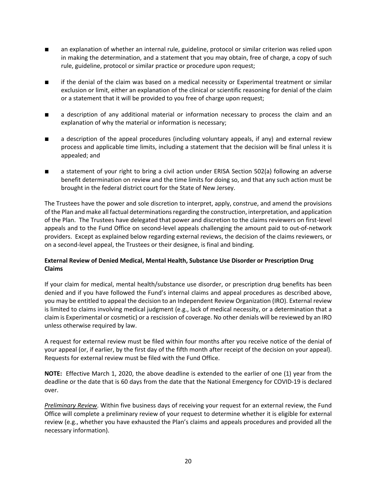- an explanation of whether an internal rule, guideline, protocol or similar criterion was relied upon in making the determination, and a statement that you may obtain, free of charge, a copy of such rule, guideline, protocol or similar practice or procedure upon request;
- if the denial of the claim was based on a medical necessity or Experimental treatment or similar exclusion or limit, either an explanation of the clinical or scientific reasoning for denial of the claim or a statement that it will be provided to you free of charge upon request;
- a description of any additional material or information necessary to process the claim and an explanation of why the material or information is necessary;
- a description of the appeal procedures (including voluntary appeals, if any) and external review process and applicable time limits, including a statement that the decision will be final unless it is appealed; and
- a statement of your right to bring a civil action under ERISA Section 502(a) following an adverse benefit determination on review and the time limits for doing so, and that any such action must be brought in the federal district court for the State of New Jersey.

The Trustees have the power and sole discretion to interpret, apply, construe, and amend the provisions of the Plan and make all factual determinations regarding the construction, interpretation, and application of the Plan. The Trustees have delegated that power and discretion to the claims reviewers on first-level appeals and to the Fund Office on second-level appeals challenging the amount paid to out-of-network providers. Except as explained below regarding external reviews, the decision of the claims reviewers, or on a second-level appeal, the Trustees or their designee, is final and binding.

#### **External Review of Denied Medical, Mental Health, Substance Use Disorder or Prescription Drug Claims**

If your claim for medical, mental health/substance use disorder, or prescription drug benefits has been denied and if you have followed the Fund's internal claims and appeal procedures as described above, you may be entitled to appeal the decision to an Independent Review Organization (IRO). External review is limited to claims involving medical judgment (e.g., lack of medical necessity, or a determination that a claim is Experimental or cosmetic) or a rescission of coverage. No other denials will be reviewed by an IRO unless otherwise required by law.

A request for external review must be filed within four months after you receive notice of the denial of your appeal (or, if earlier, by the first day of the fifth month after receipt of the decision on your appeal). Requests for external review must be filed with the Fund Office.

**NOTE:** Effective March 1, 2020, the above deadline is extended to the earlier of one (1) year from the deadline or the date that is 60 days from the date that the National Emergency for COVID-19 is declared over.

*Preliminary Review*. Within five business days of receiving your request for an external review, the Fund Office will complete a preliminary review of your request to determine whether it is eligible for external review (e.g., whether you have exhausted the Plan's claims and appeals procedures and provided all the necessary information).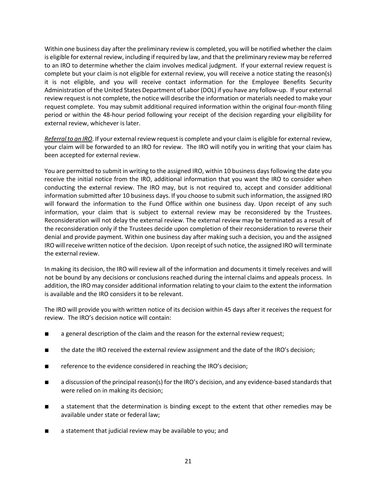Within one business day after the preliminary review is completed, you will be notified whether the claim is eligible for external review, including if required by law, and that the preliminary review may be referred to an IRO to determine whether the claim involves medical judgment. If your external review request is complete but your claim is not eligible for external review, you will receive a notice stating the reason(s) it is not eligible, and you will receive contact information for the Employee Benefits Security Administration of the United States Department of Labor (DOL) if you have any follow-up. If your external review request is not complete, the notice will describe the information or materials needed to make your request complete. You may submit additional required information within the original four-month filing period or within the 48-hour period following your receipt of the decision regarding your eligibility for external review, whichever is later.

*Referral to an IRO*. If your external review request is complete and your claim is eligible for external review, your claim will be forwarded to an IRO for review. The IRO will notify you in writing that your claim has been accepted for external review.

You are permitted to submit in writing to the assigned IRO, within 10 business days following the date you receive the initial notice from the IRO, additional information that you want the IRO to consider when conducting the external review. The IRO may, but is not required to, accept and consider additional information submitted after 10 business days. If you choose to submit such information, the assigned IRO will forward the information to the Fund Office within one business day. Upon receipt of any such information, your claim that is subject to external review may be reconsidered by the Trustees. Reconsideration will not delay the external review. The external review may be terminated as a result of the reconsideration only if the Trustees decide upon completion of their reconsideration to reverse their denial and provide payment. Within one business day after making such a decision, you and the assigned IRO will receive written notice of the decision. Upon receipt of such notice, the assigned IRO will terminate the external review.

In making its decision, the IRO will review all of the information and documents it timely receives and will not be bound by any decisions or conclusions reached during the internal claims and appeals process. In addition, the IRO may consider additional information relating to your claim to the extent the information is available and the IRO considers it to be relevant.

The IRO will provide you with written notice of its decision within 45 days after it receives the request for review. The IRO's decision notice will contain:

- a general description of the claim and the reason for the external review request;
- the date the IRO received the external review assignment and the date of the IRO's decision;
- reference to the evidence considered in reaching the IRO's decision;
- a discussion of the principal reason(s) for the IRO's decision, and any evidence-based standards that were relied on in making its decision;
- a statement that the determination is binding except to the extent that other remedies may be available under state or federal law;
- a statement that judicial review may be available to you; and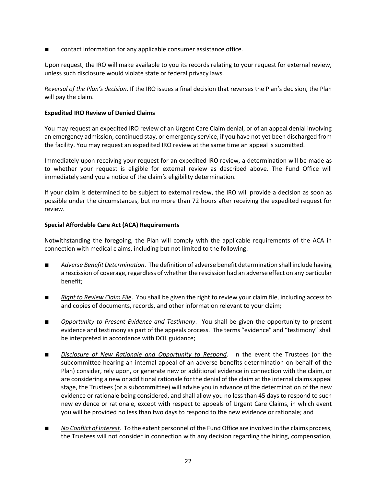contact information for any applicable consumer assistance office.

Upon request, the IRO will make available to you its records relating to your request for external review, unless such disclosure would violate state or federal privacy laws.

*Reversal of the Plan's decision*. If the IRO issues a final decision that reverses the Plan's decision, the Plan will pay the claim.

#### **Expedited IRO Review of Denied Claims**

You may request an expedited IRO review of an Urgent Care Claim denial, or of an appeal denial involving an emergency admission, continued stay, or emergency service, if you have not yet been discharged from the facility. You may request an expedited IRO review at the same time an appeal is submitted.

Immediately upon receiving your request for an expedited IRO review, a determination will be made as to whether your request is eligible for external review as described above. The Fund Office will immediately send you a notice of the claim's eligibility determination.

If your claim is determined to be subject to external review, the IRO will provide a decision as soon as possible under the circumstances, but no more than 72 hours after receiving the expedited request for review.

#### **Special Affordable Care Act (ACA) Requirements**

Notwithstanding the foregoing, the Plan will comply with the applicable requirements of the ACA in connection with medical claims, including but not limited to the following:

- *Adverse Benefit Determination*. The definition of adverse benefit determination shall include having a rescission of coverage, regardless of whether the rescission had an adverse effect on any particular benefit;
- *Right to Review Claim File*. You shall be given the right to review your claim file, including access to and copies of documents, records, and other information relevant to your claim;
- *Opportunity to Present Evidence and Testimony*. You shall be given the opportunity to present evidence and testimony as part of the appeals process. The terms "evidence" and "testimony" shall be interpreted in accordance with DOL guidance;
- *Disclosure of New Rationale and Opportunity to Respond*. In the event the Trustees (or the subcommittee hearing an internal appeal of an adverse benefits determination on behalf of the Plan) consider, rely upon, or generate new or additional evidence in connection with the claim, or are considering a new or additional rationale for the denial of the claim at the internal claims appeal stage, the Trustees (or a subcommittee) will advise you in advance of the determination of the new evidence or rationale being considered, and shall allow you no less than 45 days to respond to such new evidence or rationale, except with respect to appeals of Urgent Care Claims, in which event you will be provided no less than two days to respond to the new evidence or rationale; and
- *No Conflict of Interest*. To the extent personnel of the Fund Office are involved in the claims process, the Trustees will not consider in connection with any decision regarding the hiring, compensation,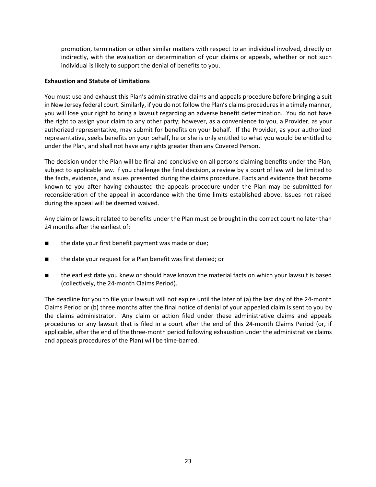promotion, termination or other similar matters with respect to an individual involved, directly or indirectly, with the evaluation or determination of your claims or appeals, whether or not such individual is likely to support the denial of benefits to you.

#### **Exhaustion and Statute of Limitations**

You must use and exhaust this Plan's administrative claims and appeals procedure before bringing a suit in New Jersey federal court. Similarly, if you do not follow the Plan's claims procedures in a timely manner, you will lose your right to bring a lawsuit regarding an adverse benefit determination. You do not have the right to assign your claim to any other party; however, as a convenience to you, a Provider, as your authorized representative, may submit for benefits on your behalf. If the Provider, as your authorized representative, seeks benefits on your behalf, he or she is only entitled to what you would be entitled to under the Plan, and shall not have any rights greater than any Covered Person.

The decision under the Plan will be final and conclusive on all persons claiming benefits under the Plan, subject to applicable law. If you challenge the final decision, a review by a court of law will be limited to the facts, evidence, and issues presented during the claims procedure. Facts and evidence that become known to you after having exhausted the appeals procedure under the Plan may be submitted for reconsideration of the appeal in accordance with the time limits established above. Issues not raised during the appeal will be deemed waived.

Any claim or lawsuit related to benefits under the Plan must be brought in the correct court no later than 24 months after the earliest of:

- the date your first benefit payment was made or due;
- the date your request for a Plan benefit was first denied; or
- the earliest date you knew or should have known the material facts on which your lawsuit is based (collectively, the 24-month Claims Period).

The deadline for you to file your lawsuit will not expire until the later of (a) the last day of the 24-month Claims Period or (b) three months after the final notice of denial of your appealed claim is sent to you by the claims administrator. Any claim or action filed under these administrative claims and appeals procedures or any lawsuit that is filed in a court after the end of this 24-month Claims Period (or, if applicable, after the end of the three-month period following exhaustion under the administrative claims and appeals procedures of the Plan) will be time-barred.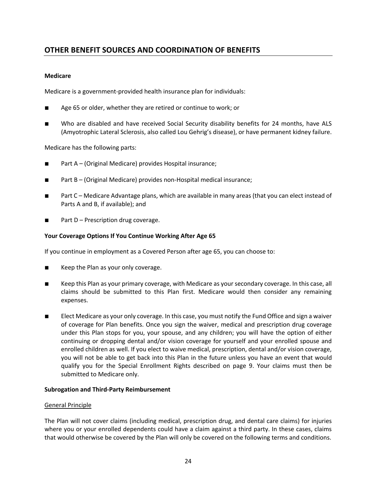## **OTHER BENEFIT SOURCES AND COORDINATION OF BENEFITS**

#### **Medicare**

Medicare is a government-provided health insurance plan for individuals:

- Age 65 or older, whether they are retired or continue to work; or
- Who are disabled and have received Social Security disability benefits for 24 months, have ALS (Amyotrophic Lateral Sclerosis, also called Lou Gehrig's disease), or have permanent kidney failure.

Medicare has the following parts:

- Part A (Original Medicare) provides Hospital insurance;
- Part B (Original Medicare) provides non-Hospital medical insurance;
- Part C Medicare Advantage plans, which are available in many areas (that you can elect instead of Parts A and B, if available); and
- Part D Prescription drug coverage.

#### **Your Coverage Options If You Continue Working After Age 65**

If you continue in employment as a Covered Person after age 65, you can choose to:

- Keep the Plan as your only coverage.
- Keep this Plan as your primary coverage, with Medicare as your secondary coverage. In this case, all claims should be submitted to this Plan first. Medicare would then consider any remaining expenses.
- Elect Medicare as your only coverage. In this case, you must notify the Fund Office and sign a waiver of coverage for Plan benefits. Once you sign the waiver, medical and prescription drug coverage under this Plan stops for you, your spouse, and any children; you will have the option of either continuing or dropping dental and/or vision coverage for yourself and your enrolled spouse and enrolled children as well. If you elect to waive medical, prescription, dental and/or vision coverage, you will not be able to get back into this Plan in the future unless you have an event that would qualify you for the Special Enrollment Rights described on page 9. Your claims must then be submitted to Medicare only.

#### **Subrogation and Third-Party Reimbursement**

#### General Principle

The Plan will not cover claims (including medical, prescription drug, and dental care claims) for injuries where you or your enrolled dependents could have a claim against a third party. In these cases, claims that would otherwise be covered by the Plan will only be covered on the following terms and conditions.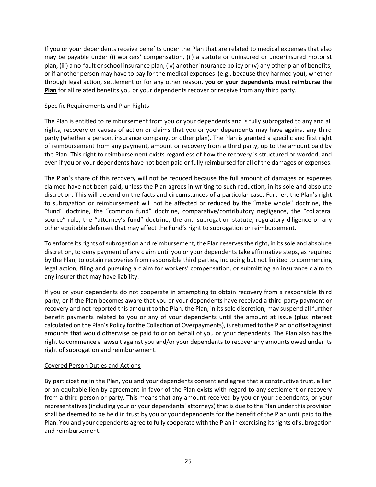If you or your dependents receive benefits under the Plan that are related to medical expenses that also may be payable under (i) workers' compensation, (ii) a statute or uninsured or underinsured motorist plan, (iii) a no-fault or school insurance plan, (iv) another insurance policy or (v) any other plan of benefits, or if another person may have to pay for the medical expenses (e.g., because they harmed you), whether through legal action, settlement or for any other reason, **you or your dependents must reimburse the Plan** for all related benefits you or your dependents recover or receive from any third party.

#### Specific Requirements and Plan Rights

The Plan is entitled to reimbursement from you or your dependents and is fully subrogated to any and all rights, recovery or causes of action or claims that you or your dependents may have against any third party (whether a person, insurance company, or other plan). The Plan is granted a specific and first right of reimbursement from any payment, amount or recovery from a third party, up to the amount paid by the Plan. This right to reimbursement exists regardless of how the recovery is structured or worded, and even if you or your dependents have not been paid or fully reimbursed for all of the damages or expenses.

The Plan's share of this recovery will not be reduced because the full amount of damages or expenses claimed have not been paid, unless the Plan agrees in writing to such reduction, in its sole and absolute discretion. This will depend on the facts and circumstances of a particular case. Further, the Plan's right to subrogation or reimbursement will not be affected or reduced by the "make whole" doctrine, the "fund" doctrine, the "common fund" doctrine, comparative/contributory negligence, the "collateral source" rule, the "attorney's fund" doctrine, the anti-subrogation statute, regulatory diligence or any other equitable defenses that may affect the Fund's right to subrogation or reimbursement.

To enforce its rights of subrogation and reimbursement, the Plan reserves the right, in its sole and absolute discretion, to deny payment of any claim until you or your dependents take affirmative steps, as required by the Plan, to obtain recoveries from responsible third parties, including but not limited to commencing legal action, filing and pursuing a claim for workers' compensation, or submitting an insurance claim to any insurer that may have liability.

If you or your dependents do not cooperate in attempting to obtain recovery from a responsible third party, or if the Plan becomes aware that you or your dependents have received a third-party payment or recovery and not reported this amount to the Plan, the Plan, in its sole discretion, may suspend all further benefit payments related to you or any of your dependents until the amount at issue (plus interest calculated on the Plan's Policy for the Collection of Overpayments), is returned to the Plan or offset against amounts that would otherwise be paid to or on behalf of you or your dependents. The Plan also has the right to commence a lawsuit against you and/or your dependents to recover any amounts owed under its right of subrogation and reimbursement.

#### Covered Person Duties and Actions

By participating in the Plan, you and your dependents consent and agree that a constructive trust, a lien or an equitable lien by agreement in favor of the Plan exists with regard to any settlement or recovery from a third person or party. This means that any amount received by you or your dependents, or your representatives (including your or your dependents' attorneys) that is due to the Plan under this provision shall be deemed to be held in trust by you or your dependents for the benefit of the Plan until paid to the Plan. You and your dependents agree to fully cooperate with the Plan in exercising its rights of subrogation and reimbursement.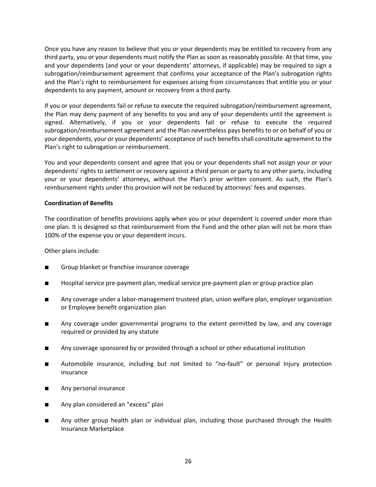Once you have any reason to believe that you or your dependents may be entitled to recovery from any third party, you or your dependents must notify the Plan as soon as reasonably possible. At that time, you and your dependents (and your or your dependents' attorneys, if applicable) may be required to sign a subrogation/reimbursement agreement that confirms your acceptance of the Plan's subrogation rights and the Plan's right to reimbursement for expenses arising from circumstances that entitle you or your dependents to any payment, amount or recovery from a third party.

If you or your dependents fail or refuse to execute the required subrogation/reimbursement agreement, the Plan may deny payment of any benefits to you and any of your dependents until the agreement is signed. Alternatively, if you or your dependents fail or refuse to execute the required subrogation/reimbursement agreement and the Plan nevertheless pays benefits to or on behalf of you or your dependents, your or your dependents' acceptance of such benefits shall constitute agreement to the Plan's right to subrogation or reimbursement.

You and your dependents consent and agree that you or your dependents shall not assign your or your dependents' rights to settlement or recovery against a third person or party to any other party, including your or your dependents' attorneys, without the Plan's prior written consent. As such, the Plan's reimbursement rights under this provision will not be reduced by attorneys' fees and expenses.

#### **Coordination of Benefits**

The coordination of benefits provisions apply when you or your dependent is covered under more than one plan. It is designed so that reimbursement from the Fund and the other plan will not be more than 100% of the expense you or your dependent incurs.

Other plans include:

- Group blanket or franchise insurance coverage
- Hospital service pre-payment plan, medical service pre-payment plan or group practice plan
- Any coverage under a labor-management trusteed plan, union welfare plan, employer organization or Employee benefit organization plan
- Any coverage under governmental programs to the extent permitted by law, and any coverage required or provided by any statute
- Any coverage sponsored by or provided through a school or other educational institution
- Automobile insurance, including but not limited to "no-fault" or personal Injury protection insurance
- Any personal insurance
- Any plan considered an "excess" plan
- Any other group health plan or individual plan, including those purchased through the Health Insurance Marketplace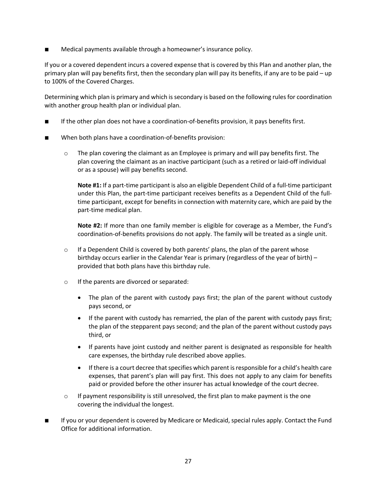Medical payments available through a homeowner's insurance policy.

If you or a covered dependent incurs a covered expense that is covered by this Plan and another plan, the primary plan will pay benefits first, then the secondary plan will pay its benefits, if any are to be paid – up to 100% of the Covered Charges.

Determining which plan is primary and which is secondary is based on the following rules for coordination with another group health plan or individual plan.

- If the other plan does not have a coordination-of-benefits provision, it pays benefits first.
- When both plans have a coordination-of-benefits provision:
	- $\circ$  The plan covering the claimant as an Employee is primary and will pay benefits first. The plan covering the claimant as an inactive participant (such as a retired or laid-off individual or as a spouse) will pay benefits second.

**Note #1:** If a part-time participant is also an eligible Dependent Child of a full-time participant under this Plan, the part-time participant receives benefits as a Dependent Child of the fulltime participant, except for benefits in connection with maternity care, which are paid by the part-time medical plan.

**Note #2:** If more than one family member is eligible for coverage as a Member, the Fund's coordination-of-benefits provisions do not apply. The family will be treated as a single unit.

- $\circ$  If a Dependent Child is covered by both parents' plans, the plan of the parent whose birthday occurs earlier in the Calendar Year is primary (regardless of the year of birth) – provided that both plans have this birthday rule.
- o If the parents are divorced or separated:
	- The plan of the parent with custody pays first; the plan of the parent without custody pays second, or
	- If the parent with custody has remarried, the plan of the parent with custody pays first; the plan of the stepparent pays second; and the plan of the parent without custody pays third, or
	- If parents have joint custody and neither parent is designated as responsible for health care expenses, the birthday rule described above applies.
	- If there is a court decree that specifies which parent is responsible for a child's health care expenses, that parent's plan will pay first. This does not apply to any claim for benefits paid or provided before the other insurer has actual knowledge of the court decree.
- $\circ$  If payment responsibility is still unresolved, the first plan to make payment is the one covering the individual the longest.
- If you or your dependent is covered by Medicare or Medicaid, special rules apply. Contact the Fund Office for additional information.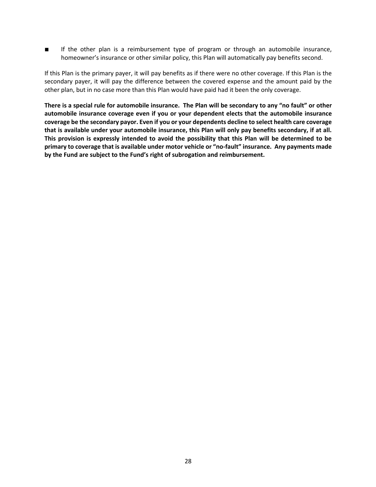■ If the other plan is a reimbursement type of program or through an automobile insurance, homeowner's insurance or other similar policy, this Plan will automatically pay benefits second.

If this Plan is the primary payer, it will pay benefits as if there were no other coverage. If this Plan is the secondary payer, it will pay the difference between the covered expense and the amount paid by the other plan, but in no case more than this Plan would have paid had it been the only coverage.

**There is a special rule for automobile insurance. The Plan will be secondary to any "no fault" or other automobile insurance coverage even if you or your dependent elects that the automobile insurance coverage be the secondary payor. Even if you or your dependents decline to select health care coverage that is available under your automobile insurance, this Plan will only pay benefits secondary, if at all. This provision is expressly intended to avoid the possibility that this Plan will be determined to be primary to coverage that is available under motor vehicle or "no-fault" insurance. Any payments made by the Fund are subject to the Fund's right of subrogation and reimbursement.**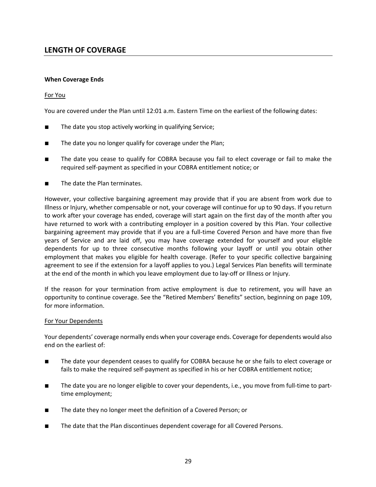## **LENGTH OF COVERAGE**

#### **When Coverage Ends**

#### For You

You are covered under the Plan until 12:01 a.m. Eastern Time on the earliest of the following dates:

- The date you stop actively working in qualifying Service;
- The date you no longer qualify for coverage under the Plan;
- The date you cease to qualify for COBRA because you fail to elect coverage or fail to make the required self-payment as specified in your COBRA entitlement notice; or
- The date the Plan terminates.

However, your collective bargaining agreement may provide that if you are absent from work due to Illness or Injury, whether compensable or not, your coverage will continue for up to 90 days. If you return to work after your coverage has ended, coverage will start again on the first day of the month after you have returned to work with a contributing employer in a position covered by this Plan. Your collective bargaining agreement may provide that if you are a full-time Covered Person and have more than five years of Service and are laid off, you may have coverage extended for yourself and your eligible dependents for up to three consecutive months following your layoff or until you obtain other employment that makes you eligible for health coverage. (Refer to your specific collective bargaining agreement to see if the extension for a layoff applies to you.) Legal Services Plan benefits will terminate at the end of the month in which you leave employment due to lay-off or Illness or Injury.

If the reason for your termination from active employment is due to retirement, you will have an opportunity to continue coverage. See the "Retired Members' Benefits" section, beginning on page 109, for more information.

#### For Your Dependents

Your dependents' coverage normally ends when your coverage ends. Coverage for dependents would also end on the earliest of:

- The date your dependent ceases to qualify for COBRA because he or she fails to elect coverage or fails to make the required self-payment as specified in his or her COBRA entitlement notice;
- The date you are no longer eligible to cover your dependents, i.e., you move from full-time to parttime employment;
- The date they no longer meet the definition of a Covered Person; or
- The date that the Plan discontinues dependent coverage for all Covered Persons.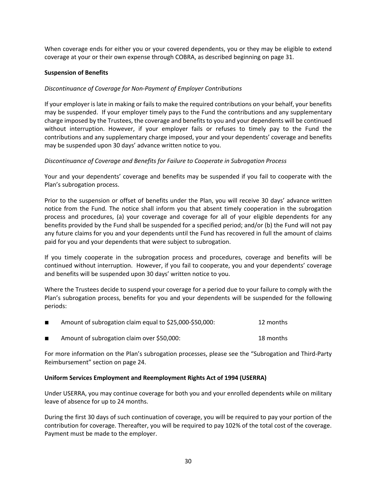When coverage ends for either you or your covered dependents, you or they may be eligible to extend coverage at your or their own expense through COBRA, as described beginning on page 31.

#### **Suspension of Benefits**

#### *Discontinuance of Coverage for Non-Payment of Employer Contributions*

If your employer is late in making or fails to make the required contributions on your behalf, your benefits may be suspended. If your employer timely pays to the Fund the contributions and any supplementary charge imposed by the Trustees, the coverage and benefits to you and your dependents will be continued without interruption. However, if your employer fails or refuses to timely pay to the Fund the contributions and any supplementary charge imposed, your and your dependents' coverage and benefits may be suspended upon 30 days' advance written notice to you.

#### *Discontinuance of Coverage and Benefits for Failure to Cooperate in Subrogation Process*

Your and your dependents' coverage and benefits may be suspended if you fail to cooperate with the Plan's subrogation process.

Prior to the suspension or offset of benefits under the Plan, you will receive 30 days' advance written notice from the Fund. The notice shall inform you that absent timely cooperation in the subrogation process and procedures, (a) your coverage and coverage for all of your eligible dependents for any benefits provided by the Fund shall be suspended for a specified period; and/or (b) the Fund will not pay any future claims for you and your dependents until the Fund has recovered in full the amount of claims paid for you and your dependents that were subject to subrogation.

If you timely cooperate in the subrogation process and procedures, coverage and benefits will be continued without interruption. However, if you fail to cooperate, you and your dependents' coverage and benefits will be suspended upon 30 days' written notice to you.

Where the Trustees decide to suspend your coverage for a period due to your failure to comply with the Plan's subrogation process, benefits for you and your dependents will be suspended for the following periods:

| Amount of subrogation claim equal to \$25,000-\$50,000: | 12 months |
|---------------------------------------------------------|-----------|
|                                                         |           |

■ Amount of subrogation claim over \$50,000: 18 months

For more information on the Plan's subrogation processes, please see the "Subrogation and Third-Party Reimbursement" section on page 24.

#### **Uniform Services Employment and Reemployment Rights Act of 1994 (USERRA)**

Under USERRA, you may continue coverage for both you and your enrolled dependents while on military leave of absence for up to 24 months.

During the first 30 days of such continuation of coverage, you will be required to pay your portion of the contribution for coverage. Thereafter, you will be required to pay 102% of the total cost of the coverage. Payment must be made to the employer.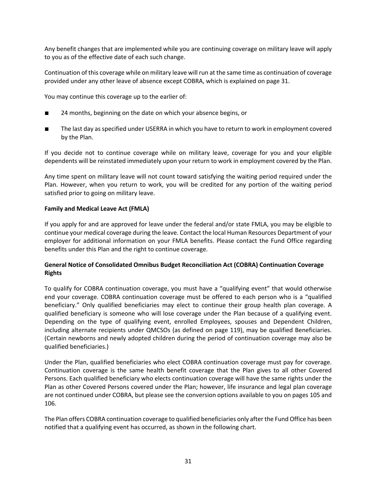Any benefit changes that are implemented while you are continuing coverage on military leave will apply to you as of the effective date of each such change.

Continuation of this coverage while on military leave will run at the same time as continuation of coverage provided under any other leave of absence except COBRA, which is explained on page 31.

You may continue this coverage up to the earlier of:

- 24 months, beginning on the date on which your absence begins, or
- The last day as specified under USERRA in which you have to return to work in employment covered by the Plan.

If you decide not to continue coverage while on military leave, coverage for you and your eligible dependents will be reinstated immediately upon your return to work in employment covered by the Plan.

Any time spent on military leave will not count toward satisfying the waiting period required under the Plan. However, when you return to work, you will be credited for any portion of the waiting period satisfied prior to going on military leave.

#### **Family and Medical Leave Act (FMLA)**

If you apply for and are approved for leave under the federal and/or state FMLA, you may be eligible to continue your medical coverage during the leave. Contact the local Human Resources Department of your employer for additional information on your FMLA benefits. Please contact the Fund Office regarding benefits under this Plan and the right to continue coverage.

#### **General Notice of Consolidated Omnibus Budget Reconciliation Act (COBRA) Continuation Coverage Rights**

To qualify for COBRA continuation coverage, you must have a "qualifying event" that would otherwise end your coverage. COBRA continuation coverage must be offered to each person who is a "qualified beneficiary." Only qualified beneficiaries may elect to continue their group health plan coverage. A qualified beneficiary is someone who will lose coverage under the Plan because of a qualifying event. Depending on the type of qualifying event, enrolled Employees, spouses and Dependent Children, including alternate recipients under QMCSOs (as defined on page 119), may be qualified Beneficiaries. (Certain newborns and newly adopted children during the period of continuation coverage may also be qualified beneficiaries.)

Under the Plan, qualified beneficiaries who elect COBRA continuation coverage must pay for coverage. Continuation coverage is the same health benefit coverage that the Plan gives to all other Covered Persons. Each qualified beneficiary who elects continuation coverage will have the same rights under the Plan as other Covered Persons covered under the Plan; however, life insurance and legal plan coverage are not continued under COBRA, but please see the conversion options available to you on pages 105 and 106.

The Plan offers COBRA continuation coverage to qualified beneficiaries only after the Fund Office has been notified that a qualifying event has occurred, as shown in the following chart.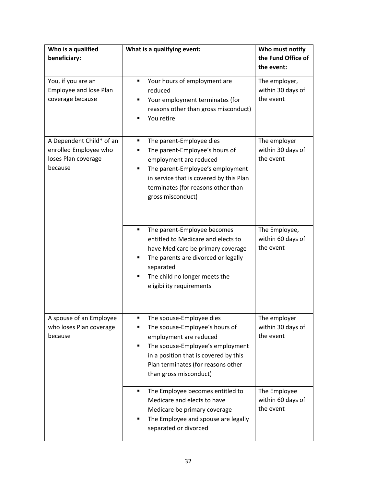| Who is a qualified<br>beneficiary:                                                  | What is a qualifying event:                                                                                                                                                                                                                      | Who must notify<br>the Fund Office of<br>the event: |
|-------------------------------------------------------------------------------------|--------------------------------------------------------------------------------------------------------------------------------------------------------------------------------------------------------------------------------------------------|-----------------------------------------------------|
| You, if you are an<br><b>Employee and lose Plan</b><br>coverage because             | Your hours of employment are<br>٠<br>reduced<br>Your employment terminates (for<br>п<br>reasons other than gross misconduct)<br>You retire                                                                                                       | The employer,<br>within 30 days of<br>the event     |
| A Dependent Child* of an<br>enrolled Employee who<br>loses Plan coverage<br>because | The parent-Employee dies<br>٠<br>The parent-Employee's hours of<br>employment are reduced<br>The parent-Employee's employment<br>٠<br>in service that is covered by this Plan<br>terminates (for reasons other than<br>gross misconduct)         | The employer<br>within 30 days of<br>the event      |
|                                                                                     | The parent-Employee becomes<br>٠<br>entitled to Medicare and elects to<br>have Medicare be primary coverage<br>The parents are divorced or legally<br>п<br>separated<br>The child no longer meets the<br>eligibility requirements                | The Employee,<br>within 60 days of<br>the event     |
| A spouse of an Employee<br>who loses Plan coverage<br>because                       | The spouse-Employee dies<br>п<br>The spouse-Employee's hours of<br>п<br>employment are reduced<br>The spouse-Employee's employment<br>٠<br>in a position that is covered by this<br>Plan terminates (for reasons other<br>than gross misconduct) | The employer<br>within 30 days of<br>the event      |
|                                                                                     | The Employee becomes entitled to<br>٠<br>Medicare and elects to have<br>Medicare be primary coverage<br>The Employee and spouse are legally<br>٠<br>separated or divorced                                                                        | The Employee<br>within 60 days of<br>the event      |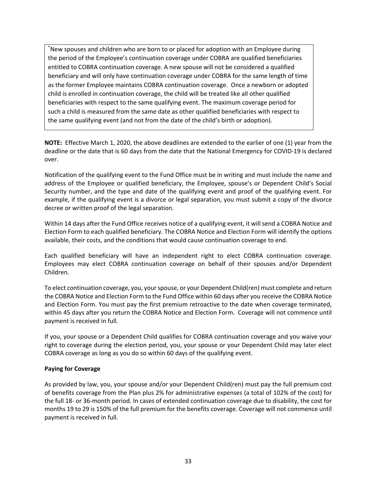\* New spouses and children who are born to or placed for adoption with an Employee during the period of the Employee's continuation coverage under COBRA are qualified beneficiaries entitled to COBRA continuation coverage. A new spouse will not be considered a qualified beneficiary and will only have continuation coverage under COBRA for the same length of time as the former Employee maintains COBRA continuation coverage. Once a newborn or adopted child is enrolled in continuation coverage, the child will be treated like all other qualified beneficiaries with respect to the same qualifying event. The maximum coverage period for such a child is measured from the same date as other qualified beneficiaries with respect to the same qualifying event (and not from the date of the child's birth or adoption).

**NOTE:** Effective March 1, 2020, the above deadlines are extended to the earlier of one (1) year from the deadline or the date that is 60 days from the date that the National Emergency for COVID-19 is declared over.

Notification of the qualifying event to the Fund Office must be in writing and must include the name and address of the Employee or qualified beneficiary, the Employee, spouse's or Dependent Child's Social Security number, and the type and date of the qualifying event and proof of the qualifying event. For example, if the qualifying event is a divorce or legal separation, you must submit a copy of the divorce decree or written proof of the legal separation.

Within 14 days after the Fund Office receives notice of a qualifying event, it will send a COBRA Notice and Election Form to each qualified beneficiary. The COBRA Notice and Election Form will identify the options available, their costs, and the conditions that would cause continuation coverage to end.

Each qualified beneficiary will have an independent right to elect COBRA continuation coverage. Employees may elect COBRA continuation coverage on behalf of their spouses and/or Dependent Children.

To elect continuation coverage, you, your spouse, or your Dependent Child(ren) must complete and return the COBRA Notice and Election Form to the Fund Office within 60 days after you receive the COBRA Notice and Election Form. You must pay the first premium retroactive to the date when coverage terminated, within 45 days after you return the COBRA Notice and Election Form. Coverage will not commence until payment is received in full.

If you, your spouse or a Dependent Child qualifies for COBRA continuation coverage and you waive your right to coverage during the election period, you, your spouse or your Dependent Child may later elect COBRA coverage as long as you do so within 60 days of the qualifying event.

#### **Paying for Coverage**

As provided by law, you, your spouse and/or your Dependent Child(ren) must pay the full premium cost of benefits coverage from the Plan plus 2% for administrative expenses (a total of 102% of the cost) for the full 18- or 36-month period. In cases of extended continuation coverage due to disability, the cost for months 19 to 29 is 150% of the full premium for the benefits coverage. Coverage will not commence until payment is received in full.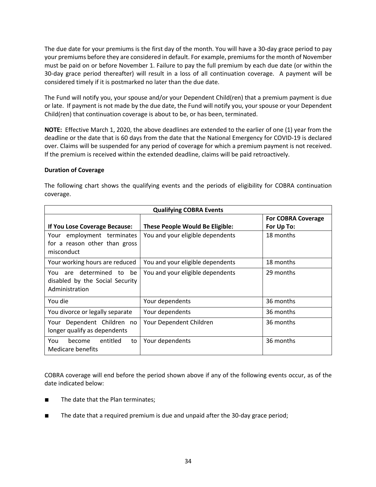The due date for your premiums is the first day of the month. You will have a 30-day grace period to pay your premiums before they are considered in default. For example, premiums for the month of November must be paid on or before November 1. Failure to pay the full premium by each due date (or within the 30-day grace period thereafter) will result in a loss of all continuation coverage. A payment will be considered timely if it is postmarked no later than the due date.

The Fund will notify you, your spouse and/or your Dependent Child(ren) that a premium payment is due or late. If payment is not made by the due date, the Fund will notify you, your spouse or your Dependent Child(ren) that continuation coverage is about to be, or has been, terminated.

**NOTE:** Effective March 1, 2020, the above deadlines are extended to the earlier of one (1) year from the deadline or the date that is 60 days from the date that the National Emergency for COVID-19 is declared over. Claims will be suspended for any period of coverage for which a premium payment is not received. If the premium is received within the extended deadline, claims will be paid retroactively.

#### **Duration of Coverage**

| <b>Qualifying COBRA Events</b>                                                |                                        |                                         |
|-------------------------------------------------------------------------------|----------------------------------------|-----------------------------------------|
| If You Lose Coverage Because:                                                 | <b>These People Would Be Eligible:</b> | <b>For COBRA Coverage</b><br>For Up To: |
| Your employment terminates<br>for a reason other than gross<br>misconduct     | You and your eligible dependents       | 18 months                               |
| Your working hours are reduced                                                | You and your eligible dependents       | 18 months                               |
| You are determined to be<br>disabled by the Social Security<br>Administration | You and your eligible dependents       | 29 months                               |
| You die                                                                       | Your dependents                        | 36 months                               |
| You divorce or legally separate                                               | Your dependents                        | 36 months                               |
| Your Dependent Children no<br>longer qualify as dependents                    | Your Dependent Children                | 36 months                               |
| entitled<br>You<br>become<br>to<br>Medicare benefits                          | Your dependents                        | 36 months                               |

The following chart shows the qualifying events and the periods of eligibility for COBRA continuation coverage.

COBRA coverage will end before the period shown above if any of the following events occur, as of the date indicated below:

- The date that the Plan terminates;
- The date that a required premium is due and unpaid after the 30-day grace period;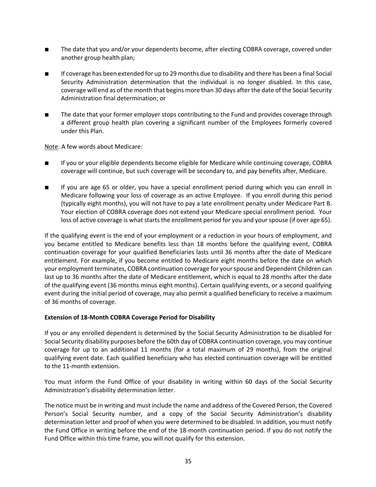- The date that you and/or your dependents become, after electing COBRA coverage, covered under another group health plan;
- If coverage has been extended for up to 29 months due to disability and there has been a final Social Security Administration determination that the individual is no longer disabled. In this case, coverage will end as of the month that begins more than 30 days after the date of the Social Security Administration final determination; or
- The date that your former employer stops contributing to the Fund and provides coverage through a different group health plan covering a significant number of the Employees formerly covered under this Plan.

Note: A few words about Medicare:

- If you or your eligible dependents become eligible for Medicare while continuing coverage, COBRA coverage will continue, but such coverage will be secondary to, and pay benefits after, Medicare.
- If you are age 65 or older, you have a special enrollment period during which you can enroll in Medicare following your loss of coverage as an active Employee. If you enroll during this period (typically eight months), you will not have to pay a late enrollment penalty under Medicare Part B. Your election of COBRA coverage does not extend your Medicare special enrollment period. Your loss of active coverage is what starts the enrollment period for you and your spouse (if over age 65).

If the qualifying event is the end of your employment or a reduction in your hours of employment, and you became entitled to Medicare benefits less than 18 months before the qualifying event, COBRA continuation coverage for your qualified Beneficiaries lasts until 36 months after the date of Medicare entitlement. For example, if you become entitled to Medicare eight months before the date on which your employment terminates, COBRA continuation coverage for your spouse and Dependent Children can last up to 36 months after the date of Medicare entitlement, which is equal to 28 months after the date of the qualifying event (36 months minus eight months). Certain qualifying events, or a second qualifying event during the initial period of coverage, may also permit a qualified beneficiary to receive a maximum of 36 months of coverage.

#### **Extension of 18-Month COBRA Coverage Period for Disability**

If you or any enrolled dependent is determined by the Social Security Administration to be disabled for Social Security disability purposes before the 60th day of COBRA continuation coverage, you may continue coverage for up to an additional 11 months (for a total maximum of 29 months), from the original qualifying event date. Each qualified beneficiary who has elected continuation coverage will be entitled to the 11-month extension.

You must inform the Fund Office of your disability in writing within 60 days of the Social Security Administration's disability determination letter.

The notice must be in writing and must include the name and address of the Covered Person, the Covered Person's Social Security number, and a copy of the Social Security Administration's disability determination letter and proof of when you were determined to be disabled. In addition, you must notify the Fund Office in writing before the end of the 18-month continuation period. If you do not notify the Fund Office within this time frame, you will not qualify for this extension.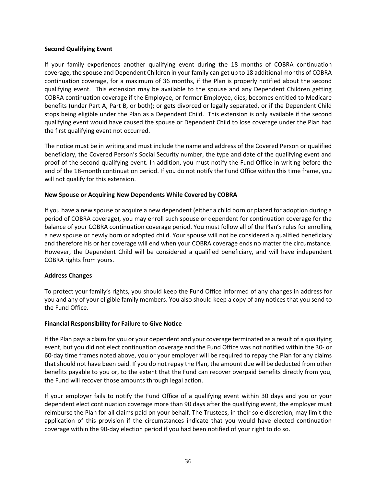#### **Second Qualifying Event**

If your family experiences another qualifying event during the 18 months of COBRA continuation coverage, the spouse and Dependent Children in your family can get up to 18 additional months of COBRA continuation coverage, for a maximum of 36 months, if the Plan is properly notified about the second qualifying event. This extension may be available to the spouse and any Dependent Children getting COBRA continuation coverage if the Employee, or former Employee, dies; becomes entitled to Medicare benefits (under Part A, Part B, or both); or gets divorced or legally separated, or if the Dependent Child stops being eligible under the Plan as a Dependent Child. This extension is only available if the second qualifying event would have caused the spouse or Dependent Child to lose coverage under the Plan had the first qualifying event not occurred.

The notice must be in writing and must include the name and address of the Covered Person or qualified beneficiary, the Covered Person's Social Security number, the type and date of the qualifying event and proof of the second qualifying event. In addition, you must notify the Fund Office in writing before the end of the 18-month continuation period. If you do not notify the Fund Office within this time frame, you will not qualify for this extension.

# **New Spouse or Acquiring New Dependents While Covered by COBRA**

If you have a new spouse or acquire a new dependent (either a child born or placed for adoption during a period of COBRA coverage), you may enroll such spouse or dependent for continuation coverage for the balance of your COBRA continuation coverage period. You must follow all of the Plan's rules for enrolling a new spouse or newly born or adopted child. Your spouse will not be considered a qualified beneficiary and therefore his or her coverage will end when your COBRA coverage ends no matter the circumstance. However, the Dependent Child will be considered a qualified beneficiary, and will have independent COBRA rights from yours.

# **Address Changes**

To protect your family's rights, you should keep the Fund Office informed of any changes in address for you and any of your eligible family members. You also should keep a copy of any notices that you send to the Fund Office.

#### **Financial Responsibility for Failure to Give Notice**

If the Plan pays a claim for you or your dependent and your coverage terminated as a result of a qualifying event, but you did not elect continuation coverage and the Fund Office was not notified within the 30- or 60-day time frames noted above, you or your employer will be required to repay the Plan for any claims that should not have been paid. If you do not repay the Plan, the amount due will be deducted from other benefits payable to you or, to the extent that the Fund can recover overpaid benefits directly from you, the Fund will recover those amounts through legal action.

If your employer fails to notify the Fund Office of a qualifying event within 30 days and you or your dependent elect continuation coverage more than 90 days after the qualifying event, the employer must reimburse the Plan for all claims paid on your behalf. The Trustees, in their sole discretion, may limit the application of this provision if the circumstances indicate that you would have elected continuation coverage within the 90-day election period if you had been notified of your right to do so.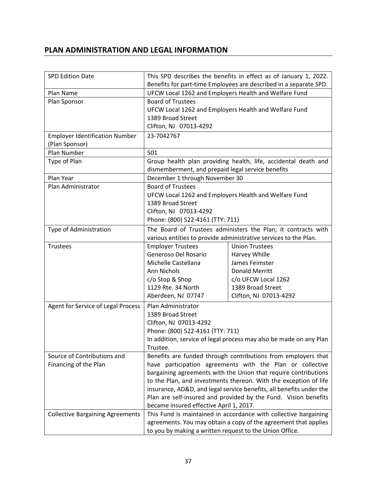# **PLAN ADMINISTRATION AND LEGAL INFORMATION**

| <b>SPD Edition Date</b>                                 | This SPD describes the benefits in effect as of January 1, 2022.<br>Benefits for part-time Employees are described in a separate SPD.   |                                                                |  |
|---------------------------------------------------------|-----------------------------------------------------------------------------------------------------------------------------------------|----------------------------------------------------------------|--|
| Plan Name                                               | UFCW Local 1262 and Employers Health and Welfare Fund                                                                                   |                                                                |  |
| Plan Sponsor                                            | <b>Board of Trustees</b>                                                                                                                |                                                                |  |
|                                                         | UFCW Local 1262 and Employers Health and Welfare Fund                                                                                   |                                                                |  |
|                                                         | 1389 Broad Street                                                                                                                       |                                                                |  |
|                                                         | Clifton, NJ 07013-4292                                                                                                                  |                                                                |  |
| <b>Employer Identification Number</b><br>(Plan Sponsor) | 23-7042767                                                                                                                              |                                                                |  |
| Plan Number                                             | 501                                                                                                                                     |                                                                |  |
| Type of Plan                                            | dismemberment, and prepaid legal service benefits                                                                                       | Group health plan providing health, life, accidental death and |  |
| Plan Year                                               | December 1 through November 30                                                                                                          |                                                                |  |
| Plan Administrator                                      | <b>Board of Trustees</b>                                                                                                                |                                                                |  |
|                                                         | UFCW Local 1262 and Employers Health and Welfare Fund                                                                                   |                                                                |  |
|                                                         | 1389 Broad Street                                                                                                                       |                                                                |  |
|                                                         | Clifton, NJ 07013-4292                                                                                                                  |                                                                |  |
|                                                         | Phone: (800) 522-4161 (TTY: 711)                                                                                                        |                                                                |  |
| Type of Administration                                  | The Board of Trustees administers the Plan; it contracts with                                                                           |                                                                |  |
|                                                         | various entities to provide administrative services to the Plan.                                                                        |                                                                |  |
| Trustees                                                | <b>Employer Trustees</b>                                                                                                                | <b>Union Trustees</b>                                          |  |
|                                                         | Generoso Del Rosario                                                                                                                    | Harvey Whille                                                  |  |
|                                                         | Michelle Castellana                                                                                                                     | James Feimster                                                 |  |
|                                                         | Ann Nichols                                                                                                                             | <b>Donald Merritt</b>                                          |  |
|                                                         | c/o Stop & Shop                                                                                                                         | c/o UFCW Local 1262                                            |  |
|                                                         | 1129 Rte. 34 North                                                                                                                      | 1389 Broad Street                                              |  |
|                                                         | Aberdeen, NJ 07747                                                                                                                      | Clifton, NJ 07013-4292                                         |  |
| Agent for Service of Legal Process                      | Plan Administrator                                                                                                                      |                                                                |  |
|                                                         | 1389 Broad Street                                                                                                                       |                                                                |  |
|                                                         | Clifton, NJ 07013-4292                                                                                                                  |                                                                |  |
|                                                         | Phone: (800) 522-4161 (TTY: 711)                                                                                                        |                                                                |  |
|                                                         | In addition, service of legal process may also be made on any Plan                                                                      |                                                                |  |
|                                                         | Trustee.                                                                                                                                |                                                                |  |
| Source of Contributions and<br>Financing of the Plan    |                                                                                                                                         | Benefits are funded through contributions from employers that  |  |
|                                                         |                                                                                                                                         | have participation agreements with the Plan or collective      |  |
|                                                         | bargaining agreements with the Union that require contributions                                                                         |                                                                |  |
|                                                         | to the Plan, and investments thereon. With the exception of life<br>insurance, AD&D, and legal service benefits, all benefits under the |                                                                |  |
|                                                         | Plan are self-insured and provided by the Fund. Vision benefits                                                                         |                                                                |  |
| became insured effective April 1, 2017.                 |                                                                                                                                         |                                                                |  |
| <b>Collective Bargaining Agreements</b>                 | This Fund is maintained in accordance with collective bargaining                                                                        |                                                                |  |
|                                                         | agreements. You may obtain a copy of the agreement that applies                                                                         |                                                                |  |
|                                                         | to you by making a written request to the Union Office.                                                                                 |                                                                |  |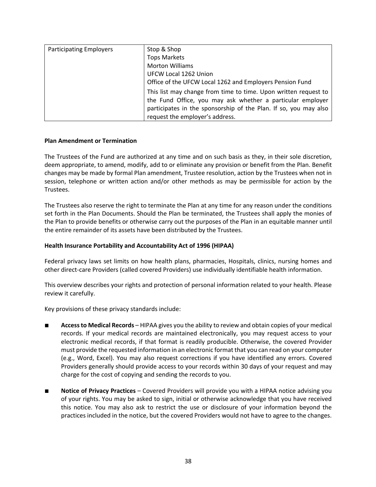| <b>Participating Employers</b> | Stop & Shop                                                      |
|--------------------------------|------------------------------------------------------------------|
|                                | <b>Tops Markets</b>                                              |
|                                | <b>Morton Williams</b>                                           |
|                                | UFCW Local 1262 Union                                            |
|                                | Office of the UFCW Local 1262 and Employers Pension Fund         |
|                                | This list may change from time to time. Upon written request to  |
|                                | the Fund Office, you may ask whether a particular employer       |
|                                | participates in the sponsorship of the Plan. If so, you may also |
|                                | request the employer's address.                                  |

#### **Plan Amendment or Termination**

The Trustees of the Fund are authorized at any time and on such basis as they, in their sole discretion, deem appropriate, to amend, modify, add to or eliminate any provision or benefit from the Plan. Benefit changes may be made by formal Plan amendment, Trustee resolution, action by the Trustees when not in session, telephone or written action and/or other methods as may be permissible for action by the Trustees.

The Trustees also reserve the right to terminate the Plan at any time for any reason under the conditions set forth in the Plan Documents. Should the Plan be terminated, the Trustees shall apply the monies of the Plan to provide benefits or otherwise carry out the purposes of the Plan in an equitable manner until the entire remainder of its assets have been distributed by the Trustees.

## **Health Insurance Portability and Accountability Act of 1996 (HIPAA)**

Federal privacy laws set limits on how health plans, pharmacies, Hospitals, clinics, nursing homes and other direct-care Providers (called covered Providers) use individually identifiable health information.

This overview describes your rights and protection of personal information related to your health. Please review it carefully.

Key provisions of these privacy standards include:

- **Access to Medical Records** HIPAA gives you the ability to review and obtain copies of your medical records. If your medical records are maintained electronically, you may request access to your electronic medical records, if that format is readily producible. Otherwise, the covered Provider must provide the requested information in an electronic format that you can read on your computer (e.g., Word, Excel). You may also request corrections if you have identified any errors. Covered Providers generally should provide access to your records within 30 days of your request and may charge for the cost of copying and sending the records to you.
- **Notice of Privacy Practices** Covered Providers will provide you with a HIPAA notice advising you of your rights. You may be asked to sign, initial or otherwise acknowledge that you have received this notice. You may also ask to restrict the use or disclosure of your information beyond the practices included in the notice, but the covered Providers would not have to agree to the changes.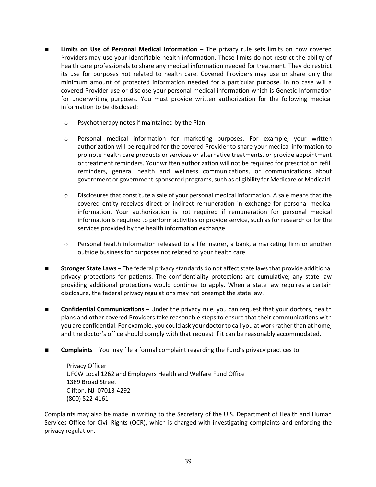- **Limits on Use of Personal Medical Information** The privacy rule sets limits on how covered Providers may use your identifiable health information. These limits do not restrict the ability of health care professionals to share any medical information needed for treatment. They do restrict its use for purposes not related to health care. Covered Providers may use or share only the minimum amount of protected information needed for a particular purpose. In no case will a covered Provider use or disclose your personal medical information which is Genetic Information for underwriting purposes. You must provide written authorization for the following medical information to be disclosed:
	- o Psychotherapy notes if maintained by the Plan.
	- o Personal medical information for marketing purposes. For example, your written authorization will be required for the covered Provider to share your medical information to promote health care products or services or alternative treatments, or provide appointment or treatment reminders. Your written authorization will not be required for prescription refill reminders, general health and wellness communications, or communications about government or government-sponsored programs, such as eligibility for Medicare or Medicaid.
	- $\circ$  Disclosures that constitute a sale of your personal medical information. A sale means that the covered entity receives direct or indirect remuneration in exchange for personal medical information. Your authorization is not required if remuneration for personal medical information is required to perform activities or provide service, such as for research or for the services provided by the health information exchange.
	- $\circ$  Personal health information released to a life insurer, a bank, a marketing firm or another outside business for purposes not related to your health care.
- **Stronger State Laws** The federal privacy standards do not affect state laws that provide additional privacy protections for patients. The confidentiality protections are cumulative; any state law providing additional protections would continue to apply. When a state law requires a certain disclosure, the federal privacy regulations may not preempt the state law.
- **Confidential Communications** Under the privacy rule, you can request that your doctors, health plans and other covered Providers take reasonable steps to ensure that their communications with you are confidential. For example, you could ask your doctor to call you at work rather than at home, and the doctor's office should comply with that request if it can be reasonably accommodated.
- **Complaints** You may file a formal complaint regarding the Fund's privacy practices to:

Privacy Officer UFCW Local 1262 and Employers Health and Welfare Fund Office 1389 Broad Street Clifton, NJ 07013-4292 (800) 522-4161

Complaints may also be made in writing to the Secretary of the U.S. Department of Health and Human Services Office for Civil Rights (OCR), which is charged with investigating complaints and enforcing the privacy regulation.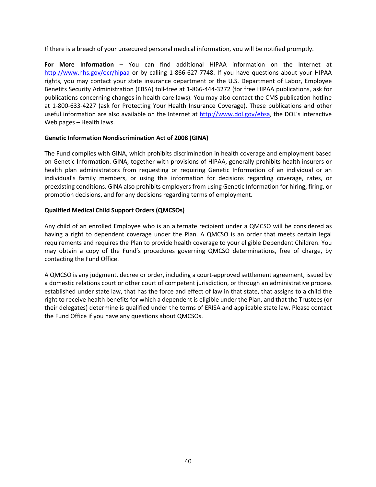If there is a breach of your unsecured personal medical information, you will be notified promptly.

**For More Information** – You can find additional HIPAA information on the Internet at http://www.hhs.gov/ocr/hipaa or by calling 1-866-627-7748. If you have questions about your HIPAA rights, you may contact your state insurance department or the U.S. Department of Labor, Employee Benefits Security Administration (EBSA) toll-free at 1-866-444-3272 (for free HIPAA publications, ask for publications concerning changes in health care laws). You may also contact the CMS publication hotline at 1-800-633-4227 (ask for Protecting Your Health Insurance Coverage). These publications and other useful information are also available on the Internet at http://www.dol.gov/ebsa, the DOL's interactive Web pages – Health laws.

## **Genetic Information Nondiscrimination Act of 2008 (GINA)**

The Fund complies with GINA, which prohibits discrimination in health coverage and employment based on Genetic Information. GINA, together with provisions of HIPAA, generally prohibits health insurers or health plan administrators from requesting or requiring Genetic Information of an individual or an individual's family members, or using this information for decisions regarding coverage, rates, or preexisting conditions. GINA also prohibits employers from using Genetic Information for hiring, firing, or promotion decisions, and for any decisions regarding terms of employment.

# **Qualified Medical Child Support Orders (QMCSOs)**

Any child of an enrolled Employee who is an alternate recipient under a QMCSO will be considered as having a right to dependent coverage under the Plan. A QMCSO is an order that meets certain legal requirements and requires the Plan to provide health coverage to your eligible Dependent Children. You may obtain a copy of the Fund's procedures governing QMCSO determinations, free of charge, by contacting the Fund Office.

A QMCSO is any judgment, decree or order, including a court-approved settlement agreement, issued by a domestic relations court or other court of competent jurisdiction, or through an administrative process established under state law, that has the force and effect of law in that state, that assigns to a child the right to receive health benefits for which a dependent is eligible under the Plan, and that the Trustees (or their delegates) determine is qualified under the terms of ERISA and applicable state law. Please contact the Fund Office if you have any questions about QMCSOs.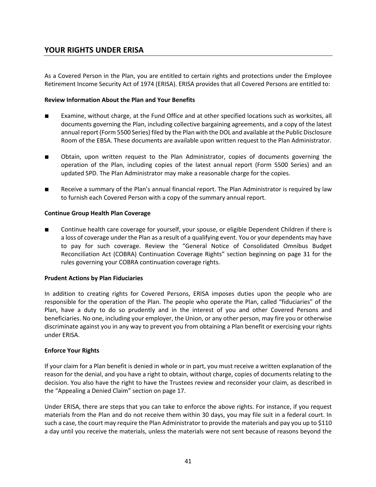# **YOUR RIGHTS UNDER ERISA**

As a Covered Person in the Plan, you are entitled to certain rights and protections under the Employee Retirement Income Security Act of 1974 (ERISA). ERISA provides that all Covered Persons are entitled to:

#### **Review Information About the Plan and Your Benefits**

- Examine, without charge, at the Fund Office and at other specified locations such as worksites, all documents governing the Plan, including collective bargaining agreements, and a copy of the latest annual report (Form 5500 Series) filed by the Plan with the DOL and available at the Public Disclosure Room of the EBSA. These documents are available upon written request to the Plan Administrator.
- Obtain, upon written request to the Plan Administrator, copies of documents governing the operation of the Plan, including copies of the latest annual report (Form 5500 Series) and an updated SPD. The Plan Administrator may make a reasonable charge for the copies.
- Receive a summary of the Plan's annual financial report. The Plan Administrator is required by law to furnish each Covered Person with a copy of the summary annual report.

#### **Continue Group Health Plan Coverage**

Continue health care coverage for yourself, your spouse, or eligible Dependent Children if there is a loss of coverage under the Plan as a result of a qualifying event. You or your dependents may have to pay for such coverage. Review the "General Notice of Consolidated Omnibus Budget Reconciliation Act (COBRA) Continuation Coverage Rights" section beginning on page 31 for the rules governing your COBRA continuation coverage rights.

#### **Prudent Actions by Plan Fiduciaries**

In addition to creating rights for Covered Persons, ERISA imposes duties upon the people who are responsible for the operation of the Plan. The people who operate the Plan, called "fiduciaries" of the Plan, have a duty to do so prudently and in the interest of you and other Covered Persons and beneficiaries. No one, including your employer, the Union, or any other person, may fire you or otherwise discriminate against you in any way to prevent you from obtaining a Plan benefit or exercising your rights under ERISA.

#### **Enforce Your Rights**

If your claim for a Plan benefit is denied in whole or in part, you must receive a written explanation of the reason for the denial, and you have a right to obtain, without charge, copies of documents relating to the decision. You also have the right to have the Trustees review and reconsider your claim, as described in the "Appealing a Denied Claim" section on page 17.

Under ERISA, there are steps that you can take to enforce the above rights. For instance, if you request materials from the Plan and do not receive them within 30 days, you may file suit in a federal court. In such a case, the court may require the Plan Administrator to provide the materials and pay you up to \$110 a day until you receive the materials, unless the materials were not sent because of reasons beyond the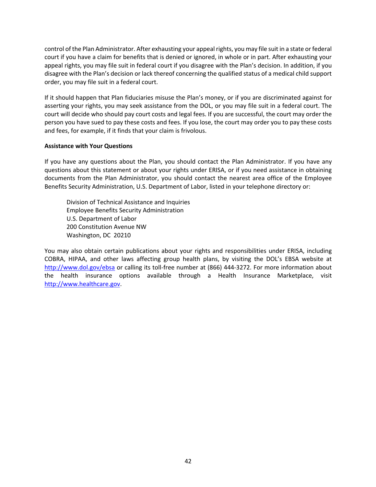control of the Plan Administrator. After exhausting your appeal rights, you may file suit in a state or federal court if you have a claim for benefits that is denied or ignored, in whole or in part. After exhausting your appeal rights, you may file suit in federal court if you disagree with the Plan's decision. In addition, if you disagree with the Plan's decision or lack thereof concerning the qualified status of a medical child support order, you may file suit in a federal court.

If it should happen that Plan fiduciaries misuse the Plan's money, or if you are discriminated against for asserting your rights, you may seek assistance from the DOL, or you may file suit in a federal court. The court will decide who should pay court costs and legal fees. If you are successful, the court may order the person you have sued to pay these costs and fees. If you lose, the court may order you to pay these costs and fees, for example, if it finds that your claim is frivolous.

#### **Assistance with Your Questions**

If you have any questions about the Plan, you should contact the Plan Administrator. If you have any questions about this statement or about your rights under ERISA, or if you need assistance in obtaining documents from the Plan Administrator, you should contact the nearest area office of the Employee Benefits Security Administration, U.S. Department of Labor, listed in your telephone directory or:

Division of Technical Assistance and Inquiries Employee Benefits Security Administration U.S. Department of Labor 200 Constitution Avenue NW Washington, DC 20210

You may also obtain certain publications about your rights and responsibilities under ERISA, including COBRA, HIPAA, and other laws affecting group health plans, by visiting the DOL's EBSA website at http://www.dol.gov/ebsa or calling its toll-free number at (866) 444-3272. For more information about the health insurance options available through a Health Insurance Marketplace, visit http://www.healthcare.gov.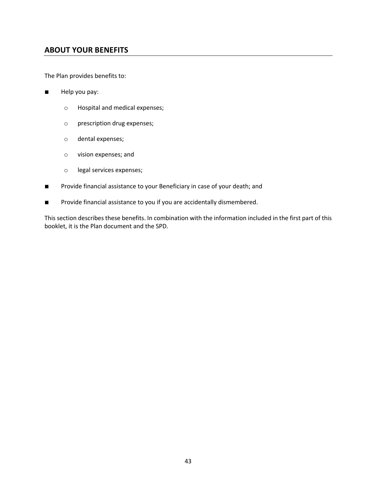# **ABOUT YOUR BENEFITS**

The Plan provides benefits to:

- Help you pay:
	- o Hospital and medical expenses;
	- o prescription drug expenses;
	- o dental expenses;
	- o vision expenses; and
	- o legal services expenses;
- Provide financial assistance to your Beneficiary in case of your death; and
- Provide financial assistance to you if you are accidentally dismembered.

This section describes these benefits. In combination with the information included in the first part of this booklet, it is the Plan document and the SPD.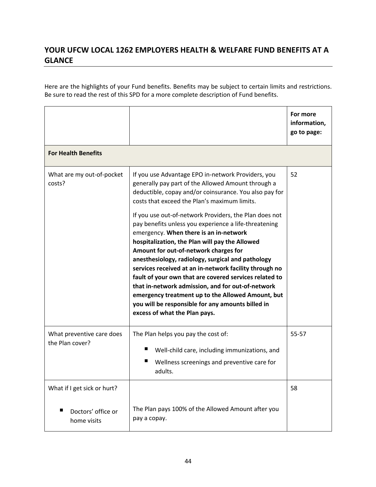# **YOUR UFCW LOCAL 1262 EMPLOYERS HEALTH & WELFARE FUND BENEFITS AT A GLANCE**

Here are the highlights of your Fund benefits. Benefits may be subject to certain limits and restrictions. Be sure to read the rest of this SPD for a more complete description of Fund benefits.

|                                                                                                                                                                                                                                                                                                                                                                                                                                                                                                                                                                                                                                                                                                                                                                                                                                                     | For more<br>information,<br>go to page: |
|-----------------------------------------------------------------------------------------------------------------------------------------------------------------------------------------------------------------------------------------------------------------------------------------------------------------------------------------------------------------------------------------------------------------------------------------------------------------------------------------------------------------------------------------------------------------------------------------------------------------------------------------------------------------------------------------------------------------------------------------------------------------------------------------------------------------------------------------------------|-----------------------------------------|
|                                                                                                                                                                                                                                                                                                                                                                                                                                                                                                                                                                                                                                                                                                                                                                                                                                                     |                                         |
| If you use Advantage EPO in-network Providers, you<br>generally pay part of the Allowed Amount through a<br>deductible, copay and/or coinsurance. You also pay for<br>costs that exceed the Plan's maximum limits.<br>If you use out-of-network Providers, the Plan does not<br>pay benefits unless you experience a life-threatening<br>emergency. When there is an in-network<br>hospitalization, the Plan will pay the Allowed<br>Amount for out-of-network charges for<br>anesthesiology, radiology, surgical and pathology<br>services received at an in-network facility through no<br>fault of your own that are covered services related to<br>that in-network admission, and for out-of-network<br>emergency treatment up to the Allowed Amount, but<br>you will be responsible for any amounts billed in<br>excess of what the Plan pays. | 52                                      |
| The Plan helps you pay the cost of:<br>■<br>Well-child care, including immunizations, and<br>Wellness screenings and preventive care for<br>adults.                                                                                                                                                                                                                                                                                                                                                                                                                                                                                                                                                                                                                                                                                                 | 55-57                                   |
| The Plan pays 100% of the Allowed Amount after you                                                                                                                                                                                                                                                                                                                                                                                                                                                                                                                                                                                                                                                                                                                                                                                                  | 58                                      |
|                                                                                                                                                                                                                                                                                                                                                                                                                                                                                                                                                                                                                                                                                                                                                                                                                                                     | pay a copay.                            |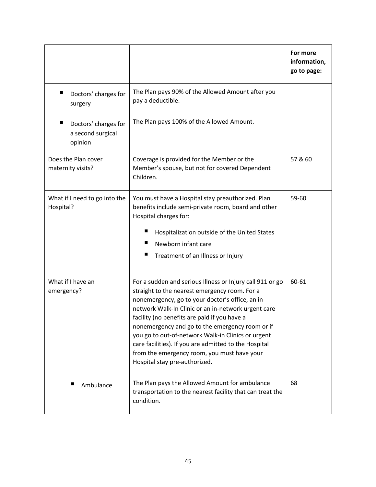|                                                                                                                                                                                                                                                                                                       |                                                                                                                                                                                                                                                                                                                                                                                                                                                                                                                         | For more<br>information,<br>go to page: |
|-------------------------------------------------------------------------------------------------------------------------------------------------------------------------------------------------------------------------------------------------------------------------------------------------------|-------------------------------------------------------------------------------------------------------------------------------------------------------------------------------------------------------------------------------------------------------------------------------------------------------------------------------------------------------------------------------------------------------------------------------------------------------------------------------------------------------------------------|-----------------------------------------|
| Doctors' charges for<br>surgery                                                                                                                                                                                                                                                                       | The Plan pays 90% of the Allowed Amount after you<br>pay a deductible.                                                                                                                                                                                                                                                                                                                                                                                                                                                  |                                         |
| ■<br>Doctors' charges for<br>a second surgical<br>opinion                                                                                                                                                                                                                                             | The Plan pays 100% of the Allowed Amount.                                                                                                                                                                                                                                                                                                                                                                                                                                                                               |                                         |
| Does the Plan cover<br>maternity visits?                                                                                                                                                                                                                                                              | Coverage is provided for the Member or the<br>Member's spouse, but not for covered Dependent<br>Children.                                                                                                                                                                                                                                                                                                                                                                                                               | 57 & 60                                 |
| What if I need to go into the<br>You must have a Hospital stay preauthorized. Plan<br>Hospital?<br>benefits include semi-private room, board and other<br>Hospital charges for:<br>ш<br>Hospitalization outside of the United States<br>Newborn infant care<br>ш<br>Treatment of an Illness or Injury |                                                                                                                                                                                                                                                                                                                                                                                                                                                                                                                         | 59-60                                   |
| What if I have an<br>emergency?                                                                                                                                                                                                                                                                       | For a sudden and serious Illness or Injury call 911 or go<br>straight to the nearest emergency room. For a<br>nonemergency, go to your doctor's office, an in-<br>network Walk-In Clinic or an in-network urgent care<br>facility (no benefits are paid if you have a<br>nonemergency and go to the emergency room or if<br>you go to out-of-network Walk-in Clinics or urgent<br>care facilities). If you are admitted to the Hospital<br>from the emergency room, you must have your<br>Hospital stay pre-authorized. | 60-61                                   |
| Ambulance                                                                                                                                                                                                                                                                                             | The Plan pays the Allowed Amount for ambulance<br>transportation to the nearest facility that can treat the<br>condition.                                                                                                                                                                                                                                                                                                                                                                                               | 68                                      |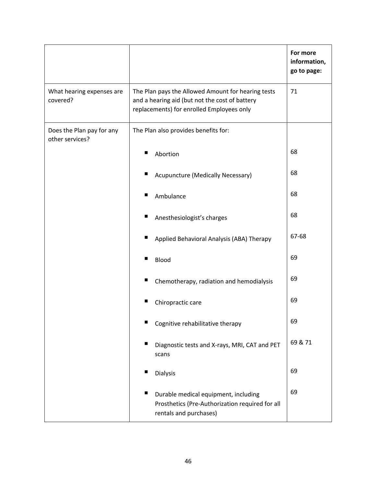|                                              |                                                                                                                                                   | For more<br>information,<br>go to page: |
|----------------------------------------------|---------------------------------------------------------------------------------------------------------------------------------------------------|-----------------------------------------|
| What hearing expenses are<br>covered?        | The Plan pays the Allowed Amount for hearing tests<br>and a hearing aid (but not the cost of battery<br>replacements) for enrolled Employees only | 71                                      |
| Does the Plan pay for any<br>other services? | The Plan also provides benefits for:                                                                                                              |                                         |
|                                              | Abortion<br>■                                                                                                                                     | 68                                      |
|                                              | Acupuncture (Medically Necessary)                                                                                                                 | 68                                      |
|                                              | Ambulance<br>■                                                                                                                                    | 68                                      |
|                                              | ш<br>Anesthesiologist's charges                                                                                                                   | 68                                      |
|                                              | Applied Behavioral Analysis (ABA) Therapy                                                                                                         | 67-68                                   |
|                                              | <b>Blood</b><br>ш                                                                                                                                 | 69                                      |
|                                              | ■<br>Chemotherapy, radiation and hemodialysis                                                                                                     | 69                                      |
|                                              | ш<br>Chiropractic care                                                                                                                            | 69                                      |
|                                              | Cognitive rehabilitative therapy                                                                                                                  | 69                                      |
|                                              | Diagnostic tests and X-rays, MRI, CAT and PET<br>scans                                                                                            | 69 & 71                                 |
|                                              | п<br><b>Dialysis</b>                                                                                                                              | 69                                      |
|                                              | ш<br>Durable medical equipment, including<br>Prosthetics (Pre-Authorization required for all<br>rentals and purchases)                            | 69                                      |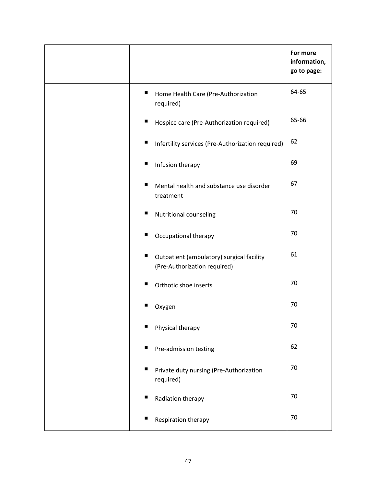|                                                                                | For more<br>information,<br>go to page: |
|--------------------------------------------------------------------------------|-----------------------------------------|
| п<br>Home Health Care (Pre-Authorization<br>required)                          | 64-65                                   |
| ш<br>Hospice care (Pre-Authorization required)                                 | 65-66                                   |
| ш<br>Infertility services (Pre-Authorization required)                         | 62                                      |
| ш<br>Infusion therapy                                                          | 69                                      |
| п<br>Mental health and substance use disorder<br>treatment                     | 67                                      |
| ш<br>Nutritional counseling                                                    | 70                                      |
| ш<br>Occupational therapy                                                      | 70                                      |
| ш<br>Outpatient (ambulatory) surgical facility<br>(Pre-Authorization required) | 61                                      |
| Orthotic shoe inserts<br>ш                                                     | 70                                      |
| Oxygen                                                                         | 70                                      |
| Physical therapy<br>ш                                                          | 70                                      |
| ш<br>Pre-admission testing                                                     | 62                                      |
| Private duty nursing (Pre-Authorization<br>required)                           | 70                                      |
| ш<br>Radiation therapy                                                         | 70                                      |
| Respiration therapy<br>ш                                                       | 70                                      |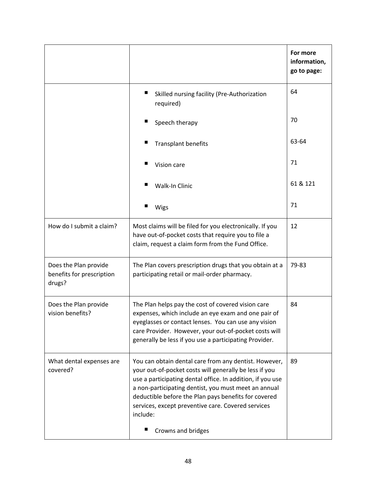|                                                              |                                                                                                                                                                                                                                                                                                                                                                                            | For more<br>information,<br>go to page: |
|--------------------------------------------------------------|--------------------------------------------------------------------------------------------------------------------------------------------------------------------------------------------------------------------------------------------------------------------------------------------------------------------------------------------------------------------------------------------|-----------------------------------------|
|                                                              | ш<br>Skilled nursing facility (Pre-Authorization<br>required)                                                                                                                                                                                                                                                                                                                              | 64                                      |
|                                                              | ■<br>Speech therapy                                                                                                                                                                                                                                                                                                                                                                        | 70                                      |
|                                                              | <b>Transplant benefits</b>                                                                                                                                                                                                                                                                                                                                                                 | 63-64                                   |
|                                                              | Vision care                                                                                                                                                                                                                                                                                                                                                                                | 71                                      |
|                                                              | Walk-In Clinic                                                                                                                                                                                                                                                                                                                                                                             | 61 & 121                                |
|                                                              | Wigs                                                                                                                                                                                                                                                                                                                                                                                       | 71                                      |
| How do I submit a claim?                                     | Most claims will be filed for you electronically. If you<br>have out-of-pocket costs that require you to file a<br>claim, request a claim form from the Fund Office.                                                                                                                                                                                                                       | 12                                      |
| Does the Plan provide<br>benefits for prescription<br>drugs? | The Plan covers prescription drugs that you obtain at a<br>participating retail or mail-order pharmacy.                                                                                                                                                                                                                                                                                    | 79-83                                   |
| Does the Plan provide<br>vision benefits?                    | The Plan helps pay the cost of covered vision care<br>expenses, which include an eye exam and one pair of<br>eyeglasses or contact lenses. You can use any vision<br>care Provider. However, your out-of-pocket costs will<br>generally be less if you use a participating Provider.                                                                                                       | 84                                      |
| What dental expenses are<br>covered?                         | You can obtain dental care from any dentist. However,<br>your out-of-pocket costs will generally be less if you<br>use a participating dental office. In addition, if you use<br>a non-participating dentist, you must meet an annual<br>deductible before the Plan pays benefits for covered<br>services, except preventive care. Covered services<br>include:<br>ш<br>Crowns and bridges | 89                                      |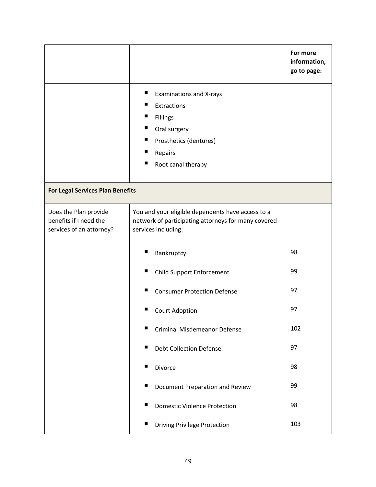|                                                                             |                                                                                                                                                                    | For more<br>information,<br>go to page: |
|-----------------------------------------------------------------------------|--------------------------------------------------------------------------------------------------------------------------------------------------------------------|-----------------------------------------|
|                                                                             | ш<br><b>Examinations and X-rays</b><br>Extractions<br>ш<br>Fillings<br>ш<br>Oral surgery<br>ш<br>Prosthetics (dentures)<br>ш<br>Repairs<br>ш<br>Root canal therapy |                                         |
| <b>For Legal Services Plan Benefits</b>                                     |                                                                                                                                                                    |                                         |
| Does the Plan provide<br>benefits if I need the<br>services of an attorney? | You and your eligible dependents have access to a<br>network of participating attorneys for many covered<br>services including:                                    |                                         |
|                                                                             | Bankruptcy                                                                                                                                                         | 98                                      |
|                                                                             | ш<br><b>Child Support Enforcement</b>                                                                                                                              | 99                                      |
|                                                                             | <b>Consumer Protection Defense</b><br>■                                                                                                                            | 97                                      |
|                                                                             | Court Adoption                                                                                                                                                     | 97                                      |
|                                                                             | ■<br><b>Criminal Misdemeanor Defense</b>                                                                                                                           | 102                                     |
|                                                                             | п<br><b>Debt Collection Defense</b>                                                                                                                                | 97                                      |
|                                                                             | п<br>Divorce                                                                                                                                                       | 98                                      |
|                                                                             | п<br>Document Preparation and Review                                                                                                                               | 99                                      |
|                                                                             | ш<br><b>Domestic Violence Protection</b>                                                                                                                           | 98                                      |
|                                                                             | ш<br><b>Driving Privilege Protection</b>                                                                                                                           | 103                                     |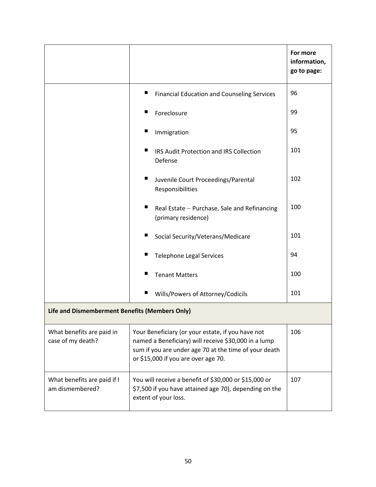|                                                |                                                                                                                                                                                                           | For more<br>information,<br>go to page: |
|------------------------------------------------|-----------------------------------------------------------------------------------------------------------------------------------------------------------------------------------------------------------|-----------------------------------------|
|                                                | ш<br><b>Financial Education and Counseling Services</b>                                                                                                                                                   | 96                                      |
|                                                | Foreclosure<br>ш                                                                                                                                                                                          | 99                                      |
|                                                | ш<br>Immigration                                                                                                                                                                                          | 95                                      |
|                                                | ш<br>IRS Audit Protection and IRS Collection<br>Defense                                                                                                                                                   | 101                                     |
|                                                | ш<br>Juvenile Court Proceedings/Parental<br>Responsibilities                                                                                                                                              | 102                                     |
|                                                | ш<br>Real Estate - Purchase, Sale and Refinancing<br>(primary residence)                                                                                                                                  | 100                                     |
|                                                | Social Security/Veterans/Medicare                                                                                                                                                                         | 101                                     |
|                                                | <b>Telephone Legal Services</b><br>■                                                                                                                                                                      | 94                                      |
|                                                | ш<br><b>Tenant Matters</b>                                                                                                                                                                                | 100                                     |
|                                                | ш<br>Wills/Powers of Attorney/Codicils                                                                                                                                                                    | 101                                     |
| Life and Dismemberment Benefits (Members Only) |                                                                                                                                                                                                           |                                         |
| What benefits are paid in<br>case of my death? | Your Beneficiary (or your estate, if you have not<br>named a Beneficiary) will receive \$30,000 in a lump<br>sum if you are under age 70 at the time of your death<br>or \$15,000 if you are over age 70. | 106                                     |
| What benefits are paid if I<br>am dismembered? | You will receive a benefit of \$30,000 or \$15,000 or<br>\$7,500 if you have attained age 70), depending on the<br>extent of your loss.                                                                   | 107                                     |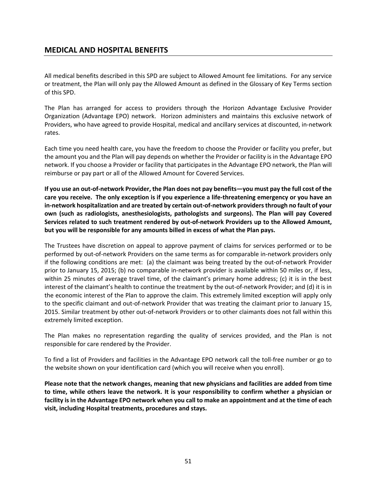# **MEDICAL AND HOSPITAL BENEFITS**

All medical benefits described in this SPD are subject to Allowed Amount fee limitations. For any service or treatment, the Plan will only pay the Allowed Amount as defined in the Glossary of Key Terms section of this SPD.

The Plan has arranged for access to providers through the Horizon Advantage Exclusive Provider Organization (Advantage EPO) network. Horizon administers and maintains this exclusive network of Providers, who have agreed to provide Hospital, medical and ancillary services at discounted, in-network rates.

Each time you need health care, you have the freedom to choose the Provider or facility you prefer, but the amount you and the Plan will pay depends on whether the Provider or facility is in the Advantage EPO network. If you choose a Provider or facility that participates in the Advantage EPO network, the Plan will reimburse or pay part or all of the Allowed Amount for Covered Services.

**If you use an out-of-network Provider, the Plan does not pay benefits—you must pay the full cost of the care you receive. The only exception is if you experience a life-threatening emergency or you have an in-network hospitalization and are treated by certain out-of-network providers through no fault of your own (such as radiologists, anesthesiologists, pathologists and surgeons). The Plan will pay Covered Services related to such treatment rendered by out-of-network Providers up to the Allowed Amount, but you will be responsible for any amounts billed in excess of what the Plan pays.**

The Trustees have discretion on appeal to approve payment of claims for services performed or to be performed by out-of-network Providers on the same terms as for comparable in-network providers only if the following conditions are met: (a) the claimant was being treated by the out-of-network Provider prior to January 15, 2015; (b) no comparable in-network provider is available within 50 miles or, if less, within 25 minutes of average travel time, of the claimant's primary home address; (c) it is in the best interest of the claimant's health to continue the treatment by the out-of-network Provider; and (d) it is in the economic interest of the Plan to approve the claim. This extremely limited exception will apply only to the specific claimant and out-of-network Provider that was treating the claimant prior to January 15, 2015. Similar treatment by other out-of-network Providers or to other claimants does not fall within this extremely limited exception.

The Plan makes no representation regarding the quality of services provided, and the Plan is not responsible for care rendered by the Provider.

To find a list of Providers and facilities in the Advantage EPO network call the toll-free number or go to the website shown on your identification card (which you will receive when you enroll).

**Please note that the network changes, meaning that new physicians and facilities are added from time to time, while others leave the network. It is your responsibility to confirm whether a physician or facility is in the Advantage EPO network when you call to make an appointment and at the time of each visit, including Hospital treatments, procedures and stays.**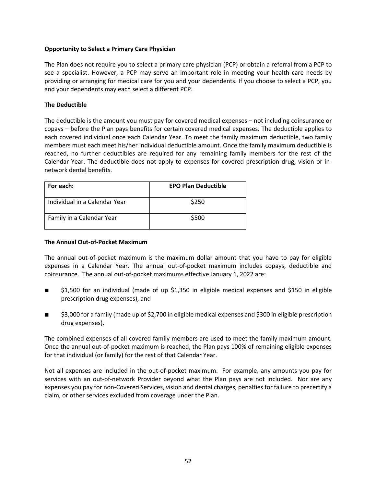### **Opportunity to Select a Primary Care Physician**

The Plan does not require you to select a primary care physician (PCP) or obtain a referral from a PCP to see a specialist. However, a PCP may serve an important role in meeting your health care needs by providing or arranging for medical care for you and your dependents. If you choose to select a PCP, you and your dependents may each select a different PCP.

## **The Deductible**

The deductible is the amount you must pay for covered medical expenses – not including coinsurance or copays – before the Plan pays benefits for certain covered medical expenses. The deductible applies to each covered individual once each Calendar Year. To meet the family maximum deductible, two family members must each meet his/her individual deductible amount. Once the family maximum deductible is reached, no further deductibles are required for any remaining family members for the rest of the Calendar Year. The deductible does not apply to expenses for covered prescription drug, vision or innetwork dental benefits.

| For each:                     | <b>EPO Plan Deductible</b> |
|-------------------------------|----------------------------|
| Individual in a Calendar Year | \$250                      |
| Family in a Calendar Year     | \$500                      |

#### **The Annual Out-of-Pocket Maximum**

The annual out-of-pocket maximum is the maximum dollar amount that you have to pay for eligible expenses in a Calendar Year. The annual out-of-pocket maximum includes copays, deductible and coinsurance. The annual out-of-pocket maximums effective January 1, 2022 are:

- \$1,500 for an individual (made of up \$1,350 in eligible medical expenses and \$150 in eligible prescription drug expenses), and
- \$3,000 for a family (made up of \$2,700 in eligible medical expenses and \$300 in eligible prescription drug expenses).

The combined expenses of all covered family members are used to meet the family maximum amount. Once the annual out-of-pocket maximum is reached, the Plan pays 100% of remaining eligible expenses for that individual (or family) for the rest of that Calendar Year.

Not all expenses are included in the out-of-pocket maximum. For example, any amounts you pay for services with an out-of-network Provider beyond what the Plan pays are not included. Nor are any expenses you pay for non-Covered Services, vision and dental charges, penalties for failure to precertify a claim, or other services excluded from coverage under the Plan.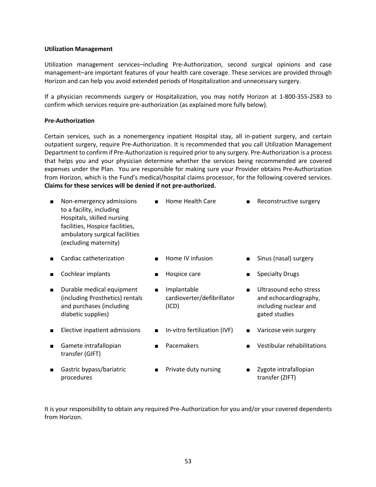#### **Utilization Management**

Utilization management services–including Pre-Authorization, second surgical opinions and case management–are important features of your health care coverage. These services are provided through Horizon and can help you avoid extended periods of Hospitalization and unnecessary surgery.

If a physician recommends surgery or Hospitalization, you may notify Horizon at 1-800-355-2583 to confirm which services require pre-authorization (as explained more fully below).

#### **Pre-Authorization**

Certain services, such as a nonemergency inpatient Hospital stay, all in-patient surgery, and certain outpatient surgery, require Pre-Authorization. It is recommended that you call Utilization Management Department to confirm if Pre-Authorization is required prior to any surgery. Pre-Authorization is a process that helps you and your physician determine whether the services being recommended are covered expenses under the Plan. You are responsible for making sure your Provider obtains Pre-Authorization from Horizon, which is the Fund's medical/hospital claims processor, for the following covered services. **Claims for these services will be denied if not pre-authorized.**

| П              | Non-emergency admissions<br>to a facility, including<br>Hospitals, skilled nursing<br>facilities, Hospice facilities,<br>ambulatory surgical facilities<br>(excluding maternity) |                | Home Health Care                                   |                | Reconstructive surgery                                                                    |
|----------------|----------------------------------------------------------------------------------------------------------------------------------------------------------------------------------|----------------|----------------------------------------------------|----------------|-------------------------------------------------------------------------------------------|
|                | Cardiac catheterization                                                                                                                                                          |                | Home IV infusion                                   |                | Sinus (nasal) surgery                                                                     |
|                | Cochlear implants                                                                                                                                                                |                | Hospice care                                       | $\blacksquare$ | <b>Specialty Drugs</b>                                                                    |
| $\blacksquare$ | Durable medical equipment<br>(including Prosthetics) rentals<br>and purchases (including<br>diabetic supplies)                                                                   | $\blacksquare$ | Implantable<br>cardioverter/defibrillator<br>(ICD) | $\blacksquare$ | Ultrasound echo stress<br>and echocardiography,<br>including nuclear and<br>gated studies |
| П              | Elective inpatient admissions                                                                                                                                                    | $\blacksquare$ | In-vitro fertilization (IVF)                       | $\blacksquare$ | Varicose vein surgery                                                                     |
|                | Gamete intrafallopian<br>transfer (GIFT)                                                                                                                                         |                | Pacemakers                                         |                | Vestibular rehabilitations                                                                |
|                | $\sim$ . The state of the state of $\sim$                                                                                                                                        |                |                                                    |                | ラー・フォッ きょうしょ firather いちょう                                                                |

- Gastric bypass/bariatric procedures
- Private duty nursing Zygote intrafallopian transfer (ZIFT)

It is your responsibility to obtain any required Pre-Authorization for you and/or your covered dependents from Horizon.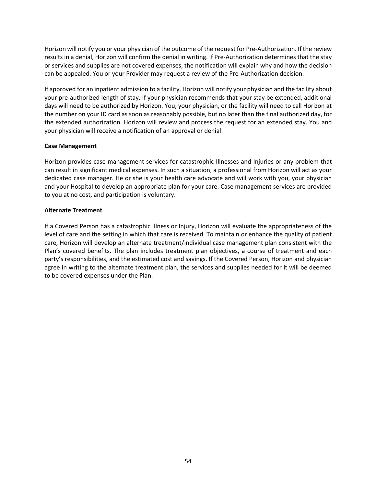Horizon will notify you or your physician of the outcome of the request for Pre-Authorization. If the review results in a denial, Horizon will confirm the denial in writing. If Pre-Authorization determines that the stay or services and supplies are not covered expenses, the notification will explain why and how the decision can be appealed. You or your Provider may request a review of the Pre-Authorization decision.

If approved for an inpatient admission to a facility, Horizon will notify your physician and the facility about your pre-authorized length of stay. If your physician recommends that your stay be extended, additional days will need to be authorized by Horizon. You, your physician, or the facility will need to call Horizon at the number on your ID card as soon as reasonably possible, but no later than the final authorized day, for the extended authorization. Horizon will review and process the request for an extended stay. You and your physician will receive a notification of an approval or denial.

#### **Case Management**

Horizon provides case management services for catastrophic Illnesses and Injuries or any problem that can result in significant medical expenses. In such a situation, a professional from Horizon will act as your dedicated case manager. He or she is your health care advocate and will work with you, your physician and your Hospital to develop an appropriate plan for your care. Case management services are provided to you at no cost, and participation is voluntary.

#### **Alternate Treatment**

If a Covered Person has a catastrophic Illness or Injury, Horizon will evaluate the appropriateness of the level of care and the setting in which that care is received. To maintain or enhance the quality of patient care, Horizon will develop an alternate treatment/individual case management plan consistent with the Plan's covered benefits. The plan includes treatment plan objectives, a course of treatment and each party's responsibilities, and the estimated cost and savings. If the Covered Person, Horizon and physician agree in writing to the alternate treatment plan, the services and supplies needed for it will be deemed to be covered expenses under the Plan.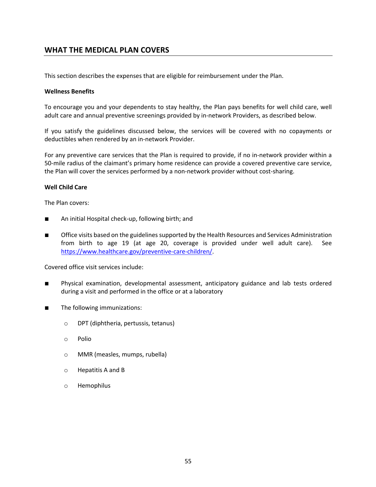# **WHAT THE MEDICAL PLAN COVERS**

This section describes the expenses that are eligible for reimbursement under the Plan.

#### **Wellness Benefits**

To encourage you and your dependents to stay healthy, the Plan pays benefits for well child care, well adult care and annual preventive screenings provided by in-network Providers, as described below.

If you satisfy the guidelines discussed below, the services will be covered with no copayments or deductibles when rendered by an in-network Provider.

For any preventive care services that the Plan is required to provide, if no in-network provider within a 50-mile radius of the claimant's primary home residence can provide a covered preventive care service, the Plan will cover the services performed by a non-network provider without cost-sharing.

#### **Well Child Care**

The Plan covers:

- An initial Hospital check-up, following birth; and
- Office visits based on the guidelines supported by the Health Resources and Services Administration from birth to age 19 (at age 20, coverage is provided under well adult care). See https://www.healthcare.gov/preventive-care-children/.

Covered office visit services include:

- Physical examination, developmental assessment, anticipatory guidance and lab tests ordered during a visit and performed in the office or at a laboratory
- The following immunizations:
	- o DPT (diphtheria, pertussis, tetanus)
	- o Polio
	- o MMR (measles, mumps, rubella)
	- o Hepatitis A and B
	- o Hemophilus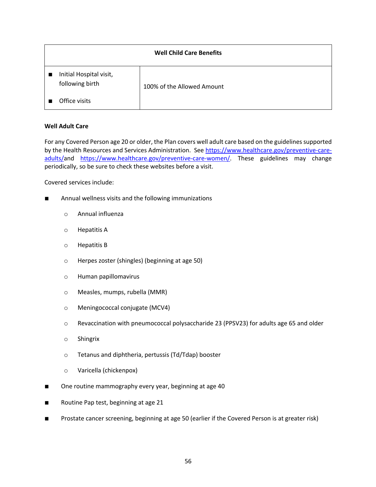| <b>Well Child Care Benefits</b>            |                            |  |  |
|--------------------------------------------|----------------------------|--|--|
| Initial Hospital visit,<br>following birth | 100% of the Allowed Amount |  |  |
| Office visits                              |                            |  |  |

## **Well Adult Care**

For any Covered Person age 20 or older, the Plan covers well adult care based on the guidelines supported by the Health Resources and Services Administration. See https://www.healthcare.gov/preventive-careadults/and https://www.healthcare.gov/preventive-care-women/. These guidelines may change periodically, so be sure to check these websites before a visit.

Covered services include:

- Annual wellness visits and the following immunizations
	- o Annual influenza
	- o Hepatitis A
	- o Hepatitis B
	- o Herpes zoster (shingles) (beginning at age 50)
	- o Human papillomavirus
	- o Measles, mumps, rubella (MMR)
	- o Meningococcal conjugate (MCV4)
	- o Revaccination with pneumococcal polysaccharide 23 (PPSV23) for adults age 65 and older
	- o Shingrix
	- o Tetanus and diphtheria, pertussis (Td/Tdap) booster
	- o Varicella (chickenpox)
- One routine mammography every year, beginning at age 40
- Routine Pap test, beginning at age 21
- Prostate cancer screening, beginning at age 50 (earlier if the Covered Person is at greater risk)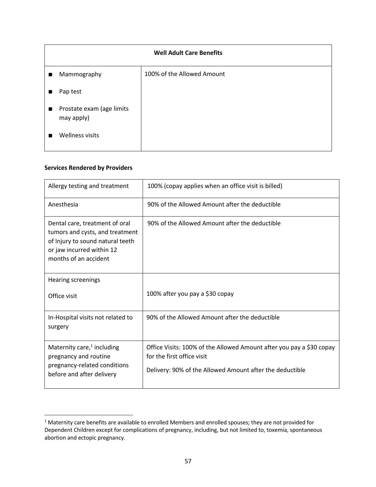| <b>Well Adult Care Benefits</b>                           |                            |  |
|-----------------------------------------------------------|----------------------------|--|
| Mammography<br>$\blacksquare$                             | 100% of the Allowed Amount |  |
| Pap test                                                  |                            |  |
| Prostate exam (age limits<br>$\blacksquare$<br>may apply) |                            |  |
| Wellness visits<br>п                                      |                            |  |

#### **Services Rendered by Providers**

| Allergy testing and treatment                                                                                                                               | 100% (copay applies when an office visit is billed)                                                                                                            |
|-------------------------------------------------------------------------------------------------------------------------------------------------------------|----------------------------------------------------------------------------------------------------------------------------------------------------------------|
| Anesthesia                                                                                                                                                  | 90% of the Allowed Amount after the deductible                                                                                                                 |
| Dental care, treatment of oral<br>tumors and cysts, and treatment<br>of Injury to sound natural teeth<br>or jaw incurred within 12<br>months of an accident | 90% of the Allowed Amount after the deductible                                                                                                                 |
| <b>Hearing screenings</b><br>Office visit                                                                                                                   | 100% after you pay a \$30 copay                                                                                                                                |
| In-Hospital visits not related to<br>surgery                                                                                                                | 90% of the Allowed Amount after the deductible                                                                                                                 |
| Maternity care, $1$ including<br>pregnancy and routine<br>pregnancy-related conditions<br>before and after delivery                                         | Office Visits: 100% of the Allowed Amount after you pay a \$30 copay<br>for the first office visit<br>Delivery: 90% of the Allowed Amount after the deductible |

<sup>&</sup>lt;sup>1</sup> Maternity care benefits are available to enrolled Members and enrolled spouses; they are not provided for Dependent Children except for complications of pregnancy, including, but not limited to, toxemia, spontaneous abortion and ectopic pregnancy.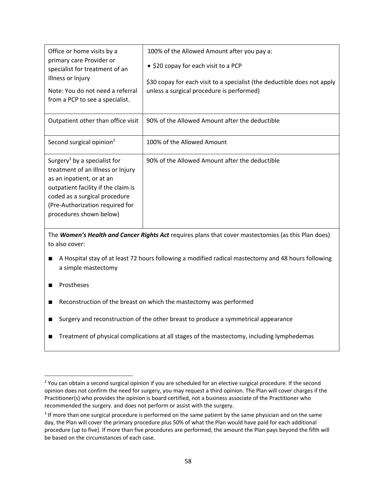| Office or home visits by a<br>primary care Provider or<br>specialist for treatment of an<br>Illness or Injury<br>Note: You do not need a referral<br>from a PCP to see a specialist.                                                             | 100% of the Allowed Amount after you pay a:<br>• \$20 copay for each visit to a PCP<br>\$30 copay for each visit to a specialist (the deductible does not apply<br>unless a surgical procedure is performed) |
|--------------------------------------------------------------------------------------------------------------------------------------------------------------------------------------------------------------------------------------------------|--------------------------------------------------------------------------------------------------------------------------------------------------------------------------------------------------------------|
| Outpatient other than office visit                                                                                                                                                                                                               | 90% of the Allowed Amount after the deductible                                                                                                                                                               |
| Second surgical opinion <sup>2</sup>                                                                                                                                                                                                             | 100% of the Allowed Amount                                                                                                                                                                                   |
| Surgery <sup>3</sup> by a specialist for<br>treatment of an Illness or Injury<br>as an inpatient, or at an<br>outpatient facility if the claim is<br>coded as a surgical procedure<br>(Pre-Authorization required for<br>procedures shown below) | 90% of the Allowed Amount after the deductible                                                                                                                                                               |

The *Women's Health and Cancer Rights Act* requires plans that cover mastectomies (as this Plan does) to also cover:

- A Hospital stay of at least 72 hours following a modified radical mastectomy and 48 hours following a simple mastectomy
- Prostheses
- Reconstruction of the breast on which the mastectomy was performed
- Surgery and reconstruction of the other breast to produce a symmetrical appearance
- Treatment of physical complications at all stages of the mastectomy, including lymphedemas

<sup>&</sup>lt;sup>2</sup> You can obtain a second surgical opinion if you are scheduled for an elective surgical procedure. If the second opinion does not confirm the need for surgery, you may request a third opinion. The Plan will cover charges if the Practitioner(s) who provides the opinion is board certified, not a business associate of the Practitioner who recommended the surgery. and does not perform or assist with the surgery.

<sup>&</sup>lt;sup>3</sup> If more than one surgical procedure is performed on the same patient by the same physician and on the same day, the Plan will cover the primary procedure plus 50% of what the Plan would have paid for each additional procedure (up to five). If more than five procedures are performed, the amount the Plan pays beyond the fifth will be based on the circumstances of each case.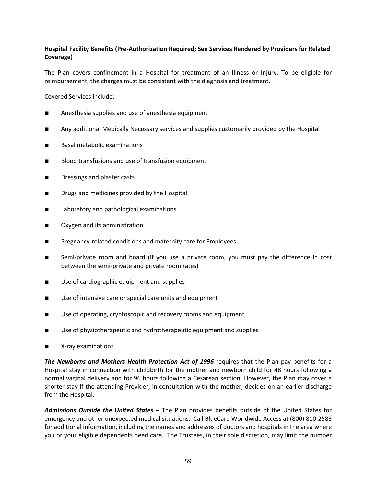# **Hospital Facility Benefits (Pre-Authorization Required; See Services Rendered by Providers for Related Coverage)**

The Plan covers confinement in a Hospital for treatment of an Illness or Injury. To be eligible for reimbursement, the charges must be consistent with the diagnosis and treatment.

Covered Services include:

- Anesthesia supplies and use of anesthesia equipment
- Any additional Medically Necessary services and supplies customarily provided by the Hospital
- Basal metabolic examinations
- Blood transfusions and use of transfusion equipment
- Dressings and plaster casts
- Drugs and medicines provided by the Hospital
- Laboratory and pathological examinations
- Oxygen and its administration
- Pregnancy-related conditions and maternity care for Employees
- Semi-private room and board (if you use a private room, you must pay the difference in cost between the semi-private and private room rates)
- Use of cardiographic equipment and supplies
- Use of intensive care or special care units and equipment
- Use of operating, cryptoscopic and recovery rooms and equipment
- Use of physiotherapeutic and hydrotherapeutic equipment and supplies
- X-ray examinations

*The Newborns and Mothers Health Protection Act of 1996* requires that the Plan pay benefits for a Hospital stay in connection with childbirth for the mother and newborn child for 48 hours following a normal vaginal delivery and for 96 hours following a Cesarean section. However, the Plan may cover a shorter stay if the attending Provider, in consultation with the mother, decides on an earlier discharge from the Hospital.

*Admissions Outside the United States* – The Plan provides benefits outside of the United States for emergency and other unexpected medical situations. Call BlueCard Worldwide Access at (800) 810-2583 for additional information, including the names and addresses of doctors and hospitals in the area where you or your eligible dependents need care. The Trustees, in their sole discretion, may limit the number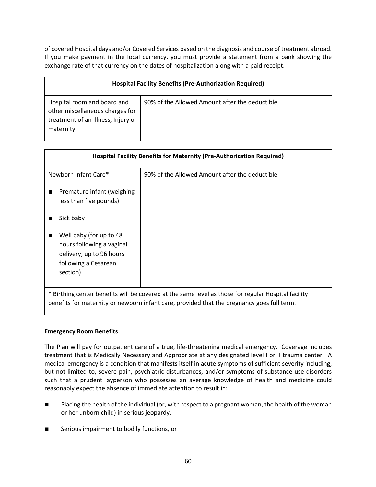of covered Hospital days and/or Covered Services based on the diagnosis and course of treatment abroad. If you make payment in the local currency, you must provide a statement from a bank showing the exchange rate of that currency on the dates of hospitalization along with a paid receipt.

| <b>Hospital Facility Benefits (Pre-Authorization Required)</b>                                                    |                                                |  |
|-------------------------------------------------------------------------------------------------------------------|------------------------------------------------|--|
| Hospital room and board and<br>other miscellaneous charges for<br>treatment of an Illness, Injury or<br>maternity | 90% of the Allowed Amount after the deductible |  |

| <b>Hospital Facility Benefits for Maternity (Pre-Authorization Required)</b>                                                                                                                      |                                                |  |  |
|---------------------------------------------------------------------------------------------------------------------------------------------------------------------------------------------------|------------------------------------------------|--|--|
| Newborn Infant Care*                                                                                                                                                                              | 90% of the Allowed Amount after the deductible |  |  |
| Premature infant (weighing<br>less than five pounds)                                                                                                                                              |                                                |  |  |
| Sick baby                                                                                                                                                                                         |                                                |  |  |
| Well baby (for up to 48<br>■<br>hours following a vaginal<br>delivery; up to 96 hours<br>following a Cesarean<br>section)                                                                         |                                                |  |  |
| * Birthing center benefits will be covered at the same level as those for regular Hospital facility<br>benefits for maternity or newborn infant care, provided that the pregnancy goes full term. |                                                |  |  |

# **Emergency Room Benefits**

The Plan will pay for outpatient care of a true, life-threatening medical emergency. Coverage includes treatment that is Medically Necessary and Appropriate at any designated level I or II trauma center. A medical emergency is a condition that manifests itself in acute symptoms of sufficient severity including, but not limited to, severe pain, psychiatric disturbances, and/or symptoms of substance use disorders such that a prudent layperson who possesses an average knowledge of health and medicine could reasonably expect the absence of immediate attention to result in:

- Placing the health of the individual (or, with respect to a pregnant woman, the health of the woman or her unborn child) in serious jeopardy,
- Serious impairment to bodily functions, or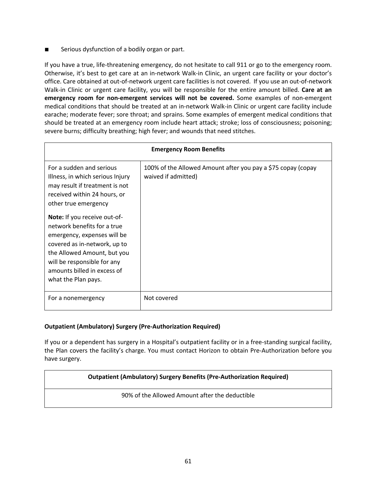Serious dysfunction of a bodily organ or part.

If you have a true, life-threatening emergency, do not hesitate to call 911 or go to the emergency room. Otherwise, it's best to get care at an in-network Walk-in Clinic, an urgent care facility or your doctor's office. Care obtained at out-of-network urgent care facilities is not covered. If you use an out-of-network Walk-in Clinic or urgent care facility, you will be responsible for the entire amount billed. **Care at an emergency room for non-emergent services will not be covered.** Some examples of non-emergent medical conditions that should be treated at an in-network Walk-in Clinic or urgent care facility include earache; moderate fever; sore throat; and sprains. Some examples of emergent medical conditions that should be treated at an emergency room include heart attack; stroke; loss of consciousness; poisoning; severe burns; difficulty breathing; high fever; and wounds that need stitches.

| <b>Emergency Room Benefits</b>                                                                                                                                                                                                                 |                                                                                     |  |  |
|------------------------------------------------------------------------------------------------------------------------------------------------------------------------------------------------------------------------------------------------|-------------------------------------------------------------------------------------|--|--|
| For a sudden and serious<br>Illness, in which serious Injury<br>may result if treatment is not<br>received within 24 hours, or<br>other true emergency                                                                                         | 100% of the Allowed Amount after you pay a \$75 copay (copay<br>waived if admitted) |  |  |
| Note: If you receive out-of-<br>network benefits for a true<br>emergency, expenses will be<br>covered as in-network, up to<br>the Allowed Amount, but you<br>will be responsible for any<br>amounts billed in excess of<br>what the Plan pays. |                                                                                     |  |  |
| For a nonemergency                                                                                                                                                                                                                             | Not covered                                                                         |  |  |

# **Outpatient (Ambulatory) Surgery (Pre-Authorization Required)**

If you or a dependent has surgery in a Hospital's outpatient facility or in a free-standing surgical facility, the Plan covers the facility's charge. You must contact Horizon to obtain Pre-Authorization before you have surgery.

# **Outpatient (Ambulatory) Surgery Benefits (Pre-Authorization Required)**

90% of the Allowed Amount after the deductible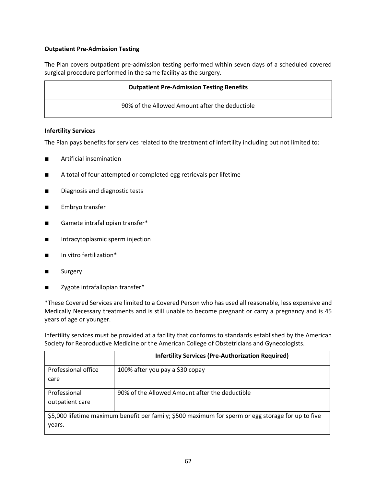# **Outpatient Pre-Admission Testing**

The Plan covers outpatient pre-admission testing performed within seven days of a scheduled covered surgical procedure performed in the same facility as the surgery.

#### **Outpatient Pre-Admission Testing Benefits**

90% of the Allowed Amount after the deductible

#### **Infertility Services**

The Plan pays benefits for services related to the treatment of infertility including but not limited to:

- Artificial insemination
- A total of four attempted or completed egg retrievals per lifetime
- Diagnosis and diagnostic tests
- Embryo transfer
- Gamete intrafallopian transfer\*
- Intracytoplasmic sperm injection
- In vitro fertilization<sup>\*</sup>
- Surgery
- Zygote intrafallopian transfer\*

\*These Covered Services are limited to a Covered Person who has used all reasonable, less expensive and Medically Necessary treatments and is still unable to become pregnant or carry a pregnancy and is 45 years of age or younger.

Infertility services must be provided at a facility that conforms to standards established by the American Society for Reproductive Medicine or the American College of Obstetricians and Gynecologists.

|                                                                                                    | <b>Infertility Services (Pre-Authorization Required)</b> |  |  |
|----------------------------------------------------------------------------------------------------|----------------------------------------------------------|--|--|
| Professional office                                                                                | 100% after you pay a \$30 copay                          |  |  |
| care                                                                                               |                                                          |  |  |
| Professional                                                                                       | 90% of the Allowed Amount after the deductible           |  |  |
| outpatient care                                                                                    |                                                          |  |  |
| \$5,000 lifetime maximum benefit per family; \$500 maximum for sperm or egg storage for up to five |                                                          |  |  |
| years.                                                                                             |                                                          |  |  |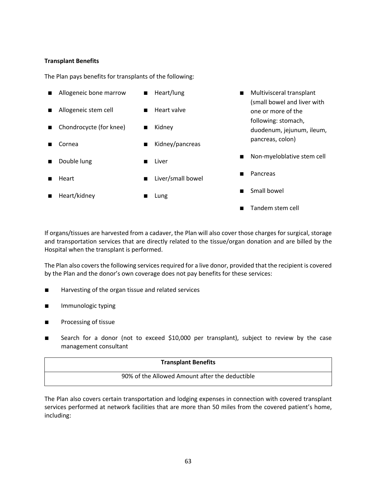## **Transplant Benefits**

The Plan pays benefits for transplants of the following:

|   | Allogeneic bone marrow  | Heart/lung        | Multivisceral transplant                          |
|---|-------------------------|-------------------|---------------------------------------------------|
| п | Allogeneic stem cell    | Heart valve       | (small bowel and liver with<br>one or more of the |
|   | Chondrocycte (for knee) | Kidney            | following: stomach,<br>duodenum, jejunum, ileum,  |
|   | Cornea                  | Kidney/pancreas   | pancreas, colon)                                  |
|   | Double lung             | Liver             | Non-myeloblative stem cell                        |
|   | Heart                   | Liver/small bowel | Pancreas                                          |
|   | Heart/kidney            | Lung              | Small bowel                                       |
|   |                         |                   | Tandem stem cell                                  |

If organs/tissues are harvested from a cadaver, the Plan will also cover those charges for surgical, storage and transportation services that are directly related to the tissue/organ donation and are billed by the Hospital when the transplant is performed.

The Plan also covers the following services required for a live donor, provided that the recipient is covered by the Plan and the donor's own coverage does not pay benefits for these services:

- Harvesting of the organ tissue and related services
- Immunologic typing
- Processing of tissue
- Search for a donor (not to exceed \$10,000 per transplant), subject to review by the case management consultant

#### **Transplant Benefits**

#### 90% of the Allowed Amount after the deductible

The Plan also covers certain transportation and lodging expenses in connection with covered transplant services performed at network facilities that are more than 50 miles from the covered patient's home, including: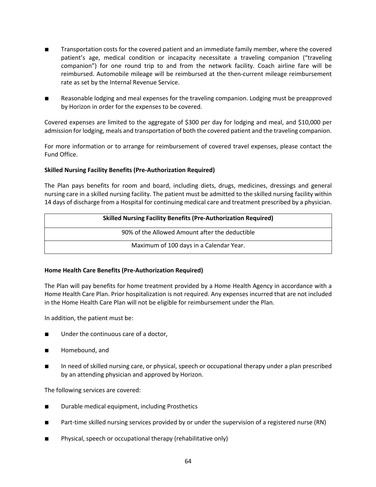- Transportation costs for the covered patient and an immediate family member, where the covered patient's age, medical condition or incapacity necessitate a traveling companion ("traveling companion") for one round trip to and from the network facility. Coach airline fare will be reimbursed. Automobile mileage will be reimbursed at the then-current mileage reimbursement rate as set by the Internal Revenue Service.
- Reasonable lodging and meal expenses for the traveling companion. Lodging must be preapproved by Horizon in order for the expenses to be covered.

Covered expenses are limited to the aggregate of \$300 per day for lodging and meal, and \$10,000 per admission for lodging, meals and transportation of both the covered patient and the traveling companion.

For more information or to arrange for reimbursement of covered travel expenses, please contact the Fund Office.

## **Skilled Nursing Facility Benefits (Pre-Authorization Required)**

The Plan pays benefits for room and board, including diets, drugs, medicines, dressings and general nursing care in a skilled nursing facility. The patient must be admitted to the skilled nursing facility within 14 days of discharge from a Hospital for continuing medical care and treatment prescribed by a physician.

| <b>Skilled Nursing Facility Benefits (Pre-Authorization Required)</b> |  |  |
|-----------------------------------------------------------------------|--|--|
| 90% of the Allowed Amount after the deductible                        |  |  |
| Maximum of 100 days in a Calendar Year.                               |  |  |

#### **Home Health Care Benefits (Pre-Authorization Required)**

The Plan will pay benefits for home treatment provided by a Home Health Agency in accordance with a Home Health Care Plan. Prior hospitalization is not required. Any expenses incurred that are not included in the Home Health Care Plan will not be eligible for reimbursement under the Plan.

In addition, the patient must be:

- Under the continuous care of a doctor,
- Homebound, and
- In need of skilled nursing care, or physical, speech or occupational therapy under a plan prescribed by an attending physician and approved by Horizon.

The following services are covered:

- Durable medical equipment, including Prosthetics
- Part-time skilled nursing services provided by or under the supervision of a registered nurse (RN)
- Physical, speech or occupational therapy (rehabilitative only)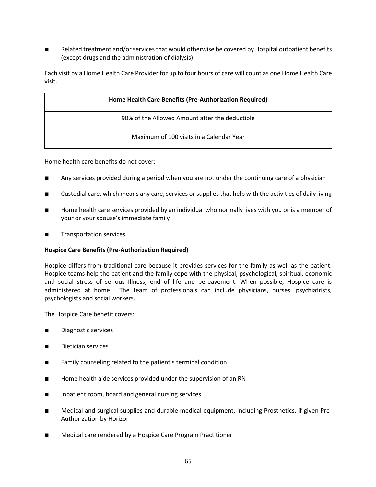■ Related treatment and/or services that would otherwise be covered by Hospital outpatient benefits (except drugs and the administration of dialysis)

Each visit by a Home Health Care Provider for up to four hours of care will count as one Home Health Care visit.

| Home Health Care Benefits (Pre-Authorization Required) |
|--------------------------------------------------------|
| 90% of the Allowed Amount after the deductible         |
| Maximum of 100 visits in a Calendar Year               |

Home health care benefits do not cover:

- Any services provided during a period when you are not under the continuing care of a physician
- Custodial care, which means any care, services or supplies that help with the activities of daily living
- Home health care services provided by an individual who normally lives with you or is a member of your or your spouse's immediate family
- Transportation services

#### **Hospice Care Benefits (Pre-Authorization Required)**

Hospice differs from traditional care because it provides services for the family as well as the patient. Hospice teams help the patient and the family cope with the physical, psychological, spiritual, economic and social stress of serious Illness, end of life and bereavement. When possible, Hospice care is administered at home. The team of professionals can include physicians, nurses, psychiatrists, psychologists and social workers.

The Hospice Care benefit covers:

- Diagnostic services
- Dietician services
- Family counseling related to the patient's terminal condition
- Home health aide services provided under the supervision of an RN
- Inpatient room, board and general nursing services
- Medical and surgical supplies and durable medical equipment, including Prosthetics, if given Pre-Authorization by Horizon
- Medical care rendered by a Hospice Care Program Practitioner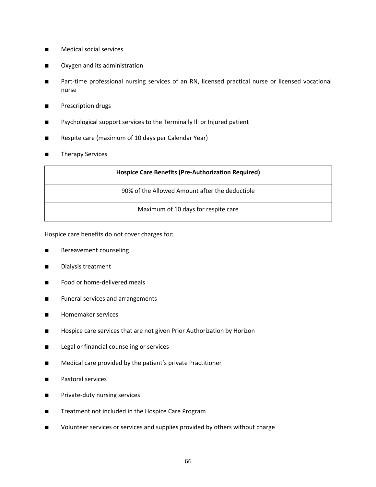- Medical social services
- Oxygen and its administration
- Part-time professional nursing services of an RN, licensed practical nurse or licensed vocational nurse
- Prescription drugs
- Psychological support services to the Terminally III or Injured patient
- Respite care (maximum of 10 days per Calendar Year)
- Therapy Services

| <b>Hospice Care Benefits (Pre-Authorization Required)</b> |
|-----------------------------------------------------------|
| 90% of the Allowed Amount after the deductible            |
| Maximum of 10 days for respite care                       |

Hospice care benefits do not cover charges for:

- Bereavement counseling
- Dialysis treatment
- Food or home-delivered meals
- Funeral services and arrangements
- Homemaker services
- Hospice care services that are not given Prior Authorization by Horizon
- Legal or financial counseling or services
- Medical care provided by the patient's private Practitioner
- Pastoral services
- Private-duty nursing services
- Treatment not included in the Hospice Care Program
- Volunteer services or services and supplies provided by others without charge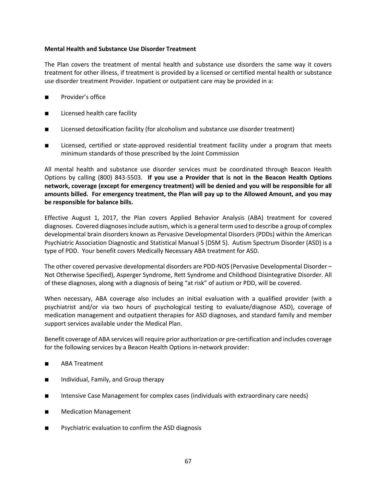#### **Mental Health and Substance Use Disorder Treatment**

The Plan covers the treatment of mental health and substance use disorders the same way it covers treatment for other illness, if treatment is provided by a licensed or certified mental health or substance use disorder treatment Provider. Inpatient or outpatient care may be provided in a:

- Provider's office
- Licensed health care facility
- Licensed detoxification facility (for alcoholism and substance use disorder treatment)
- Licensed, certified or state-approved residential treatment facility under a program that meets minimum standards of those prescribed by the Joint Commission

All mental health and substance use disorder services must be coordinated through Beacon Health Options by calling (800) 843-5503. **If you use a Provider that is not in the Beacon Health Options network, coverage (except for emergency treatment) will be denied and you will be responsible for all amounts billed. For emergency treatment, the Plan will pay up to the Allowed Amount, and you may be responsible for balance bills.**

Effective August 1, 2017, the Plan covers Applied Behavior Analysis (ABA) treatment for covered diagnoses. Covered diagnoses include autism, which is a general term used to describe a group of complex developmental brain disorders known as Pervasive Developmental Disorders (PDDs) within the American Psychiatric Association Diagnostic and Statistical Manual 5 (DSM 5). Autism Spectrum Disorder (ASD) is a type of PDD. Your benefit covers Medically Necessary ABA treatment for ASD.

The other covered pervasive developmental disorders are PDD-NOS (Pervasive Developmental Disorder – Not Otherwise Specified), Asperger Syndrome, Rett Syndrome and Childhood Disintegrative Disorder. All of these diagnoses, along with a diagnosis of being "at risk" of autism or PDD, will be covered.

When necessary, ABA coverage also includes an initial evaluation with a qualified provider (with a psychiatrist and/or via two hours of psychological testing to evaluate/diagnose ASD), coverage of medication management and outpatient therapies for ASD diagnoses, and standard family and member support services available under the Medical Plan.

Benefit coverage of ABA services will require prior authorization or pre-certification and includes coverage for the following services by a Beacon Health Options in-network provider:

- ABA Treatment
- Individual, Family, and Group therapy
- Intensive Case Management for complex cases (individuals with extraordinary care needs)
- Medication Management
- Psychiatric evaluation to confirm the ASD diagnosis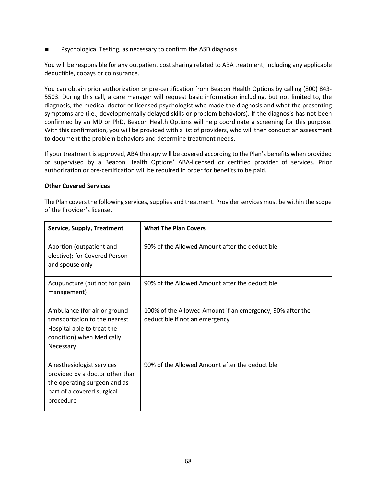■ Psychological Testing, as necessary to confirm the ASD diagnosis

You will be responsible for any outpatient cost sharing related to ABA treatment, including any applicable deductible, copays or coinsurance.

You can obtain prior authorization or pre-certification from Beacon Health Options by calling (800) 843- 5503. During this call, a care manager will request basic information including, but not limited to, the diagnosis, the medical doctor or licensed psychologist who made the diagnosis and what the presenting symptoms are (i.e., developmentally delayed skills or problem behaviors). If the diagnosis has not been confirmed by an MD or PhD, Beacon Health Options will help coordinate a screening for this purpose. With this confirmation, you will be provided with a list of providers, who will then conduct an assessment to document the problem behaviors and determine treatment needs.

If your treatment is approved, ABA therapy will be covered according to the Plan's benefits when provided or supervised by a Beacon Health Options' ABA-licensed or certified provider of services. Prior authorization or pre-certification will be required in order for benefits to be paid.

#### **Other Covered Services**

The Plan covers the following services, supplies and treatment. Provider services must be within the scope of the Provider's license.

| <b>Service, Supply, Treatment</b>                                                                                                       | <b>What The Plan Covers</b>                                                                 |
|-----------------------------------------------------------------------------------------------------------------------------------------|---------------------------------------------------------------------------------------------|
| Abortion (outpatient and<br>elective); for Covered Person<br>and spouse only                                                            | 90% of the Allowed Amount after the deductible                                              |
| Acupuncture (but not for pain<br>management)                                                                                            | 90% of the Allowed Amount after the deductible                                              |
| Ambulance (for air or ground<br>transportation to the nearest<br>Hospital able to treat the<br>condition) when Medically<br>Necessary   | 100% of the Allowed Amount if an emergency; 90% after the<br>deductible if not an emergency |
| Anesthesiologist services<br>provided by a doctor other than<br>the operating surgeon and as<br>part of a covered surgical<br>procedure | 90% of the Allowed Amount after the deductible                                              |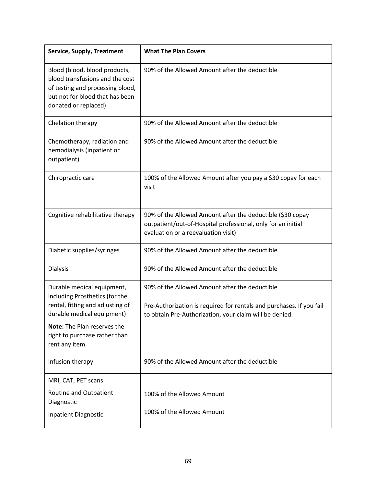| <b>Service, Supply, Treatment</b>                                                                                                                               | <b>What The Plan Covers</b>                                                                                                                                       |
|-----------------------------------------------------------------------------------------------------------------------------------------------------------------|-------------------------------------------------------------------------------------------------------------------------------------------------------------------|
| Blood (blood, blood products,<br>blood transfusions and the cost<br>of testing and processing blood,<br>but not for blood that has been<br>donated or replaced) | 90% of the Allowed Amount after the deductible                                                                                                                    |
| Chelation therapy                                                                                                                                               | 90% of the Allowed Amount after the deductible                                                                                                                    |
| Chemotherapy, radiation and<br>hemodialysis (inpatient or<br>outpatient)                                                                                        | 90% of the Allowed Amount after the deductible                                                                                                                    |
| Chiropractic care                                                                                                                                               | 100% of the Allowed Amount after you pay a \$30 copay for each<br>visit                                                                                           |
| Cognitive rehabilitative therapy                                                                                                                                | 90% of the Allowed Amount after the deductible (\$30 copay<br>outpatient/out-of-Hospital professional, only for an initial<br>evaluation or a reevaluation visit) |
| Diabetic supplies/syringes                                                                                                                                      | 90% of the Allowed Amount after the deductible                                                                                                                    |
| <b>Dialysis</b>                                                                                                                                                 | 90% of the Allowed Amount after the deductible                                                                                                                    |
| Durable medical equipment,<br>including Prosthetics (for the                                                                                                    | 90% of the Allowed Amount after the deductible                                                                                                                    |
| rental, fitting and adjusting of<br>durable medical equipment)<br>Note: The Plan reserves the<br>right to purchase rather than                                  | Pre-Authorization is required for rentals and purchases. If you fail<br>to obtain Pre-Authorization, your claim will be denied.                                   |
| rent any item.                                                                                                                                                  |                                                                                                                                                                   |
| Infusion therapy                                                                                                                                                | 90% of the Allowed Amount after the deductible                                                                                                                    |
| MRI, CAT, PET scans                                                                                                                                             |                                                                                                                                                                   |
| Routine and Outpatient<br>Diagnostic                                                                                                                            | 100% of the Allowed Amount                                                                                                                                        |
| <b>Inpatient Diagnostic</b>                                                                                                                                     | 100% of the Allowed Amount                                                                                                                                        |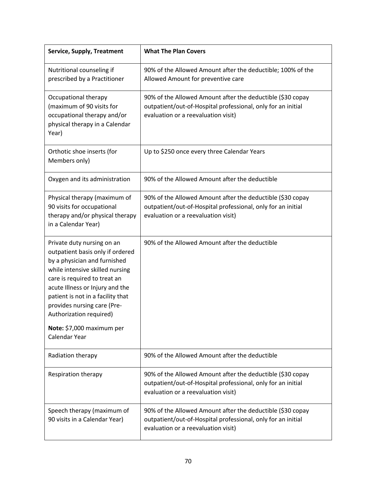| <b>Service, Supply, Treatment</b>                                                                                                                                                                                                                                                                                                                 | <b>What The Plan Covers</b>                                                                                                                                       |
|---------------------------------------------------------------------------------------------------------------------------------------------------------------------------------------------------------------------------------------------------------------------------------------------------------------------------------------------------|-------------------------------------------------------------------------------------------------------------------------------------------------------------------|
| Nutritional counseling if<br>prescribed by a Practitioner                                                                                                                                                                                                                                                                                         | 90% of the Allowed Amount after the deductible; 100% of the<br>Allowed Amount for preventive care                                                                 |
| Occupational therapy<br>(maximum of 90 visits for<br>occupational therapy and/or<br>physical therapy in a Calendar<br>Year)                                                                                                                                                                                                                       | 90% of the Allowed Amount after the deductible (\$30 copay<br>outpatient/out-of-Hospital professional, only for an initial<br>evaluation or a reevaluation visit) |
| Orthotic shoe inserts (for<br>Members only)                                                                                                                                                                                                                                                                                                       | Up to \$250 once every three Calendar Years                                                                                                                       |
| Oxygen and its administration                                                                                                                                                                                                                                                                                                                     | 90% of the Allowed Amount after the deductible                                                                                                                    |
| Physical therapy (maximum of<br>90 visits for occupational<br>therapy and/or physical therapy<br>in a Calendar Year)                                                                                                                                                                                                                              | 90% of the Allowed Amount after the deductible (\$30 copay<br>outpatient/out-of-Hospital professional, only for an initial<br>evaluation or a reevaluation visit) |
| Private duty nursing on an<br>outpatient basis only if ordered<br>by a physician and furnished<br>while intensive skilled nursing<br>care is required to treat an<br>acute Illness or Injury and the<br>patient is not in a facility that<br>provides nursing care (Pre-<br>Authorization required)<br>Note: \$7,000 maximum per<br>Calendar Year | 90% of the Allowed Amount after the deductible                                                                                                                    |
| Radiation therapy                                                                                                                                                                                                                                                                                                                                 | 90% of the Allowed Amount after the deductible                                                                                                                    |
| Respiration therapy                                                                                                                                                                                                                                                                                                                               | 90% of the Allowed Amount after the deductible (\$30 copay<br>outpatient/out-of-Hospital professional, only for an initial<br>evaluation or a reevaluation visit) |
| Speech therapy (maximum of<br>90 visits in a Calendar Year)                                                                                                                                                                                                                                                                                       | 90% of the Allowed Amount after the deductible (\$30 copay<br>outpatient/out-of-Hospital professional, only for an initial<br>evaluation or a reevaluation visit) |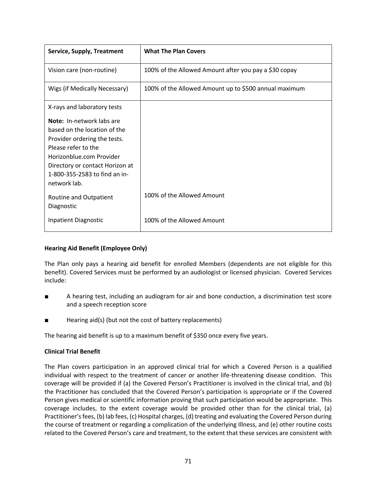| <b>Service, Supply, Treatment</b>                                                                                                                                                                                                | <b>What The Plan Covers</b>                           |
|----------------------------------------------------------------------------------------------------------------------------------------------------------------------------------------------------------------------------------|-------------------------------------------------------|
| Vision care (non-routine)                                                                                                                                                                                                        | 100% of the Allowed Amount after you pay a \$30 copay |
| Wigs (if Medically Necessary)                                                                                                                                                                                                    | 100% of the Allowed Amount up to \$500 annual maximum |
| X-rays and laboratory tests                                                                                                                                                                                                      |                                                       |
| Note: In-network labs are<br>based on the location of the<br>Provider ordering the tests.<br>Please refer to the<br>Horizonblue.com Provider<br>Directory or contact Horizon at<br>1-800-355-2583 to find an in-<br>network lab. |                                                       |
| Routine and Outpatient<br>Diagnostic                                                                                                                                                                                             | 100% of the Allowed Amount                            |
| <b>Inpatient Diagnostic</b>                                                                                                                                                                                                      | 100% of the Allowed Amount                            |

# **Hearing Aid Benefit (Employee Only)**

The Plan only pays a hearing aid benefit for enrolled Members (dependents are not eligible for this benefit). Covered Services must be performed by an audiologist or licensed physician. Covered Services include:

- A hearing test, including an audiogram for air and bone conduction, a discrimination test score and a speech reception score
- Hearing aid(s) (but not the cost of battery replacements)

The hearing aid benefit is up to a maximum benefit of \$350 once every five years.

# **Clinical Trial Benefit**

The Plan covers participation in an approved clinical trial for which a Covered Person is a qualified individual with respect to the treatment of cancer or another life-threatening disease condition. This coverage will be provided if (a) the Covered Person's Practitioner is involved in the clinical trial, and (b) the Practitioner has concluded that the Covered Person's participation is appropriate or if the Covered Person gives medical or scientific information proving that such participation would be appropriate. This coverage includes, to the extent coverage would be provided other than for the clinical trial, (a) Practitioner's fees, (b) lab fees, (c) Hospital charges, (d) treating and evaluating the Covered Person during the course of treatment or regarding a complication of the underlying Illness, and (e) other routine costs related to the Covered Person's care and treatment, to the extent that these services are consistent with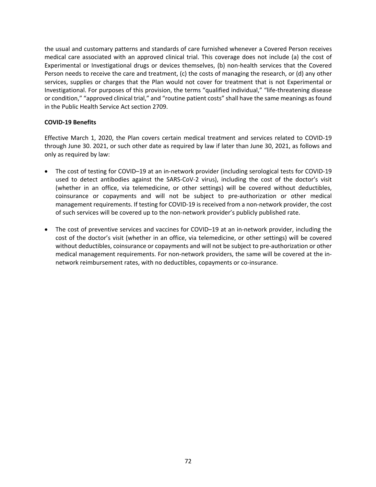the usual and customary patterns and standards of care furnished whenever a Covered Person receives medical care associated with an approved clinical trial. This coverage does not include (a) the cost of Experimental or Investigational drugs or devices themselves, (b) non-health services that the Covered Person needs to receive the care and treatment, (c) the costs of managing the research, or (d) any other services, supplies or charges that the Plan would not cover for treatment that is not Experimental or Investigational. For purposes of this provision, the terms "qualified individual," "life-threatening disease or condition," "approved clinical trial," and "routine patient costs" shall have the same meanings as found in the Public Health Service Act section 2709.

# **COVID-19 Benefits**

Effective March 1, 2020, the Plan covers certain medical treatment and services related to COVID-19 through June 30. 2021, or such other date as required by law if later than June 30, 2021, as follows and only as required by law:

- The cost of testing for COVID-19 at an in-network provider (including serological tests for COVID-19 used to detect antibodies against the SARS-CoV-2 virus), including the cost of the doctor's visit (whether in an office, via telemedicine, or other settings) will be covered without deductibles, coinsurance or copayments and will not be subject to pre-authorization or other medical management requirements. If testing for COVID-19 is received from a non-network provider, the cost of such services will be covered up to the non-network provider's publicly published rate.
- The cost of preventive services and vaccines for COVID–19 at an in-network provider, including the cost of the doctor's visit (whether in an office, via telemedicine, or other settings) will be covered without deductibles, coinsurance or copayments and will not be subject to pre-authorization or other medical management requirements. For non-network providers, the same will be covered at the innetwork reimbursement rates, with no deductibles, copayments or co-insurance.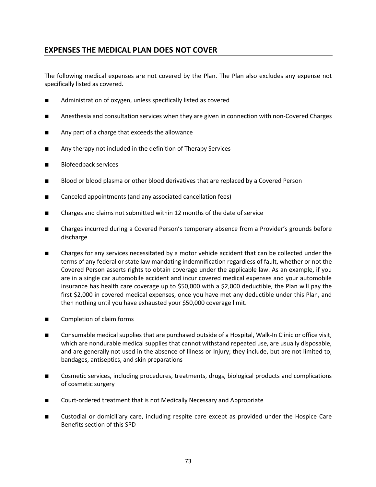# **EXPENSES THE MEDICAL PLAN DOES NOT COVER**

The following medical expenses are not covered by the Plan. The Plan also excludes any expense not specifically listed as covered.

- Administration of oxygen, unless specifically listed as covered
- Anesthesia and consultation services when they are given in connection with non-Covered Charges
- Any part of a charge that exceeds the allowance
- Any therapy not included in the definition of Therapy Services
- Biofeedback services
- Blood or blood plasma or other blood derivatives that are replaced by a Covered Person
- Canceled appointments (and any associated cancellation fees)
- Charges and claims not submitted within 12 months of the date of service
- Charges incurred during a Covered Person's temporary absence from a Provider's grounds before discharge
- Charges for any services necessitated by a motor vehicle accident that can be collected under the terms of any federal or state law mandating indemnification regardless of fault, whether or not the Covered Person asserts rights to obtain coverage under the applicable law. As an example, if you are in a single car automobile accident and incur covered medical expenses and your automobile insurance has health care coverage up to \$50,000 with a \$2,000 deductible, the Plan will pay the first \$2,000 in covered medical expenses, once you have met any deductible under this Plan, and then nothing until you have exhausted your \$50,000 coverage limit.
- Completion of claim forms
- Consumable medical supplies that are purchased outside of a Hospital, Walk-In Clinic or office visit, which are nondurable medical supplies that cannot withstand repeated use, are usually disposable, and are generally not used in the absence of Illness or Injury; they include, but are not limited to, bandages, antiseptics, and skin preparations
- Cosmetic services, including procedures, treatments, drugs, biological products and complications of cosmetic surgery
- Court-ordered treatment that is not Medically Necessary and Appropriate
- Custodial or domiciliary care, including respite care except as provided under the Hospice Care Benefits section of this SPD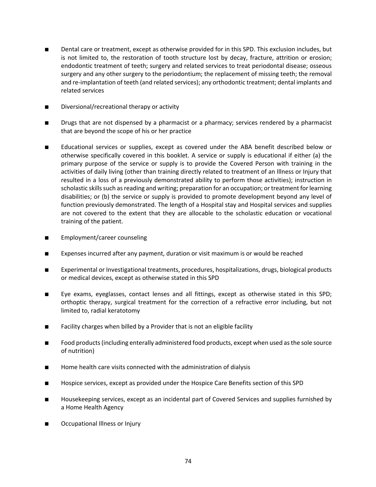- Dental care or treatment, except as otherwise provided for in this SPD. This exclusion includes, but is not limited to, the restoration of tooth structure lost by decay, fracture, attrition or erosion; endodontic treatment of teeth; surgery and related services to treat periodontal disease; osseous surgery and any other surgery to the periodontium; the replacement of missing teeth; the removal and re-implantation of teeth (and related services); any orthodontic treatment; dental implants and related services
- Diversional/recreational therapy or activity
- Drugs that are not dispensed by a pharmacist or a pharmacy; services rendered by a pharmacist that are beyond the scope of his or her practice
- Educational services or supplies, except as covered under the ABA benefit described below or otherwise specifically covered in this booklet. A service or supply is educational if either (a) the primary purpose of the service or supply is to provide the Covered Person with training in the activities of daily living (other than training directly related to treatment of an Illness or Injury that resulted in a loss of a previously demonstrated ability to perform those activities); instruction in scholastic skills such as reading and writing; preparation for an occupation; or treatment for learning disabilities; or (b) the service or supply is provided to promote development beyond any level of function previously demonstrated. The length of a Hospital stay and Hospital services and supplies are not covered to the extent that they are allocable to the scholastic education or vocational training of the patient.
- Employment/career counseling
- Expenses incurred after any payment, duration or visit maximum is or would be reached
- Experimental or Investigational treatments, procedures, hospitalizations, drugs, biological products or medical devices, except as otherwise stated in this SPD
- Eye exams, eyeglasses, contact lenses and all fittings, except as otherwise stated in this SPD; orthoptic therapy, surgical treatment for the correction of a refractive error including, but not limited to, radial keratotomy
- Facility charges when billed by a Provider that is not an eligible facility
- Food products (including enterally administered food products, except when used as the sole source of nutrition)
- Home health care visits connected with the administration of dialysis
- Hospice services, except as provided under the Hospice Care Benefits section of this SPD
- Housekeeping services, except as an incidental part of Covered Services and supplies furnished by a Home Health Agency
- Occupational Illness or Injury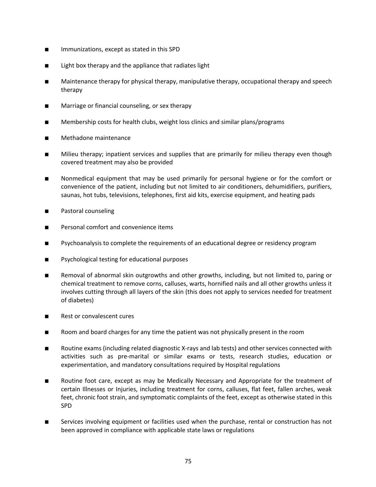- Immunizations, except as stated in this SPD
- Light box therapy and the appliance that radiates light
- Maintenance therapy for physical therapy, manipulative therapy, occupational therapy and speech therapy
- Marriage or financial counseling, or sex therapy
- Membership costs for health clubs, weight loss clinics and similar plans/programs
- Methadone maintenance
- Milieu therapy; inpatient services and supplies that are primarily for milieu therapy even though covered treatment may also be provided
- Nonmedical equipment that may be used primarily for personal hygiene or for the comfort or convenience of the patient, including but not limited to air conditioners, dehumidifiers, purifiers, saunas, hot tubs, televisions, telephones, first aid kits, exercise equipment, and heating pads
- Pastoral counseling
- Personal comfort and convenience items
- Psychoanalysis to complete the requirements of an educational degree or residency program
- Psychological testing for educational purposes
- Removal of abnormal skin outgrowths and other growths, including, but not limited to, paring or chemical treatment to remove corns, calluses, warts, hornified nails and all other growths unless it involves cutting through all layers of the skin (this does not apply to services needed for treatment of diabetes)
- Rest or convalescent cures
- Room and board charges for any time the patient was not physically present in the room
- Routine exams (including related diagnostic X-rays and lab tests) and other services connected with activities such as pre-marital or similar exams or tests, research studies, education or experimentation, and mandatory consultations required by Hospital regulations
- Routine foot care, except as may be Medically Necessary and Appropriate for the treatment of certain Illnesses or Injuries, including treatment for corns, calluses, flat feet, fallen arches, weak feet, chronic foot strain, and symptomatic complaints of the feet, except as otherwise stated in this SPD
- Services involving equipment or facilities used when the purchase, rental or construction has not been approved in compliance with applicable state laws or regulations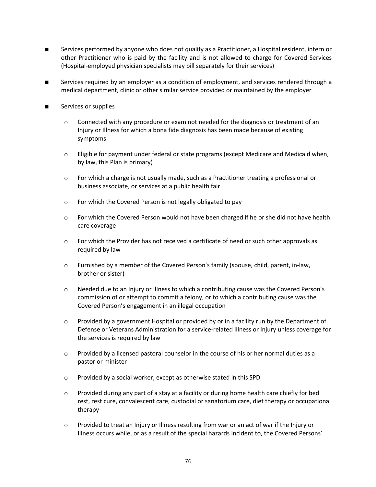- Services performed by anyone who does not qualify as a Practitioner, a Hospital resident, intern or other Practitioner who is paid by the facility and is not allowed to charge for Covered Services (Hospital-employed physician specialists may bill separately for their services)
- Services required by an employer as a condition of employment, and services rendered through a medical department, clinic or other similar service provided or maintained by the employer
- Services or supplies
	- $\circ$  Connected with any procedure or exam not needed for the diagnosis or treatment of an Injury or Illness for which a bona fide diagnosis has been made because of existing symptoms
	- $\circ$  Eligible for payment under federal or state programs (except Medicare and Medicaid when, by law, this Plan is primary)
	- o For which a charge is not usually made, such as a Practitioner treating a professional or business associate, or services at a public health fair
	- o For which the Covered Person is not legally obligated to pay
	- $\circ$  For which the Covered Person would not have been charged if he or she did not have health care coverage
	- $\circ$  For which the Provider has not received a certificate of need or such other approvals as required by law
	- o Furnished by a member of the Covered Person's family (spouse, child, parent, in-law, brother or sister)
	- o Needed due to an Injury or Illness to which a contributing cause was the Covered Person's commission of or attempt to commit a felony, or to which a contributing cause was the Covered Person's engagement in an illegal occupation
	- $\circ$  Provided by a government Hospital or provided by or in a facility run by the Department of Defense or Veterans Administration for a service-related Illness or Injury unless coverage for the services is required by law
	- $\circ$  Provided by a licensed pastoral counselor in the course of his or her normal duties as a pastor or minister
	- o Provided by a social worker, except as otherwise stated in this SPD
	- $\circ$  Provided during any part of a stay at a facility or during home health care chiefly for bed rest, rest cure, convalescent care, custodial or sanatorium care, diet therapy or occupational therapy
	- $\circ$  Provided to treat an Injury or Illness resulting from war or an act of war if the Injury or Illness occurs while, or as a result of the special hazards incident to, the Covered Persons'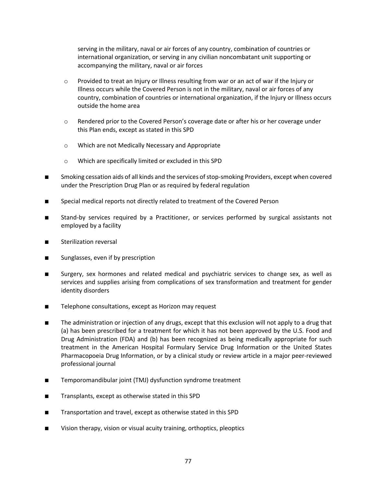serving in the military, naval or air forces of any country, combination of countries or international organization, or serving in any civilian noncombatant unit supporting or accompanying the military, naval or air forces

- o Provided to treat an Injury or Illness resulting from war or an act of war if the Injury or Illness occurs while the Covered Person is not in the military, naval or air forces of any country, combination of countries or international organization, if the Injury or Illness occurs outside the home area
- o Rendered prior to the Covered Person's coverage date or after his or her coverage under this Plan ends, except as stated in this SPD
- o Which are not Medically Necessary and Appropriate
- o Which are specifically limited or excluded in this SPD
- Smoking cessation aids of all kinds and the services of stop-smoking Providers, except when covered under the Prescription Drug Plan or as required by federal regulation
- Special medical reports not directly related to treatment of the Covered Person
- Stand-by services required by a Practitioner, or services performed by surgical assistants not employed by a facility
- Sterilization reversal
- Sunglasses, even if by prescription
- Surgery, sex hormones and related medical and psychiatric services to change sex, as well as services and supplies arising from complications of sex transformation and treatment for gender identity disorders
- Telephone consultations, except as Horizon may request
- The administration or injection of any drugs, except that this exclusion will not apply to a drug that (a) has been prescribed for a treatment for which it has not been approved by the U.S. Food and Drug Administration (FDA) and (b) has been recognized as being medically appropriate for such treatment in the American Hospital Formulary Service Drug Information or the United States Pharmacopoeia Drug Information, or by a clinical study or review article in a major peer-reviewed professional journal
- Temporomandibular joint (TMJ) dysfunction syndrome treatment
- Transplants, except as otherwise stated in this SPD
- Transportation and travel, except as otherwise stated in this SPD
- Vision therapy, vision or visual acuity training, orthoptics, pleoptics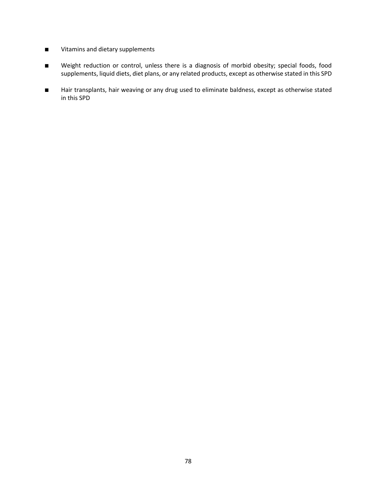- Vitamins and dietary supplements
- Weight reduction or control, unless there is a diagnosis of morbid obesity; special foods, food supplements, liquid diets, diet plans, or any related products, except as otherwise stated in this SPD
- Hair transplants, hair weaving or any drug used to eliminate baldness, except as otherwise stated in this SPD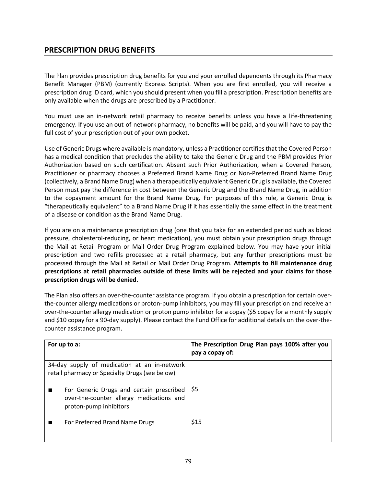# **PRESCRIPTION DRUG BENEFITS**

The Plan provides prescription drug benefits for you and your enrolled dependents through its Pharmacy Benefit Manager (PBM) (currently Express Scripts). When you are first enrolled, you will receive a prescription drug ID card, which you should present when you fill a prescription. Prescription benefits are only available when the drugs are prescribed by a Practitioner.

You must use an in-network retail pharmacy to receive benefits unless you have a life-threatening emergency. If you use an out-of-network pharmacy, no benefits will be paid, and you will have to pay the full cost of your prescription out of your own pocket.

Use of Generic Drugs where available is mandatory, unless a Practitioner certifies that the Covered Person has a medical condition that precludes the ability to take the Generic Drug and the PBM provides Prior Authorization based on such certification. Absent such Prior Authorization, when a Covered Person, Practitioner or pharmacy chooses a Preferred Brand Name Drug or Non-Preferred Brand Name Drug (collectively, a Brand Name Drug) when a therapeutically equivalent Generic Drug is available, the Covered Person must pay the difference in cost between the Generic Drug and the Brand Name Drug, in addition to the copayment amount for the Brand Name Drug. For purposes of this rule, a Generic Drug is "therapeutically equivalent" to a Brand Name Drug if it has essentially the same effect in the treatment of a disease or condition as the Brand Name Drug.

If you are on a maintenance prescription drug (one that you take for an extended period such as blood pressure, cholesterol-reducing, or heart medication), you must obtain your prescription drugs through the Mail at Retail Program or Mail Order Drug Program explained below. You may have your initial prescription and two refills processed at a retail pharmacy, but any further prescriptions must be processed through the Mail at Retail or Mail Order Drug Program. **Attempts to fill maintenance drug prescriptions at retail pharmacies outside of these limits will be rejected and your claims for those prescription drugs will be denied.**

The Plan also offers an over-the-counter assistance program. If you obtain a prescription for certain overthe-counter allergy medications or proton-pump inhibitors, you may fill your prescription and receive an over-the-counter allergy medication or proton pump inhibitor for a copay (\$5 copay for a monthly supply and \$10 copay for a 90-day supply). Please contact the Fund Office for additional details on the over-thecounter assistance program.

| For up to a:                                                                                                   | The Prescription Drug Plan pays 100% after you<br>pay a copay of: |
|----------------------------------------------------------------------------------------------------------------|-------------------------------------------------------------------|
| 34-day supply of medication at an in-network<br>retail pharmacy or Specialty Drugs (see below)                 |                                                                   |
| For Generic Drugs and certain prescribed<br>over-the-counter allergy medications and<br>proton-pump inhibitors | -S5                                                               |
| For Preferred Brand Name Drugs                                                                                 | \$15                                                              |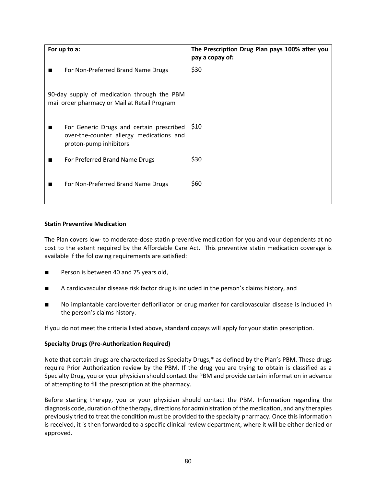| For up to a:                                                                                                   | The Prescription Drug Plan pays 100% after you<br>pay a copay of: |
|----------------------------------------------------------------------------------------------------------------|-------------------------------------------------------------------|
| For Non-Preferred Brand Name Drugs<br>▬                                                                        | \$30                                                              |
| 90-day supply of medication through the PBM<br>mail order pharmacy or Mail at Retail Program                   |                                                                   |
| For Generic Drugs and certain prescribed<br>over-the-counter allergy medications and<br>proton-pump inhibitors | \$10                                                              |
| For Preferred Brand Name Drugs<br>■                                                                            | \$30                                                              |
| For Non-Preferred Brand Name Drugs                                                                             | \$60                                                              |

# **Statin Preventive Medication**

The Plan covers low- to moderate-dose statin preventive medication for you and your dependents at no cost to the extent required by the Affordable Care Act. This preventive statin medication coverage is available if the following requirements are satisfied:

- Person is between 40 and 75 years old,
- A cardiovascular disease risk factor drug is included in the person's claims history, and
- No implantable cardioverter defibrillator or drug marker for cardiovascular disease is included in the person's claims history.

If you do not meet the criteria listed above, standard copays will apply for your statin prescription.

# **Specialty Drugs (Pre-Authorization Required)**

Note that certain drugs are characterized as Specialty Drugs,\* as defined by the Plan's PBM. These drugs require Prior Authorization review by the PBM. If the drug you are trying to obtain is classified as a Specialty Drug, you or your physician should contact the PBM and provide certain information in advance of attempting to fill the prescription at the pharmacy.

Before starting therapy, you or your physician should contact the PBM. Information regarding the diagnosis code, duration of the therapy, directions for administration of the medication, and any therapies previously tried to treat the condition must be provided to the specialty pharmacy. Once this information is received, it is then forwarded to a specific clinical review department, where it will be either denied or approved.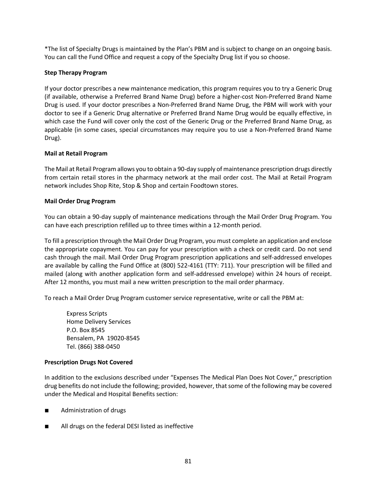\*The list of Specialty Drugs is maintained by the Plan's PBM and is subject to change on an ongoing basis. You can call the Fund Office and request a copy of the Specialty Drug list if you so choose.

# **Step Therapy Program**

If your doctor prescribes a new maintenance medication, this program requires you to try a Generic Drug (if available, otherwise a Preferred Brand Name Drug) before a higher-cost Non-Preferred Brand Name Drug is used. If your doctor prescribes a Non-Preferred Brand Name Drug, the PBM will work with your doctor to see if a Generic Drug alternative or Preferred Brand Name Drug would be equally effective, in which case the Fund will cover only the cost of the Generic Drug or the Preferred Brand Name Drug, as applicable (in some cases, special circumstances may require you to use a Non-Preferred Brand Name Drug).

# **Mail at Retail Program**

The Mail at Retail Program allows you to obtain a 90-day supply of maintenance prescription drugs directly from certain retail stores in the pharmacy network at the mail order cost. The Mail at Retail Program network includes Shop Rite, Stop & Shop and certain Foodtown stores.

# **Mail Order Drug Program**

You can obtain a 90-day supply of maintenance medications through the Mail Order Drug Program. You can have each prescription refilled up to three times within a 12-month period.

To fill a prescription through the Mail Order Drug Program, you must complete an application and enclose the appropriate copayment. You can pay for your prescription with a check or credit card. Do not send cash through the mail. Mail Order Drug Program prescription applications and self-addressed envelopes are available by calling the Fund Office at (800) 522-4161 (TTY: 711). Your prescription will be filled and mailed (along with another application form and self-addressed envelope) within 24 hours of receipt. After 12 months, you must mail a new written prescription to the mail order pharmacy.

To reach a Mail Order Drug Program customer service representative, write or call the PBM at:

Express Scripts Home Delivery Services P.O. Box 8545 Bensalem, PA 19020-8545 Tel. (866) 388-0450

#### **Prescription Drugs Not Covered**

In addition to the exclusions described under "Expenses The Medical Plan Does Not Cover," prescription drug benefits do not include the following; provided, however, that some of the following may be covered under the Medical and Hospital Benefits section:

- Administration of drugs
- All drugs on the federal DESI listed as ineffective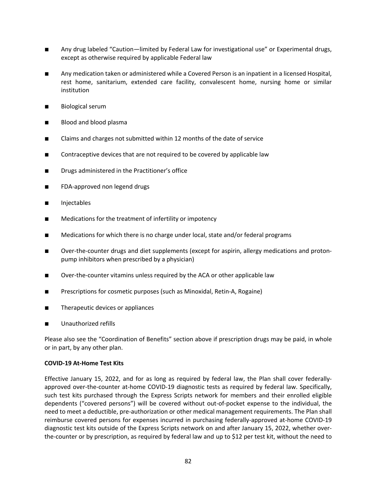- Any drug labeled "Caution—limited by Federal Law for investigational use" or Experimental drugs, except as otherwise required by applicable Federal law
- Any medication taken or administered while a Covered Person is an inpatient in a licensed Hospital, rest home, sanitarium, extended care facility, convalescent home, nursing home or similar institution
- Biological serum
- Blood and blood plasma
- Claims and charges not submitted within 12 months of the date of service
- Contraceptive devices that are not required to be covered by applicable law
- Drugs administered in the Practitioner's office
- FDA-approved non legend drugs
- Injectables
- Medications for the treatment of infertility or impotency
- Medications for which there is no charge under local, state and/or federal programs
- Over-the-counter drugs and diet supplements (except for aspirin, allergy medications and protonpump inhibitors when prescribed by a physician)
- Over-the-counter vitamins unless required by the ACA or other applicable law
- Prescriptions for cosmetic purposes (such as Minoxidal, Retin-A, Rogaine)
- Therapeutic devices or appliances
- Unauthorized refills

Please also see the "Coordination of Benefits" section above if prescription drugs may be paid, in whole or in part, by any other plan.

#### **COVID-19 At-Home Test Kits**

Effective January 15, 2022, and for as long as required by federal law, the Plan shall cover federallyapproved over-the-counter at-home COVID-19 diagnostic tests as required by federal law. Specifically, such test kits purchased through the Express Scripts network for members and their enrolled eligible dependents ("covered persons") will be covered without out-of-pocket expense to the individual, the need to meet a deductible, pre-authorization or other medical management requirements. The Plan shall reimburse covered persons for expenses incurred in purchasing federally-approved at-home COVID-19 diagnostic test kits outside of the Express Scripts network on and after January 15, 2022, whether overthe-counter or by prescription, as required by federal law and up to \$12 per test kit, without the need to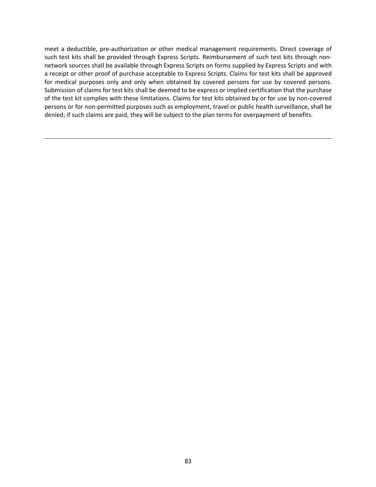meet a deductible, pre-authorization or other medical management requirements. Direct coverage of such test kits shall be provided through Express Scripts. Reimbursement of such test kits through nonnetwork sources shall be available through Express Scripts on forms supplied by Express Scripts and with a receipt or other proof of purchase acceptable to Express Scripts. Claims for test kits shall be approved for medical purposes only and only when obtained by covered persons for use by covered persons. Submission of claims for test kits shall be deemed to be express or implied certification that the purchase of the test kit complies with these limitations. Claims for test kits obtained by or for use by non-covered persons or for non-permitted purposes such as employment, travel or public health surveillance, shall be denied; if such claims are paid, they will be subject to the plan terms for overpayment of benefits.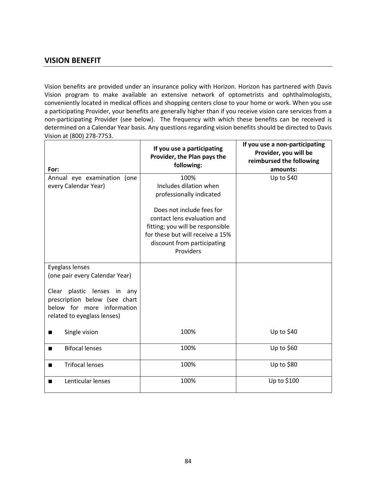# **VISION BENEFIT**

Vision benefits are provided under an insurance policy with Horizon. Horizon has partnered with Davis Vision program to make available an extensive network of optometrists and ophthalmologists, conveniently located in medical offices and shopping centers close to your home or work. When you use a participating Provider, your benefits are generally higher than if you receive vision care services from a non-participating Provider (see below). The frequency with which these benefits can be received is determined on a Calendar Year basis. Any questions regarding vision benefits should be directed to Davis Vision at (800) 278-7753.

| For:                                                                                                                                                                           | If you use a participating<br>Provider, the Plan pays the<br>following:                                                                                                                                                                    | If you use a non-participating<br>Provider, you will be<br>reimbursed the following<br>amounts: |
|--------------------------------------------------------------------------------------------------------------------------------------------------------------------------------|--------------------------------------------------------------------------------------------------------------------------------------------------------------------------------------------------------------------------------------------|-------------------------------------------------------------------------------------------------|
| Annual eye examination (one<br>every Calendar Year)                                                                                                                            | 100%<br>Includes dilation when<br>professionally indicated<br>Does not include fees for<br>contact lens evaluation and<br>fitting; you will be responsible<br>for these but will receive a 15%<br>discount from participating<br>Providers | Up to \$40                                                                                      |
| Eyeglass lenses<br>(one pair every Calendar Year)<br>Clear plastic lenses in any<br>prescription below (see chart<br>below for more information<br>related to eyeglass lenses) |                                                                                                                                                                                                                                            |                                                                                                 |
| Single vision<br>■                                                                                                                                                             | 100%                                                                                                                                                                                                                                       | Up to \$40                                                                                      |
| <b>Bifocal lenses</b>                                                                                                                                                          | 100%                                                                                                                                                                                                                                       | Up to \$60                                                                                      |
| <b>Trifocal lenses</b>                                                                                                                                                         | 100%                                                                                                                                                                                                                                       | Up to \$80                                                                                      |
| Lenticular lenses<br>■                                                                                                                                                         | 100%                                                                                                                                                                                                                                       | Up to \$100                                                                                     |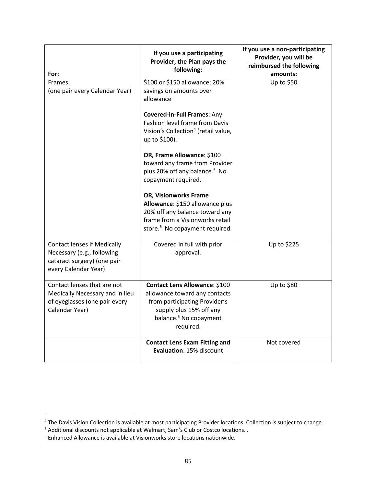| For:                                                                                                                    | If you use a participating<br>Provider, the Plan pays the<br>following:                                                                                                                                                                                                                                                                                                                                                                                                                                                              | If you use a non-participating<br>Provider, you will be<br>reimbursed the following<br>amounts: |
|-------------------------------------------------------------------------------------------------------------------------|--------------------------------------------------------------------------------------------------------------------------------------------------------------------------------------------------------------------------------------------------------------------------------------------------------------------------------------------------------------------------------------------------------------------------------------------------------------------------------------------------------------------------------------|-------------------------------------------------------------------------------------------------|
| <b>Frames</b><br>(one pair every Calendar Year)                                                                         | \$100 or \$150 allowance; 20%<br>savings on amounts over<br>allowance<br><b>Covered-in-Full Frames: Any</b><br>Fashion level frame from Davis<br>Vision's Collection <sup>4</sup> (retail value,<br>up to \$100).<br>OR, Frame Allowance: \$100<br>toward any frame from Provider<br>plus 20% off any balance. <sup>5</sup> No<br>copayment required.<br>OR, Visionworks Frame<br>Allowance: \$150 allowance plus<br>20% off any balance toward any<br>frame from a Visionworks retail<br>store. <sup>6</sup> No copayment required. | Up to \$50                                                                                      |
| <b>Contact lenses if Medically</b><br>Necessary (e.g., following<br>cataract surgery) (one pair<br>every Calendar Year) | Covered in full with prior<br>approval.                                                                                                                                                                                                                                                                                                                                                                                                                                                                                              | Up to \$225                                                                                     |
| Contact lenses that are not<br>Medically Necessary and in lieu<br>of eyeglasses (one pair every<br>Calendar Year)       | <b>Contact Lens Allowance: \$100</b><br>allowance toward any contacts<br>from participating Provider's<br>supply plus 15% off any<br>balance. <sup>5</sup> No copayment<br>required.                                                                                                                                                                                                                                                                                                                                                 | Up to \$80                                                                                      |
|                                                                                                                         | <b>Contact Lens Exam Fitting and</b><br>Evaluation: 15% discount                                                                                                                                                                                                                                                                                                                                                                                                                                                                     | Not covered                                                                                     |

<sup>&</sup>lt;sup>4</sup> The Davis Vision Collection is available at most participating Provider locations. Collection is subject to change.

 $<sup>5</sup>$  Additional discounts not applicable at Walmart, Sam's Club or Costco locations. .</sup>

 $6$  Enhanced Allowance is available at Visionworks store locations nationwide.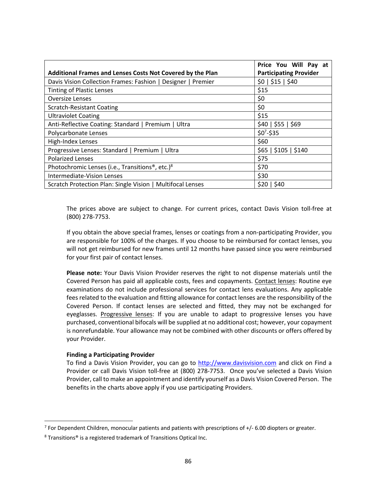| Additional Frames and Lenses Costs Not Covered by the Plan                       | Price You Will Pay at<br><b>Participating Provider</b> |
|----------------------------------------------------------------------------------|--------------------------------------------------------|
| Davis Vision Collection Frames: Fashion   Designer   Premier                     | \$0   \$15   \$40                                      |
| <b>Tinting of Plastic Lenses</b>                                                 | \$15                                                   |
| <b>Oversize Lenses</b>                                                           | \$0                                                    |
| <b>Scratch-Resistant Coating</b>                                                 | \$0                                                    |
| <b>Ultraviolet Coating</b>                                                       | \$15                                                   |
| Anti-Reflective Coating: Standard   Premium   Ultra                              | \$40   \$55   \$69                                     |
| Polycarbonate Lenses                                                             | $$0^7$-$35$                                            |
| High-Index Lenses                                                                | \$60                                                   |
| \$65   \$105   \$140<br>Progressive Lenses: Standard   Premium   Ultra           |                                                        |
| <b>Polarized Lenses</b>                                                          | \$75                                                   |
| \$70<br>Photochromic Lenses (i.e., Transitions <sup>®</sup> , etc.) <sup>8</sup> |                                                        |
| \$30<br>Intermediate-Vision Lenses                                               |                                                        |
| Scratch Protection Plan: Single Vision   Multifocal Lenses<br>\$20   \$40        |                                                        |

The prices above are subject to change. For current prices, contact Davis Vision toll-free at (800) 278-7753.

If you obtain the above special frames, lenses or coatings from a non-participating Provider, you are responsible for 100% of the charges. If you choose to be reimbursed for contact lenses, you will not get reimbursed for new frames until 12 months have passed since you were reimbursed for your first pair of contact lenses.

**Please note:** Your Davis Vision Provider reserves the right to not dispense materials until the Covered Person has paid all applicable costs, fees and copayments. Contact lenses: Routine eye examinations do not include professional services for contact lens evaluations. Any applicable fees related to the evaluation and fitting allowance for contact lenses are the responsibility of the Covered Person. If contact lenses are selected and fitted, they may not be exchanged for eyeglasses. Progressive lenses: If you are unable to adapt to progressive lenses you have purchased, conventional bifocals will be supplied at no additional cost; however, your copayment is nonrefundable. Your allowance may not be combined with other discounts or offers offered by your Provider.

#### **Finding a Participating Provider**

To find a Davis Vision Provider, you can go to http://www.davisvision.com and click on Find a Provider or call Davis Vision toll-free at (800) 278-7753. Once you've selected a Davis Vision Provider, call to make an appointment and identify yourself as a Davis Vision Covered Person. The benefits in the charts above apply if you use participating Providers.

<sup>7</sup> For Dependent Children, monocular patients and patients with prescriptions of +/- 6.00 diopters or greater.

<sup>8</sup> Transitions® is a registered trademark of Transitions Optical Inc.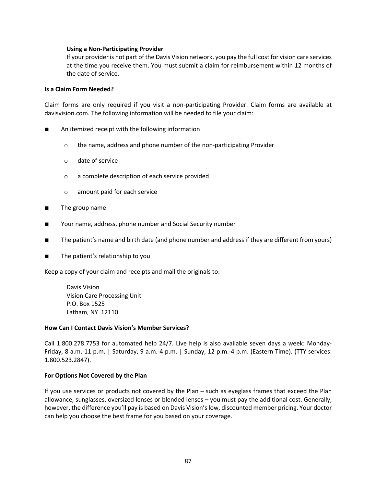#### **Using a Non-Participating Provider**

If your provider is not part of the Davis Vision network, you pay the full cost for vision care services at the time you receive them. You must submit a claim for reimbursement within 12 months of the date of service.

#### **Is a Claim Form Needed?**

Claim forms are only required if you visit a non-participating Provider. Claim forms are available at davisvision.com. The following information will be needed to file your claim:

- An itemized receipt with the following information
	- o the name, address and phone number of the non-participating Provider
	- o date of service
	- o a complete description of each service provided
	- o amount paid for each service
- The group name
- Your name, address, phone number and Social Security number
- The patient's name and birth date (and phone number and address if they are different from yours)
- The patient's relationship to you

Keep a copy of your claim and receipts and mail the originals to:

Davis Vision Vision Care Processing Unit P.O. Box 1525 Latham, NY 12110

#### **How Can I Contact Davis Vision's Member Services?**

Call 1.800.278.7753 for automated help 24/7. Live help is also available seven days a week: Monday-Friday, 8 a.m.-11 p.m. | Saturday, 9 a.m.-4 p.m. | Sunday, 12 p.m.-4 p.m. (Eastern Time). (TTY services: 1.800.523.2847).

#### **For Options Not Covered by the Plan**

If you use services or products not covered by the Plan – such as eyeglass frames that exceed the Plan allowance, sunglasses, oversized lenses or blended lenses – you must pay the additional cost. Generally, however, the difference you'll pay is based on Davis Vision's low, discounted member pricing. Your doctor can help you choose the best frame for you based on your coverage.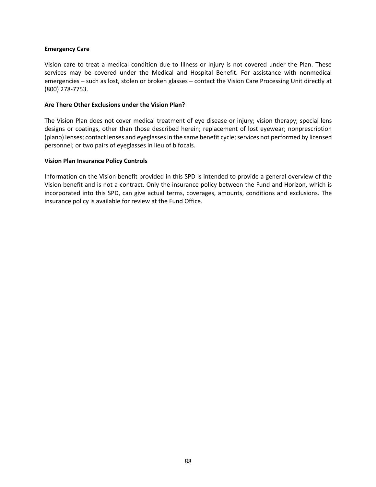#### **Emergency Care**

Vision care to treat a medical condition due to Illness or Injury is not covered under the Plan. These services may be covered under the Medical and Hospital Benefit. For assistance with nonmedical emergencies – such as lost, stolen or broken glasses – contact the Vision Care Processing Unit directly at (800) 278-7753.

#### **Are There Other Exclusions under the Vision Plan?**

The Vision Plan does not cover medical treatment of eye disease or injury; vision therapy; special lens designs or coatings, other than those described herein; replacement of lost eyewear; nonprescription (plano) lenses; contact lenses and eyeglasses in the same benefit cycle; services not performed by licensed personnel; or two pairs of eyeglasses in lieu of bifocals.

#### **Vision Plan Insurance Policy Controls**

Information on the Vision benefit provided in this SPD is intended to provide a general overview of the Vision benefit and is not a contract. Only the insurance policy between the Fund and Horizon, which is incorporated into this SPD, can give actual terms, coverages, amounts, conditions and exclusions. The insurance policy is available for review at the Fund Office.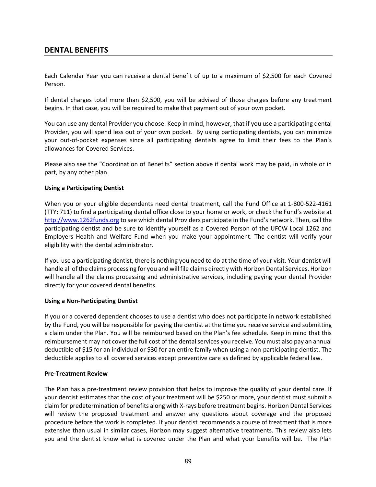# **DENTAL BENEFITS**

Each Calendar Year you can receive a dental benefit of up to a maximum of \$2,500 for each Covered Person.

If dental charges total more than \$2,500, you will be advised of those charges before any treatment begins. In that case, you will be required to make that payment out of your own pocket.

You can use any dental Provider you choose. Keep in mind, however, that if you use a participating dental Provider, you will spend less out of your own pocket. By using participating dentists, you can minimize your out-of-pocket expenses since all participating dentists agree to limit their fees to the Plan's allowances for Covered Services.

Please also see the "Coordination of Benefits" section above if dental work may be paid, in whole or in part, by any other plan.

#### **Using a Participating Dentist**

When you or your eligible dependents need dental treatment, call the Fund Office at 1-800-522-4161 (TTY: 711) to find a participating dental office close to your home or work, or check the Fund's website at http://www.1262funds.org to see which dental Providers participate in the Fund's network. Then, call the participating dentist and be sure to identify yourself as a Covered Person of the UFCW Local 1262 and Employers Health and Welfare Fund when you make your appointment. The dentist will verify your eligibility with the dental administrator.

If you use a participating dentist, there is nothing you need to do at the time of your visit. Your dentist will handle all of the claims processing for you and will file claims directly with Horizon Dental Services. Horizon will handle all the claims processing and administrative services, including paying your dental Provider directly for your covered dental benefits.

#### **Using a Non-Participating Dentist**

If you or a covered dependent chooses to use a dentist who does not participate in network established by the Fund, you will be responsible for paying the dentist at the time you receive service and submitting a claim under the Plan. You will be reimbursed based on the Plan's fee schedule. Keep in mind that this reimbursement may not cover the full cost of the dental services you receive. You must also pay an annual deductible of \$15 for an individual or \$30 for an entire family when using a non-participating dentist. The deductible applies to all covered services except preventive care as defined by applicable federal law.

#### **Pre-Treatment Review**

The Plan has a pre-treatment review provision that helps to improve the quality of your dental care. If your dentist estimates that the cost of your treatment will be \$250 or more, your dentist must submit a claim for predetermination of benefits along with X-rays before treatment begins. Horizon Dental Services will review the proposed treatment and answer any questions about coverage and the proposed procedure before the work is completed. If your dentist recommends a course of treatment that is more extensive than usual in similar cases, Horizon may suggest alternative treatments. This review also lets you and the dentist know what is covered under the Plan and what your benefits will be. The Plan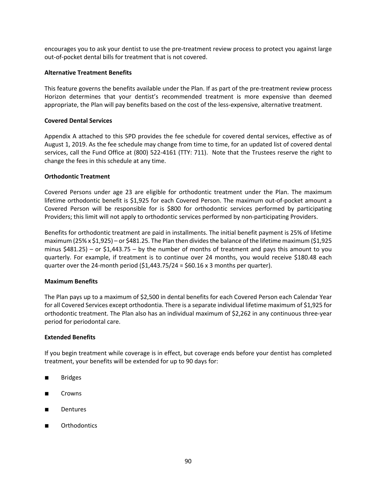encourages you to ask your dentist to use the pre-treatment review process to protect you against large out-of-pocket dental bills for treatment that is not covered.

#### **Alternative Treatment Benefits**

This feature governs the benefits available under the Plan. If as part of the pre-treatment review process Horizon determines that your dentist's recommended treatment is more expensive than deemed appropriate, the Plan will pay benefits based on the cost of the less-expensive, alternative treatment.

#### **Covered Dental Services**

Appendix A attached to this SPD provides the fee schedule for covered dental services, effective as of August 1, 2019. As the fee schedule may change from time to time, for an updated list of covered dental services, call the Fund Office at (800) 522-4161 (TTY: 711). Note that the Trustees reserve the right to change the fees in this schedule at any time.

#### **Orthodontic Treatment**

Covered Persons under age 23 are eligible for orthodontic treatment under the Plan. The maximum lifetime orthodontic benefit is \$1,925 for each Covered Person. The maximum out-of-pocket amount a Covered Person will be responsible for is \$800 for orthodontic services performed by participating Providers; this limit will not apply to orthodontic services performed by non-participating Providers.

Benefits for orthodontic treatment are paid in installments. The initial benefit payment is 25% of lifetime maximum (25% x \$1,925) – or \$481.25. The Plan then divides the balance of the lifetime maximum (\$1,925 minus \$481.25) – or \$1,443.75 – by the number of months of treatment and pays this amount to you quarterly. For example, if treatment is to continue over 24 months, you would receive \$180.48 each quarter over the 24-month period  $(51,443.75/24 = 560.16 \times 3$  months per quarter).

#### **Maximum Benefits**

The Plan pays up to a maximum of \$2,500 in dental benefits for each Covered Person each Calendar Year for all Covered Services except orthodontia. There is a separate individual lifetime maximum of \$1,925 for orthodontic treatment. The Plan also has an individual maximum of \$2,262 in any continuous three-year period for periodontal care.

#### **Extended Benefits**

If you begin treatment while coverage is in effect, but coverage ends before your dentist has completed treatment, your benefits will be extended for up to 90 days for:

- **Bridges**
- Crowns
- **Dentures**
- **Orthodontics**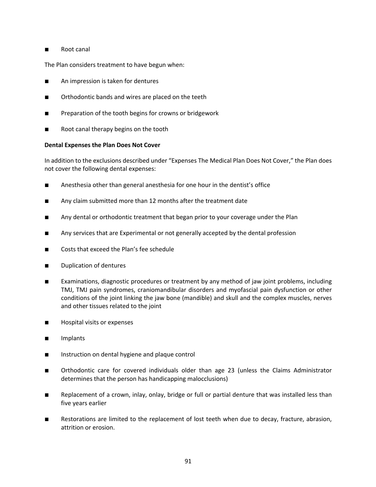# ■ Root canal

The Plan considers treatment to have begun when:

- An impression is taken for dentures
- Orthodontic bands and wires are placed on the teeth
- Preparation of the tooth begins for crowns or bridgework
- Root canal therapy begins on the tooth

#### **Dental Expenses the Plan Does Not Cover**

In addition to the exclusions described under "Expenses The Medical Plan Does Not Cover," the Plan does not cover the following dental expenses:

- Anesthesia other than general anesthesia for one hour in the dentist's office
- Any claim submitted more than 12 months after the treatment date
- Any dental or orthodontic treatment that began prior to your coverage under the Plan
- Any services that are Experimental or not generally accepted by the dental profession
- Costs that exceed the Plan's fee schedule
- Duplication of dentures
- Examinations, diagnostic procedures or treatment by any method of jaw joint problems, including TMJ, TMJ pain syndromes, craniomandibular disorders and myofascial pain dysfunction or other conditions of the joint linking the jaw bone (mandible) and skull and the complex muscles, nerves and other tissues related to the joint
- Hospital visits or expenses
- Implants
- Instruction on dental hygiene and plaque control
- Orthodontic care for covered individuals older than age 23 (unless the Claims Administrator determines that the person has handicapping malocclusions)
- Replacement of a crown, inlay, onlay, bridge or full or partial denture that was installed less than five years earlier
- Restorations are limited to the replacement of lost teeth when due to decay, fracture, abrasion, attrition or erosion.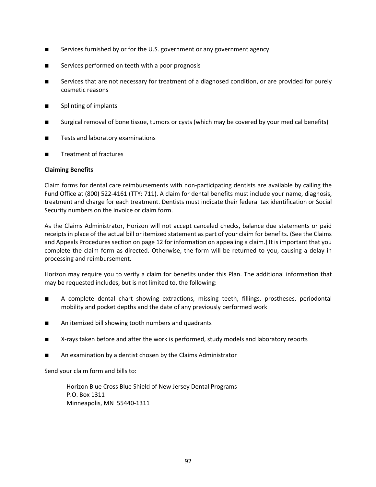- Services furnished by or for the U.S. government or any government agency
- Services performed on teeth with a poor prognosis
- Services that are not necessary for treatment of a diagnosed condition, or are provided for purely cosmetic reasons
- Splinting of implants
- Surgical removal of bone tissue, tumors or cysts (which may be covered by your medical benefits)
- Tests and laboratory examinations
- Treatment of fractures

#### **Claiming Benefits**

Claim forms for dental care reimbursements with non-participating dentists are available by calling the Fund Office at (800) 522-4161 (TTY: 711). A claim for dental benefits must include your name, diagnosis, treatment and charge for each treatment. Dentists must indicate their federal tax identification or Social Security numbers on the invoice or claim form.

As the Claims Administrator, Horizon will not accept canceled checks, balance due statements or paid receipts in place of the actual bill or itemized statement as part of your claim for benefits. (See the Claims and Appeals Procedures section on page 12 for information on appealing a claim.) It is important that you complete the claim form as directed. Otherwise, the form will be returned to you, causing a delay in processing and reimbursement.

Horizon may require you to verify a claim for benefits under this Plan. The additional information that may be requested includes, but is not limited to, the following:

- A complete dental chart showing extractions, missing teeth, fillings, prostheses, periodontal mobility and pocket depths and the date of any previously performed work
- An itemized bill showing tooth numbers and quadrants
- X-rays taken before and after the work is performed, study models and laboratory reports
- An examination by a dentist chosen by the Claims Administrator

Send your claim form and bills to:

Horizon Blue Cross Blue Shield of New Jersey Dental Programs P.O. Box 1311 Minneapolis, MN 55440-1311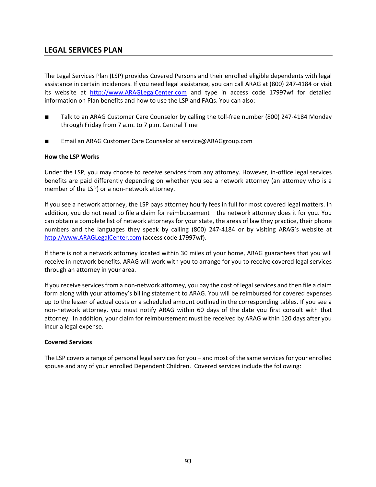# **LEGAL SERVICES PLAN**

The Legal Services Plan (LSP) provides Covered Persons and their enrolled eligible dependents with legal assistance in certain incidences. If you need legal assistance, you can call ARAG at (800) 247-4184 or visit its website at http://www.ARAGLegalCenter.com and type in access code 17997wf for detailed information on Plan benefits and how to use the LSP and FAQs. You can also:

- Talk to an ARAG Customer Care Counselor by calling the toll-free number (800) 247-4184 Monday through Friday from 7 a.m. to 7 p.m. Central Time
- Email an ARAG Customer Care Counselor at service@ARAGgroup.com

#### **How the LSP Works**

Under the LSP, you may choose to receive services from any attorney. However, in-office legal services benefits are paid differently depending on whether you see a network attorney (an attorney who is a member of the LSP) or a non-network attorney.

If you see a network attorney, the LSP pays attorney hourly fees in full for most covered legal matters. In addition, you do not need to file a claim for reimbursement – the network attorney does it for you. You can obtain a complete list of network attorneys for your state, the areas of law they practice, their phone numbers and the languages they speak by calling (800) 247-4184 or by visiting ARAG's website at http://www.ARAGLegalCenter.com (access code 17997wf).

If there is not a network attorney located within 30 miles of your home, ARAG guarantees that you will receive in-network benefits. ARAG will work with you to arrange for you to receive covered legal services through an attorney in your area.

If you receive services from a non-network attorney, you pay the cost of legal services and then file a claim form along with your attorney's billing statement to ARAG. You will be reimbursed for covered expenses up to the lesser of actual costs or a scheduled amount outlined in the corresponding tables. If you see a non-network attorney, you must notify ARAG within 60 days of the date you first consult with that attorney. In addition, your claim for reimbursement must be received by ARAG within 120 days after you incur a legal expense.

#### **Covered Services**

The LSP covers a range of personal legal services for you – and most of the same services for your enrolled spouse and any of your enrolled Dependent Children. Covered services include the following: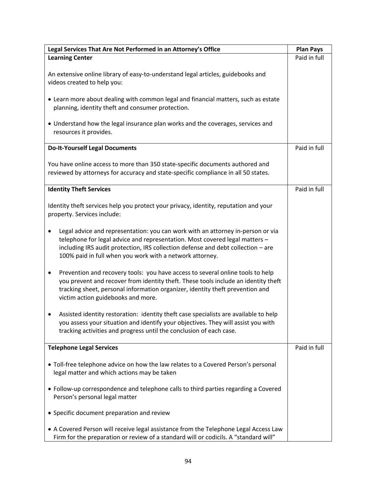| Legal Services That Are Not Performed in an Attorney's Office                                                                                                                                                                                                                                                               | <b>Plan Pays</b> |
|-----------------------------------------------------------------------------------------------------------------------------------------------------------------------------------------------------------------------------------------------------------------------------------------------------------------------------|------------------|
| <b>Learning Center</b>                                                                                                                                                                                                                                                                                                      | Paid in full     |
| An extensive online library of easy-to-understand legal articles, guidebooks and<br>videos created to help you:                                                                                                                                                                                                             |                  |
| • Learn more about dealing with common legal and financial matters, such as estate<br>planning, identity theft and consumer protection.                                                                                                                                                                                     |                  |
| • Understand how the legal insurance plan works and the coverages, services and<br>resources it provides.                                                                                                                                                                                                                   |                  |
| <b>Do-It-Yourself Legal Documents</b>                                                                                                                                                                                                                                                                                       | Paid in full     |
| You have online access to more than 350 state-specific documents authored and<br>reviewed by attorneys for accuracy and state-specific compliance in all 50 states.                                                                                                                                                         |                  |
| <b>Identity Theft Services</b>                                                                                                                                                                                                                                                                                              | Paid in full     |
| Identity theft services help you protect your privacy, identity, reputation and your<br>property. Services include:                                                                                                                                                                                                         |                  |
| Legal advice and representation: you can work with an attorney in-person or via<br>$\bullet$<br>telephone for legal advice and representation. Most covered legal matters -<br>including IRS audit protection, IRS collection defense and debt collection - are<br>100% paid in full when you work with a network attorney. |                  |
| Prevention and recovery tools: you have access to several online tools to help<br>$\bullet$<br>you prevent and recover from identity theft. These tools include an identity theft<br>tracking sheet, personal information organizer, identity theft prevention and<br>victim action guidebooks and more.                    |                  |
| Assisted identity restoration: identity theft case specialists are available to help<br>you assess your situation and identify your objectives. They will assist you with<br>tracking activities and progress until the conclusion of each case.                                                                            |                  |
| <b>Telephone Legal Services</b>                                                                                                                                                                                                                                                                                             | Paid in full     |
| • Toll-free telephone advice on how the law relates to a Covered Person's personal<br>legal matter and which actions may be taken                                                                                                                                                                                           |                  |
| • Follow-up correspondence and telephone calls to third parties regarding a Covered<br>Person's personal legal matter                                                                                                                                                                                                       |                  |
| • Specific document preparation and review                                                                                                                                                                                                                                                                                  |                  |
| • A Covered Person will receive legal assistance from the Telephone Legal Access Law<br>Firm for the preparation or review of a standard will or codicils. A "standard will"                                                                                                                                                |                  |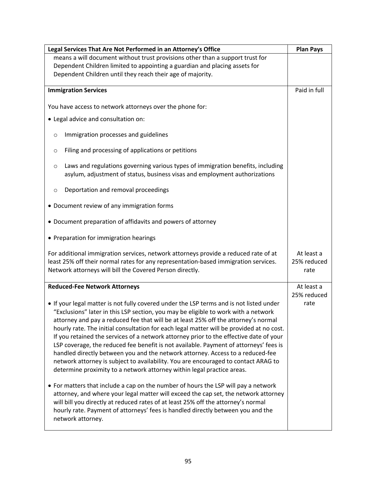| Legal Services That Are Not Performed in an Attorney's Office                                                                                                                                                                                                                                                                                                                                                                                                                                                                                                                                                                                                                                                                                                                                                                                                                              | <b>Plan Pays</b>                  |
|--------------------------------------------------------------------------------------------------------------------------------------------------------------------------------------------------------------------------------------------------------------------------------------------------------------------------------------------------------------------------------------------------------------------------------------------------------------------------------------------------------------------------------------------------------------------------------------------------------------------------------------------------------------------------------------------------------------------------------------------------------------------------------------------------------------------------------------------------------------------------------------------|-----------------------------------|
| means a will document without trust provisions other than a support trust for                                                                                                                                                                                                                                                                                                                                                                                                                                                                                                                                                                                                                                                                                                                                                                                                              |                                   |
| Dependent Children limited to appointing a guardian and placing assets for                                                                                                                                                                                                                                                                                                                                                                                                                                                                                                                                                                                                                                                                                                                                                                                                                 |                                   |
| Dependent Children until they reach their age of majority.                                                                                                                                                                                                                                                                                                                                                                                                                                                                                                                                                                                                                                                                                                                                                                                                                                 |                                   |
| <b>Immigration Services</b>                                                                                                                                                                                                                                                                                                                                                                                                                                                                                                                                                                                                                                                                                                                                                                                                                                                                | Paid in full                      |
| You have access to network attorneys over the phone for:                                                                                                                                                                                                                                                                                                                                                                                                                                                                                                                                                                                                                                                                                                                                                                                                                                   |                                   |
| • Legal advice and consultation on:                                                                                                                                                                                                                                                                                                                                                                                                                                                                                                                                                                                                                                                                                                                                                                                                                                                        |                                   |
| Immigration processes and guidelines<br>$\circ$                                                                                                                                                                                                                                                                                                                                                                                                                                                                                                                                                                                                                                                                                                                                                                                                                                            |                                   |
| Filing and processing of applications or petitions<br>O                                                                                                                                                                                                                                                                                                                                                                                                                                                                                                                                                                                                                                                                                                                                                                                                                                    |                                   |
| Laws and regulations governing various types of immigration benefits, including<br>$\circ$<br>asylum, adjustment of status, business visas and employment authorizations                                                                                                                                                                                                                                                                                                                                                                                                                                                                                                                                                                                                                                                                                                                   |                                   |
| Deportation and removal proceedings<br>O                                                                                                                                                                                                                                                                                                                                                                                                                                                                                                                                                                                                                                                                                                                                                                                                                                                   |                                   |
| • Document review of any immigration forms                                                                                                                                                                                                                                                                                                                                                                                                                                                                                                                                                                                                                                                                                                                                                                                                                                                 |                                   |
| • Document preparation of affidavits and powers of attorney                                                                                                                                                                                                                                                                                                                                                                                                                                                                                                                                                                                                                                                                                                                                                                                                                                |                                   |
| • Preparation for immigration hearings                                                                                                                                                                                                                                                                                                                                                                                                                                                                                                                                                                                                                                                                                                                                                                                                                                                     |                                   |
| For additional immigration services, network attorneys provide a reduced rate of at<br>least 25% off their normal rates for any representation-based immigration services.<br>Network attorneys will bill the Covered Person directly.                                                                                                                                                                                                                                                                                                                                                                                                                                                                                                                                                                                                                                                     | At least a<br>25% reduced<br>rate |
| <b>Reduced-Fee Network Attorneys</b>                                                                                                                                                                                                                                                                                                                                                                                                                                                                                                                                                                                                                                                                                                                                                                                                                                                       | At least a                        |
| • If your legal matter is not fully covered under the LSP terms and is not listed under<br>"Exclusions" later in this LSP section, you may be eligible to work with a network<br>attorney and pay a reduced fee that will be at least 25% off the attorney's normal<br>hourly rate. The initial consultation for each legal matter will be provided at no cost.<br>If you retained the services of a network attorney prior to the effective date of your<br>LSP coverage, the reduced fee benefit is not available. Payment of attorneys' fees is<br>handled directly between you and the network attorney. Access to a reduced-fee<br>network attorney is subject to availability. You are encouraged to contact ARAG to<br>determine proximity to a network attorney within legal practice areas.<br>• For matters that include a cap on the number of hours the LSP will pay a network | 25% reduced<br>rate               |
| attorney, and where your legal matter will exceed the cap set, the network attorney<br>will bill you directly at reduced rates of at least 25% off the attorney's normal<br>hourly rate. Payment of attorneys' fees is handled directly between you and the<br>network attorney.                                                                                                                                                                                                                                                                                                                                                                                                                                                                                                                                                                                                           |                                   |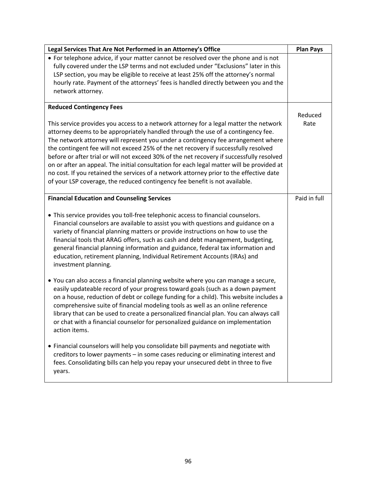| Legal Services That Are Not Performed in an Attorney's Office                                                                                                                                                                                                                                                                                                                                                                                                                                                                                                                                                                                                                                                             | <b>Plan Pays</b> |
|---------------------------------------------------------------------------------------------------------------------------------------------------------------------------------------------------------------------------------------------------------------------------------------------------------------------------------------------------------------------------------------------------------------------------------------------------------------------------------------------------------------------------------------------------------------------------------------------------------------------------------------------------------------------------------------------------------------------------|------------------|
| • For telephone advice, if your matter cannot be resolved over the phone and is not<br>fully covered under the LSP terms and not excluded under "Exclusions" later in this<br>LSP section, you may be eligible to receive at least 25% off the attorney's normal<br>hourly rate. Payment of the attorneys' fees is handled directly between you and the<br>network attorney.                                                                                                                                                                                                                                                                                                                                              |                  |
| <b>Reduced Contingency Fees</b>                                                                                                                                                                                                                                                                                                                                                                                                                                                                                                                                                                                                                                                                                           |                  |
| This service provides you access to a network attorney for a legal matter the network<br>attorney deems to be appropriately handled through the use of a contingency fee.<br>The network attorney will represent you under a contingency fee arrangement where<br>the contingent fee will not exceed 25% of the net recovery if successfully resolved<br>before or after trial or will not exceed 30% of the net recovery if successfully resolved<br>on or after an appeal. The initial consultation for each legal matter will be provided at<br>no cost. If you retained the services of a network attorney prior to the effective date<br>of your LSP coverage, the reduced contingency fee benefit is not available. | Reduced<br>Rate  |
| <b>Financial Education and Counseling Services</b>                                                                                                                                                                                                                                                                                                                                                                                                                                                                                                                                                                                                                                                                        | Paid in full     |
| • This service provides you toll-free telephonic access to financial counselors.<br>Financial counselors are available to assist you with questions and guidance on a<br>variety of financial planning matters or provide instructions on how to use the<br>financial tools that ARAG offers, such as cash and debt management, budgeting,<br>general financial planning information and guidance, federal tax information and<br>education, retirement planning, Individual Retirement Accounts (IRAs) and<br>investment planning.                                                                                                                                                                                       |                  |
| • You can also access a financial planning website where you can manage a secure,<br>easily updateable record of your progress toward goals (such as a down payment<br>on a house, reduction of debt or college funding for a child). This website includes a<br>comprehensive suite of financial modeling tools as well as an online reference<br>library that can be used to create a personalized financial plan. You can always call<br>or chat with a financial counselor for personalized guidance on implementation<br>action items.                                                                                                                                                                               |                  |
| • Financial counselors will help you consolidate bill payments and negotiate with<br>creditors to lower payments - in some cases reducing or eliminating interest and<br>fees. Consolidating bills can help you repay your unsecured debt in three to five<br>years.                                                                                                                                                                                                                                                                                                                                                                                                                                                      |                  |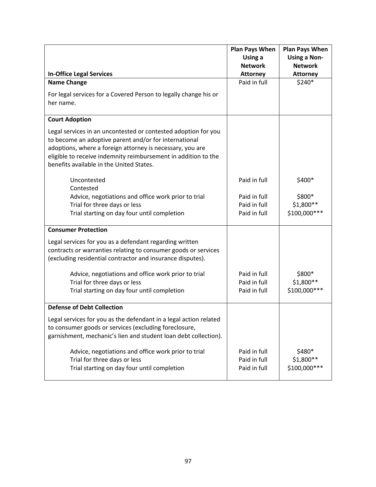|                                                                                                                                                                                                                                                                                                    | <b>Plan Pays When</b>                        | <b>Plan Pays When</b>                 |
|----------------------------------------------------------------------------------------------------------------------------------------------------------------------------------------------------------------------------------------------------------------------------------------------------|----------------------------------------------|---------------------------------------|
|                                                                                                                                                                                                                                                                                                    | Using a                                      | <b>Using a Non-</b>                   |
|                                                                                                                                                                                                                                                                                                    | <b>Network</b>                               | <b>Network</b>                        |
| <b>In-Office Legal Services</b>                                                                                                                                                                                                                                                                    | <b>Attorney</b>                              | <b>Attorney</b>                       |
| <b>Name Change</b>                                                                                                                                                                                                                                                                                 | Paid in full                                 | \$240*                                |
| For legal services for a Covered Person to legally change his or<br>her name.                                                                                                                                                                                                                      |                                              |                                       |
| <b>Court Adoption</b>                                                                                                                                                                                                                                                                              |                                              |                                       |
| Legal services in an uncontested or contested adoption for you<br>to become an adoptive parent and/or for international<br>adoptions, where a foreign attorney is necessary, you are<br>eligible to receive indemnity reimbursement in addition to the<br>benefits available in the United States. |                                              |                                       |
| Uncontested<br>Contested                                                                                                                                                                                                                                                                           | Paid in full                                 | \$400*                                |
| Advice, negotiations and office work prior to trial                                                                                                                                                                                                                                                | Paid in full                                 | \$800*                                |
| Trial for three days or less                                                                                                                                                                                                                                                                       | Paid in full                                 | \$1,800 **                            |
| Trial starting on day four until completion                                                                                                                                                                                                                                                        | Paid in full                                 | \$100,000 ***                         |
| <b>Consumer Protection</b>                                                                                                                                                                                                                                                                         |                                              |                                       |
| Legal services for you as a defendant regarding written<br>contracts or warranties relating to consumer goods or services<br>(excluding residential contractor and insurance disputes).                                                                                                            |                                              |                                       |
| Advice, negotiations and office work prior to trial                                                                                                                                                                                                                                                | Paid in full                                 | \$800*                                |
| Trial for three days or less                                                                                                                                                                                                                                                                       | Paid in full                                 | \$1,800 **                            |
| Trial starting on day four until completion                                                                                                                                                                                                                                                        | Paid in full                                 | \$100,000 ***                         |
| <b>Defense of Debt Collection</b>                                                                                                                                                                                                                                                                  |                                              |                                       |
| Legal services for you as the defendant in a legal action related<br>to consumer goods or services (excluding foreclosure,<br>garnishment, mechanic's lien and student loan debt collection).                                                                                                      |                                              |                                       |
| Advice, negotiations and office work prior to trial<br>Trial for three days or less<br>Trial starting on day four until completion                                                                                                                                                                 | Paid in full<br>Paid in full<br>Paid in full | \$480*<br>\$1,800 **<br>\$100,000 *** |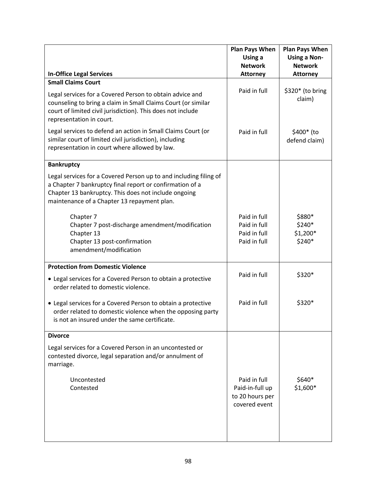|                                                                                                                                                                                                                                      | <b>Plan Pays When</b><br>Using a                                    | <b>Plan Pays When</b><br><b>Using a Non-</b> |
|--------------------------------------------------------------------------------------------------------------------------------------------------------------------------------------------------------------------------------------|---------------------------------------------------------------------|----------------------------------------------|
|                                                                                                                                                                                                                                      | <b>Network</b>                                                      | <b>Network</b>                               |
| <b>In-Office Legal Services</b><br><b>Small Claims Court</b>                                                                                                                                                                         | <b>Attorney</b>                                                     | <b>Attorney</b>                              |
| Legal services for a Covered Person to obtain advice and<br>counseling to bring a claim in Small Claims Court (or similar<br>court of limited civil jurisdiction). This does not include<br>representation in court.                 | Paid in full                                                        | \$320* (to bring<br>claim)                   |
| Legal services to defend an action in Small Claims Court (or<br>similar court of limited civil jurisdiction), including<br>representation in court where allowed by law.                                                             | Paid in full                                                        | \$400* (to<br>defend claim)                  |
| <b>Bankruptcy</b>                                                                                                                                                                                                                    |                                                                     |                                              |
| Legal services for a Covered Person up to and including filing of<br>a Chapter 7 bankruptcy final report or confirmation of a<br>Chapter 13 bankruptcy. This does not include ongoing<br>maintenance of a Chapter 13 repayment plan. |                                                                     |                                              |
| Chapter 7<br>Chapter 7 post-discharge amendment/modification<br>Chapter 13<br>Chapter 13 post-confirmation<br>amendment/modification                                                                                                 | Paid in full<br>Paid in full<br>Paid in full<br>Paid in full        | \$880*<br>\$240*<br>$$1,200*$<br>\$240*      |
| <b>Protection from Domestic Violence</b>                                                                                                                                                                                             |                                                                     |                                              |
| • Legal services for a Covered Person to obtain a protective<br>order related to domestic violence.                                                                                                                                  | Paid in full                                                        | \$320*                                       |
| • Legal services for a Covered Person to obtain a protective<br>order related to domestic violence when the opposing party<br>is not an insured under the same certificate.                                                          | Paid in full                                                        | \$320*                                       |
| <b>Divorce</b>                                                                                                                                                                                                                       |                                                                     |                                              |
| Legal services for a Covered Person in an uncontested or<br>contested divorce, legal separation and/or annulment of<br>marriage.                                                                                                     |                                                                     |                                              |
| Uncontested<br>Contested                                                                                                                                                                                                             | Paid in full<br>Paid-in-full up<br>to 20 hours per<br>covered event | \$640*<br>$$1,600*$                          |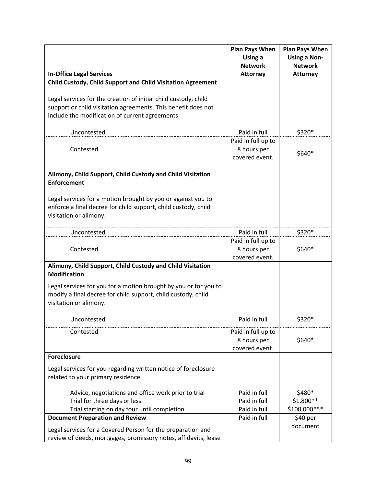| <b>In-Office Legal Services</b>                                                                                                                                                     | <b>Plan Pays When</b><br>Using a<br><b>Network</b><br><b>Attorney</b> | <b>Plan Pays When</b><br><b>Using a Non-</b><br><b>Network</b><br><b>Attorney</b> |
|-------------------------------------------------------------------------------------------------------------------------------------------------------------------------------------|-----------------------------------------------------------------------|-----------------------------------------------------------------------------------|
| Child Custody, Child Support and Child Visitation Agreement                                                                                                                         |                                                                       |                                                                                   |
| Legal services for the creation of initial child custody, child<br>support or child visitation agreements. This benefit does not<br>include the modification of current agreements. |                                                                       |                                                                                   |
| Uncontested                                                                                                                                                                         | Paid in full                                                          | \$320*                                                                            |
| Contested                                                                                                                                                                           | Paid in full up to<br>8 hours per<br>covered event.                   | \$640*                                                                            |
| Alimony, Child Support, Child Custody and Child Visitation<br><b>Enforcement</b>                                                                                                    |                                                                       |                                                                                   |
| Legal services for a motion brought by you or against you to<br>enforce a final decree for child support, child custody, child<br>visitation or alimony.                            |                                                                       |                                                                                   |
| Uncontested                                                                                                                                                                         | Paid in full                                                          | \$320*                                                                            |
| Contested                                                                                                                                                                           | Paid in full up to<br>8 hours per<br>covered event.                   | \$640*                                                                            |
| Alimony, Child Support, Child Custody and Child Visitation<br><b>Modification</b>                                                                                                   |                                                                       |                                                                                   |
| Legal services for you for a motion brought by you or for you to<br>modify a final decree for child support, child custody, child<br>visitation or alimony.                         |                                                                       |                                                                                   |
| uncontested                                                                                                                                                                         | Paid in full                                                          | \$320*                                                                            |
| Contested                                                                                                                                                                           | Paid in full up to<br>8 hours per<br>covered event.                   | \$640*                                                                            |
| <b>Foreclosure</b>                                                                                                                                                                  |                                                                       |                                                                                   |
| Legal services for you regarding written notice of foreclosure<br>related to your primary residence.                                                                                |                                                                       |                                                                                   |
| Advice, negotiations and office work prior to trial<br>Trial for three days or less<br>Trial starting on day four until completion                                                  | Paid in full<br>Paid in full<br>Paid in full                          | \$480*<br>\$1,800 **<br>\$100,000 ***                                             |
| <b>Document Preparation and Review</b>                                                                                                                                              | Paid in full                                                          | \$40 per                                                                          |
| Legal services for a Covered Person for the preparation and<br>review of deeds, mortgages, promissory notes, affidavits, lease                                                      |                                                                       | document                                                                          |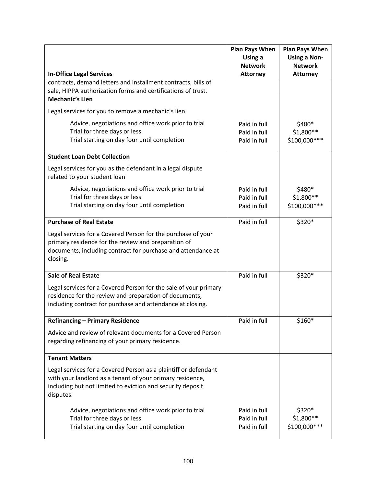|                                                                                            | <b>Plan Pays When</b><br>Using a | <b>Plan Pays When</b><br><b>Using a Non-</b> |
|--------------------------------------------------------------------------------------------|----------------------------------|----------------------------------------------|
|                                                                                            | <b>Network</b>                   | <b>Network</b>                               |
| <b>In-Office Legal Services</b>                                                            | <b>Attorney</b>                  | <b>Attorney</b>                              |
| contracts, demand letters and installment contracts, bills of                              |                                  |                                              |
| sale, HIPPA authorization forms and certifications of trust.<br><b>Mechanic's Lien</b>     |                                  |                                              |
|                                                                                            |                                  |                                              |
| Legal services for you to remove a mechanic's lien                                         |                                  |                                              |
| Advice, negotiations and office work prior to trial                                        | Paid in full                     | \$480*                                       |
| Trial for three days or less                                                               | Paid in full                     | $$1,800**$                                   |
| Trial starting on day four until completion                                                | Paid in full                     | \$100,000 ***                                |
| <b>Student Loan Debt Collection</b>                                                        |                                  |                                              |
| Legal services for you as the defendant in a legal dispute<br>related to your student loan |                                  |                                              |
| Advice, negotiations and office work prior to trial                                        | Paid in full                     | \$480*                                       |
| Trial for three days or less                                                               | Paid in full                     | $$1,800**$                                   |
| Trial starting on day four until completion                                                | Paid in full                     | \$100,000 ***                                |
| <b>Purchase of Real Estate</b>                                                             | Paid in full                     | \$320*                                       |
| Legal services for a Covered Person for the purchase of your                               |                                  |                                              |
| primary residence for the review and preparation of                                        |                                  |                                              |
| documents, including contract for purchase and attendance at                               |                                  |                                              |
| closing.                                                                                   |                                  |                                              |
| <b>Sale of Real Estate</b>                                                                 | Paid in full                     | \$320*                                       |
| Legal services for a Covered Person for the sale of your primary                           |                                  |                                              |
| residence for the review and preparation of documents,                                     |                                  |                                              |
| including contract for purchase and attendance at closing.                                 |                                  |                                              |
| <b>Refinancing - Primary Residence</b>                                                     | Paid in full                     | \$160*                                       |
| Advice and review of relevant documents for a Covered Person                               |                                  |                                              |
| regarding refinancing of your primary residence.                                           |                                  |                                              |
|                                                                                            |                                  |                                              |
| <b>Tenant Matters</b>                                                                      |                                  |                                              |
| Legal services for a Covered Person as a plaintiff or defendant                            |                                  |                                              |
| with your landlord as a tenant of your primary residence,                                  |                                  |                                              |
| including but not limited to eviction and security deposit<br>disputes.                    |                                  |                                              |
|                                                                                            |                                  |                                              |
| Advice, negotiations and office work prior to trial                                        | Paid in full                     | \$320*                                       |
| Trial for three days or less                                                               | Paid in full                     | \$1,800**                                    |
| Trial starting on day four until completion                                                | Paid in full                     | \$100,000 ***                                |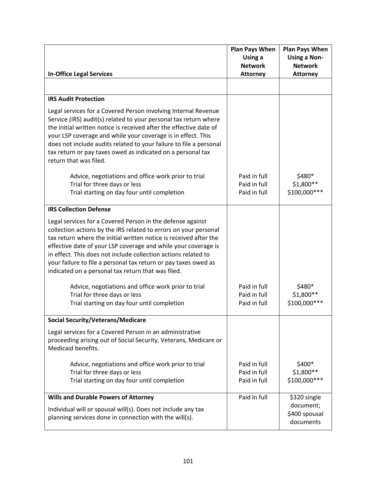|                                                                                                                                                                                                                                                                                                                                                                                                                                                                                                                                                                                                                                                    | <b>Plan Pays When</b>                        | <b>Plan Pays When</b>                   |
|----------------------------------------------------------------------------------------------------------------------------------------------------------------------------------------------------------------------------------------------------------------------------------------------------------------------------------------------------------------------------------------------------------------------------------------------------------------------------------------------------------------------------------------------------------------------------------------------------------------------------------------------------|----------------------------------------------|-----------------------------------------|
|                                                                                                                                                                                                                                                                                                                                                                                                                                                                                                                                                                                                                                                    | Using a                                      | <b>Using a Non-</b>                     |
|                                                                                                                                                                                                                                                                                                                                                                                                                                                                                                                                                                                                                                                    | <b>Network</b>                               | <b>Network</b>                          |
| <b>In-Office Legal Services</b>                                                                                                                                                                                                                                                                                                                                                                                                                                                                                                                                                                                                                    | <b>Attorney</b>                              | <b>Attorney</b>                         |
|                                                                                                                                                                                                                                                                                                                                                                                                                                                                                                                                                                                                                                                    |                                              |                                         |
| <b>IRS Audit Protection</b>                                                                                                                                                                                                                                                                                                                                                                                                                                                                                                                                                                                                                        |                                              |                                         |
| Legal services for a Covered Person involving Internal Revenue<br>Service (IRS) audit(s) related to your personal tax return where<br>the initial written notice is received after the effective date of<br>your LSP coverage and while your coverage is in effect. This<br>does not include audits related to your failure to file a personal<br>tax return or pay taxes owed as indicated on a personal tax<br>return that was filed.                                                                                                                                                                                                            |                                              |                                         |
| Advice, negotiations and office work prior to trial                                                                                                                                                                                                                                                                                                                                                                                                                                                                                                                                                                                                | Paid in full                                 | \$480*                                  |
| Trial for three days or less                                                                                                                                                                                                                                                                                                                                                                                                                                                                                                                                                                                                                       | Paid in full                                 | \$1,800 **                              |
| Trial starting on day four until completion                                                                                                                                                                                                                                                                                                                                                                                                                                                                                                                                                                                                        | Paid in full                                 | \$100,000 ***                           |
| <b>IRS Collection Defense</b>                                                                                                                                                                                                                                                                                                                                                                                                                                                                                                                                                                                                                      |                                              |                                         |
| Legal services for a Covered Person in the defense against<br>collection actions by the IRS related to errors on your personal<br>tax return where the initial written notice is received after the<br>effective date of your LSP coverage and while your coverage is<br>in effect. This does not include collection actions related to<br>your failure to file a personal tax return or pay taxes owed as<br>indicated on a personal tax return that was filed.<br>Advice, negotiations and office work prior to trial<br>Trial for three days or less<br>Trial starting on day four until completion<br><b>Social Security/Veterans/Medicare</b> | Paid in full<br>Paid in full<br>Paid in full | \$480*<br>\$1,800 **<br>\$100,000 ***   |
| Legal services for a Covered Person in an administrative<br>proceeding arising out of Social Security, Veterans, Medicare or<br>Medicaid benefits.                                                                                                                                                                                                                                                                                                                                                                                                                                                                                                 |                                              |                                         |
| Advice, negotiations and office work prior to trial<br>Trial for three days or less<br>Trial starting on day four until completion                                                                                                                                                                                                                                                                                                                                                                                                                                                                                                                 | Paid in full<br>Paid in full<br>Paid in full | \$400*<br>\$1,800 **<br>\$100,000 ***   |
| <b>Wills and Durable Powers of Attorney</b>                                                                                                                                                                                                                                                                                                                                                                                                                                                                                                                                                                                                        | Paid in full                                 | \$320 single                            |
| Individual will or spousal will(s). Does not include any tax<br>planning services done in connection with the will(s).                                                                                                                                                                                                                                                                                                                                                                                                                                                                                                                             |                                              | document;<br>\$400 spousal<br>documents |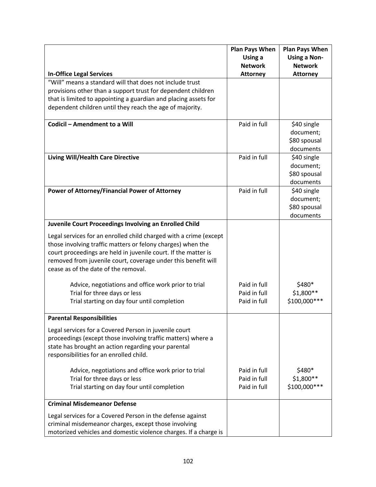|                                                                   | <b>Plan Pays When</b> | <b>Plan Pays When</b> |
|-------------------------------------------------------------------|-----------------------|-----------------------|
|                                                                   | Using a               | <b>Using a Non-</b>   |
|                                                                   | <b>Network</b>        | <b>Network</b>        |
| <b>In-Office Legal Services</b>                                   | <b>Attorney</b>       | <b>Attorney</b>       |
| "Will" means a standard will that does not include trust          |                       |                       |
| provisions other than a support trust for dependent children      |                       |                       |
| that is limited to appointing a guardian and placing assets for   |                       |                       |
| dependent children until they reach the age of majority.          |                       |                       |
|                                                                   |                       |                       |
| Codicil - Amendment to a Will                                     | Paid in full          | \$40 single           |
|                                                                   |                       | document;             |
|                                                                   |                       | \$80 spousal          |
|                                                                   |                       | documents             |
| <b>Living Will/Health Care Directive</b>                          | Paid in full          | \$40 single           |
|                                                                   |                       | document;             |
|                                                                   |                       | \$80 spousal          |
|                                                                   |                       | documents             |
| Power of Attorney/Financial Power of Attorney                     | Paid in full          | \$40 single           |
|                                                                   |                       | document;             |
|                                                                   |                       | \$80 spousal          |
|                                                                   |                       | documents             |
| Juvenile Court Proceedings Involving an Enrolled Child            |                       |                       |
| Legal services for an enrolled child charged with a crime (except |                       |                       |
| those involving traffic matters or felony charges) when the       |                       |                       |
| court proceedings are held in juvenile court. If the matter is    |                       |                       |
| removed from juvenile court, coverage under this benefit will     |                       |                       |
| cease as of the date of the removal.                              |                       |                       |
|                                                                   |                       |                       |
| Advice, negotiations and office work prior to trial               | Paid in full          | \$480*                |
| Trial for three days or less                                      | Paid in full          | \$1,800 **            |
| Trial starting on day four until completion                       | Paid in full          | \$100,000 ***         |
|                                                                   |                       |                       |
| <b>Parental Responsibilities</b>                                  |                       |                       |
| Legal services for a Covered Person in juvenile court             |                       |                       |
| proceedings (except those involving traffic matters) where a      |                       |                       |
| state has brought an action regarding your parental               |                       |                       |
| responsibilities for an enrolled child.                           |                       |                       |
|                                                                   |                       |                       |
| Advice, negotiations and office work prior to trial               | Paid in full          | \$480*                |
| Trial for three days or less                                      | Paid in full          | $$1,800**$            |
| Trial starting on day four until completion                       | Paid in full          | \$100,000 ***         |
|                                                                   |                       |                       |
| <b>Criminal Misdemeanor Defense</b>                               |                       |                       |
| Legal services for a Covered Person in the defense against        |                       |                       |
| criminal misdemeanor charges, except those involving              |                       |                       |
| motorized vehicles and domestic violence charges. If a charge is  |                       |                       |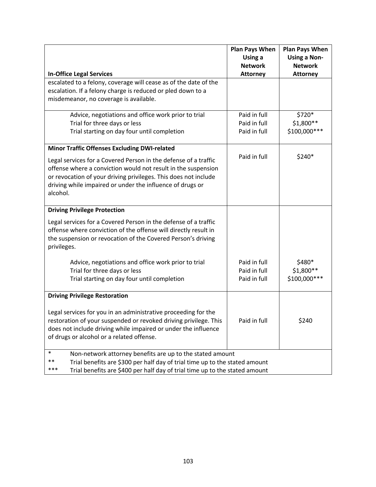|                                                                                      | <b>Plan Pays When</b><br>Using a | <b>Plan Pays When</b><br><b>Using a Non-</b> |
|--------------------------------------------------------------------------------------|----------------------------------|----------------------------------------------|
|                                                                                      | <b>Network</b>                   | <b>Network</b>                               |
| <b>In-Office Legal Services</b>                                                      | <b>Attorney</b>                  | <b>Attorney</b>                              |
| escalated to a felony, coverage will cease as of the date of the                     |                                  |                                              |
| escalation. If a felony charge is reduced or pled down to a                          |                                  |                                              |
| misdemeanor, no coverage is available.                                               |                                  |                                              |
| Advice, negotiations and office work prior to trial                                  | Paid in full                     | \$720*                                       |
| Trial for three days or less                                                         | Paid in full                     | \$1,800**                                    |
| Trial starting on day four until completion                                          | Paid in full                     | \$100,000 ***                                |
| <b>Minor Traffic Offenses Excluding DWI-related</b>                                  |                                  |                                              |
| Legal services for a Covered Person in the defense of a traffic                      | Paid in full                     | \$240*                                       |
| offense where a conviction would not result in the suspension                        |                                  |                                              |
| or revocation of your driving privileges. This does not include                      |                                  |                                              |
| driving while impaired or under the influence of drugs or                            |                                  |                                              |
| alcohol.                                                                             |                                  |                                              |
|                                                                                      |                                  |                                              |
| <b>Driving Privilege Protection</b>                                                  |                                  |                                              |
| Legal services for a Covered Person in the defense of a traffic                      |                                  |                                              |
| offense where conviction of the offense will directly result in                      |                                  |                                              |
| the suspension or revocation of the Covered Person's driving                         |                                  |                                              |
| privileges.                                                                          |                                  |                                              |
| Advice, negotiations and office work prior to trial                                  | Paid in full                     | \$480*                                       |
| Trial for three days or less                                                         | Paid in full                     | $$1,800**$                                   |
| Trial starting on day four until completion                                          | Paid in full                     | \$100,000 ***                                |
|                                                                                      |                                  |                                              |
| <b>Driving Privilege Restoration</b>                                                 |                                  |                                              |
| Legal services for you in an administrative proceeding for the                       |                                  |                                              |
| restoration of your suspended or revoked driving privilege. This                     | Paid in full                     | \$240                                        |
| does not include driving while impaired or under the influence                       |                                  |                                              |
| of drugs or alcohol or a related offense.                                            |                                  |                                              |
|                                                                                      |                                  |                                              |
| $\ast$<br>Non-network attorney benefits are up to the stated amount                  |                                  |                                              |
| $***$<br>Trial benefits are \$300 per half day of trial time up to the stated amount |                                  |                                              |
| ***<br>Trial benefits are \$400 per half day of trial time up to the stated amount   |                                  |                                              |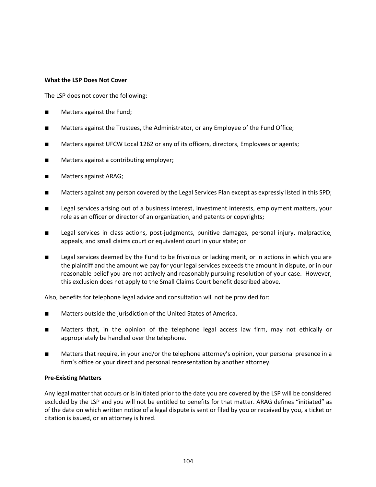#### **What the LSP Does Not Cover**

The LSP does not cover the following:

- Matters against the Fund;
- Matters against the Trustees, the Administrator, or any Employee of the Fund Office;
- Matters against UFCW Local 1262 or any of its officers, directors, Employees or agents;
- Matters against a contributing employer;
- Matters against ARAG;
- Matters against any person covered by the Legal Services Plan except as expressly listed in this SPD;
- Legal services arising out of a business interest, investment interests, employment matters, your role as an officer or director of an organization, and patents or copyrights;
- Legal services in class actions, post-judgments, punitive damages, personal injury, malpractice, appeals, and small claims court or equivalent court in your state; or
- Legal services deemed by the Fund to be frivolous or lacking merit, or in actions in which you are the plaintiff and the amount we pay for your legal services exceeds the amount in dispute, or in our reasonable belief you are not actively and reasonably pursuing resolution of your case. However, this exclusion does not apply to the Small Claims Court benefit described above.

Also, benefits for telephone legal advice and consultation will not be provided for:

- Matters outside the jurisdiction of the United States of America.
- Matters that, in the opinion of the telephone legal access law firm, may not ethically or appropriately be handled over the telephone.
- Matters that require, in your and/or the telephone attorney's opinion, your personal presence in a firm's office or your direct and personal representation by another attorney.

#### **Pre-Existing Matters**

Any legal matter that occurs or is initiated prior to the date you are covered by the LSP will be considered excluded by the LSP and you will not be entitled to benefits for that matter. ARAG defines "initiated" as of the date on which written notice of a legal dispute is sent or filed by you or received by you, a ticket or citation is issued, or an attorney is hired.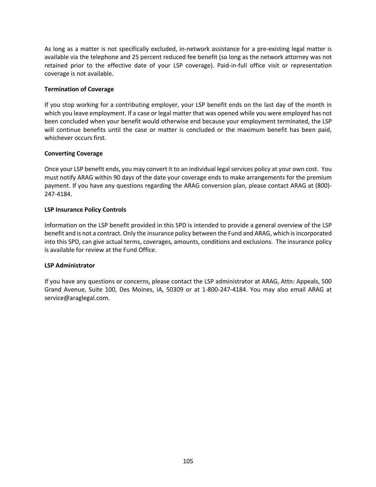As long as a matter is not specifically excluded, in-network assistance for a pre-existing legal matter is available via the telephone and 25 percent reduced fee benefit (so long as the network attorney was not retained prior to the effective date of your LSP coverage). Paid-in-full office visit or representation coverage is not available.

### **Termination of Coverage**

If you stop working for a contributing employer, your LSP benefit ends on the last day of the month in which you leave employment. If a case or legal matter that was opened while you were employed has not been concluded when your benefit would otherwise end because your employment terminated, the LSP will continue benefits until the case or matter is concluded or the maximum benefit has been paid, whichever occurs first.

# **Converting Coverage**

Once your LSP benefit ends, you may convert it to an individual legal services policy at your own cost. You must notify ARAG within 90 days of the date your coverage ends to make arrangements for the premium payment. If you have any questions regarding the ARAG conversion plan, please contact ARAG at (800)- 247-4184.

# **LSP Insurance Policy Controls**

Information on the LSP benefit provided in this SPD is intended to provide a general overview of the LSP benefit and is not a contract. Only the insurance policy between the Fund and ARAG, which is incorporated into this SPD, can give actual terms, coverages, amounts, conditions and exclusions. The insurance policy is available for review at the Fund Office.

#### **LSP Administrator**

If you have any questions or concerns, please contact the LSP administrator at ARAG, Attn: Appeals, 500 Grand Avenue, Suite 100, Des Moines, IA, 50309 or at 1-800-247-4184. You may also email ARAG at service@araglegal.com.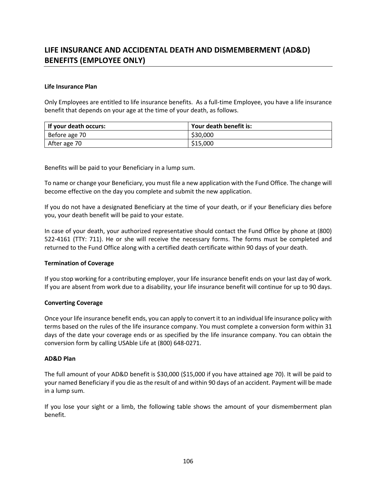# **LIFE INSURANCE AND ACCIDENTAL DEATH AND DISMEMBERMENT (AD&D) BENEFITS (EMPLOYEE ONLY)**

#### **Life Insurance Plan**

Only Employees are entitled to life insurance benefits. As a full-time Employee, you have a life insurance benefit that depends on your age at the time of your death, as follows.

| If your death occurs: | Your death benefit is: |
|-----------------------|------------------------|
| Before age 70         | \$30,000               |
| After age 70          | \$15,000               |

Benefits will be paid to your Beneficiary in a lump sum.

To name or change your Beneficiary, you must file a new application with the Fund Office. The change will become effective on the day you complete and submit the new application.

If you do not have a designated Beneficiary at the time of your death, or if your Beneficiary dies before you, your death benefit will be paid to your estate.

In case of your death, your authorized representative should contact the Fund Office by phone at (800) 522-4161 (TTY: 711). He or she will receive the necessary forms. The forms must be completed and returned to the Fund Office along with a certified death certificate within 90 days of your death.

#### **Termination of Coverage**

If you stop working for a contributing employer, your life insurance benefit ends on your last day of work. If you are absent from work due to a disability, your life insurance benefit will continue for up to 90 days.

#### **Converting Coverage**

Once your life insurance benefit ends, you can apply to convert it to an individual life insurance policy with terms based on the rules of the life insurance company. You must complete a conversion form within 31 days of the date your coverage ends or as specified by the life insurance company. You can obtain the conversion form by calling USAble Life at (800) 648-0271.

#### **AD&D Plan**

The full amount of your AD&D benefit is \$30,000 (\$15,000 if you have attained age 70). It will be paid to your named Beneficiary if you die as the result of and within 90 days of an accident. Payment will be made in a lump sum.

If you lose your sight or a limb, the following table shows the amount of your dismemberment plan benefit.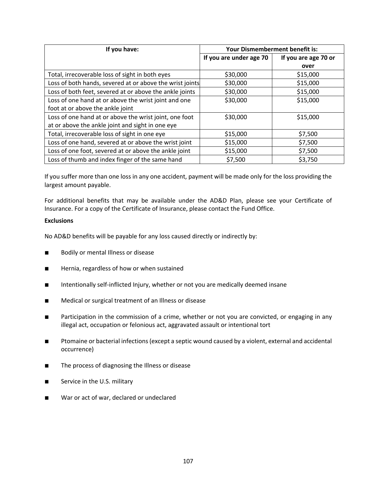| If you have:                                             | Your Dismemberment benefit is: |                      |
|----------------------------------------------------------|--------------------------------|----------------------|
|                                                          | If you are under age 70        | If you are age 70 or |
|                                                          |                                | over                 |
| Total, irrecoverable loss of sight in both eyes          | \$30,000                       | \$15,000             |
| Loss of both hands, severed at or above the wrist joints | \$30,000                       | \$15,000             |
| Loss of both feet, severed at or above the ankle joints  | \$30,000                       | \$15,000             |
| Loss of one hand at or above the wrist joint and one     | \$30,000                       | \$15,000             |
| foot at or above the ankle joint                         |                                |                      |
| Loss of one hand at or above the wrist joint, one foot   | \$30,000                       | \$15,000             |
| at or above the ankle joint and sight in one eye         |                                |                      |
| Total, irrecoverable loss of sight in one eye            | \$15,000                       | \$7,500              |
| Loss of one hand, severed at or above the wrist joint    | \$15,000                       | \$7,500              |
| Loss of one foot, severed at or above the ankle joint    | \$15,000                       | \$7,500              |
| Loss of thumb and index finger of the same hand          | \$7,500                        | \$3,750              |

If you suffer more than one loss in any one accident, payment will be made only for the loss providing the largest amount payable.

For additional benefits that may be available under the AD&D Plan, please see your Certificate of Insurance. For a copy of the Certificate of Insurance, please contact the Fund Office.

# **Exclusions**

No AD&D benefits will be payable for any loss caused directly or indirectly by:

- Bodily or mental Illness or disease
- Hernia, regardless of how or when sustained
- Intentionally self-inflicted Injury, whether or not you are medically deemed insane
- Medical or surgical treatment of an Illness or disease
- Participation in the commission of a crime, whether or not you are convicted, or engaging in any illegal act, occupation or felonious act, aggravated assault or intentional tort
- Ptomaine or bacterial infections (except a septic wound caused by a violent, external and accidental occurrence)
- The process of diagnosing the Illness or disease
- Service in the U.S. military
- War or act of war, declared or undeclared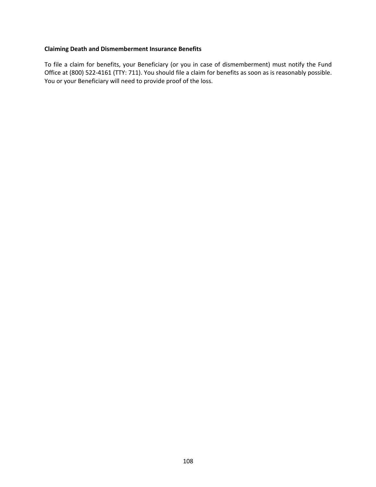# **Claiming Death and Dismemberment Insurance Benefits**

To file a claim for benefits, your Beneficiary (or you in case of dismemberment) must notify the Fund Office at (800) 522-4161 (TTY: 711). You should file a claim for benefits as soon as is reasonably possible. You or your Beneficiary will need to provide proof of the loss.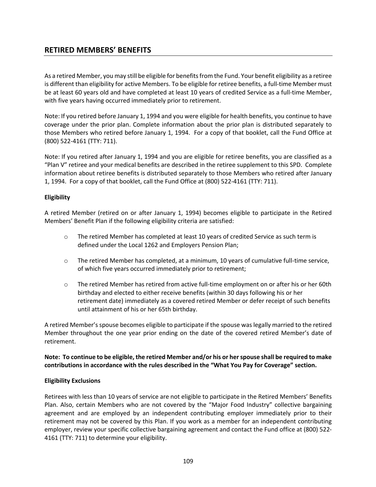# **RETIRED MEMBERS' BENEFITS**

As a retired Member, you may still be eligible for benefits from the Fund. Your benefit eligibility as a retiree is different than eligibility for active Members. To be eligible for retiree benefits, a full-time Member must be at least 60 years old and have completed at least 10 years of credited Service as a full-time Member, with five years having occurred immediately prior to retirement.

Note: If you retired before January 1, 1994 and you were eligible for health benefits, you continue to have coverage under the prior plan. Complete information about the prior plan is distributed separately to those Members who retired before January 1, 1994. For a copy of that booklet, call the Fund Office at (800) 522-4161 (TTY: 711).

Note: If you retired after January 1, 1994 and you are eligible for retiree benefits, you are classified as a "Plan V" retiree and your medical benefits are described in the retiree supplement to this SPD. Complete information about retiree benefits is distributed separately to those Members who retired after January 1, 1994. For a copy of that booklet, call the Fund Office at (800) 522-4161 (TTY: 711).

# **Eligibility**

A retired Member (retired on or after January 1, 1994) becomes eligible to participate in the Retired Members' Benefit Plan if the following eligibility criteria are satisfied:

- $\circ$  The retired Member has completed at least 10 years of credited Service as such term is defined under the Local 1262 and Employers Pension Plan;
- o The retired Member has completed, at a minimum, 10 years of cumulative full-time service, of which five years occurred immediately prior to retirement;
- o The retired Member has retired from active full-time employment on or after his or her 60th birthday and elected to either receive benefits (within 30 days following his or her retirement date) immediately as a covered retired Member or defer receipt of such benefits until attainment of his or her 65th birthday.

A retired Member's spouse becomes eligible to participate if the spouse was legally married to the retired Member throughout the one year prior ending on the date of the covered retired Member's date of retirement.

**Note: To continue to be eligible, the retired Member and/or his or her spouse shall be required to make contributions in accordance with the rules described in the "What You Pay for Coverage" section.**

# **Eligibility Exclusions**

Retirees with less than 10 years of service are not eligible to participate in the Retired Members' Benefits Plan. Also, certain Members who are not covered by the "Major Food Industry" collective bargaining agreement and are employed by an independent contributing employer immediately prior to their retirement may not be covered by this Plan. If you work as a member for an independent contributing employer, review your specific collective bargaining agreement and contact the Fund office at (800) 522- 4161 (TTY: 711) to determine your eligibility.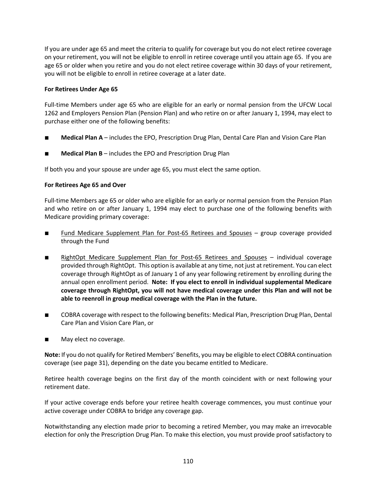If you are under age 65 and meet the criteria to qualify for coverage but you do not elect retiree coverage on your retirement, you will not be eligible to enroll in retiree coverage until you attain age 65. If you are age 65 or older when you retire and you do not elect retiree coverage within 30 days of your retirement, you will not be eligible to enroll in retiree coverage at a later date.

# **For Retirees Under Age 65**

Full-time Members under age 65 who are eligible for an early or normal pension from the UFCW Local 1262 and Employers Pension Plan (Pension Plan) and who retire on or after January 1, 1994, may elect to purchase either one of the following benefits:

- **Medical Plan A** includes the EPO, Prescription Drug Plan, Dental Care Plan and Vision Care Plan
- **Medical Plan B** includes the EPO and Prescription Drug Plan

If both you and your spouse are under age 65, you must elect the same option.

# **For Retirees Age 65 and Over**

Full-time Members age 65 or older who are eligible for an early or normal pension from the Pension Plan and who retire on or after January 1, 1994 may elect to purchase one of the following benefits with Medicare providing primary coverage:

- Fund Medicare Supplement Plan for Post-65 Retirees and Spouses group coverage provided through the Fund
- RightOpt Medicare Supplement Plan for Post-65 Retirees and Spouses individual coverage provided through RightOpt. This option is available at any time, not just at retirement. You can elect coverage through RightOpt as of January 1 of any year following retirement by enrolling during the annual open enrollment period. **Note: If you elect to enroll in individual supplemental Medicare coverage through RightOpt, you will not have medical coverage under this Plan and will not be able to reenroll in group medical coverage with the Plan in the future.**
- COBRA coverage with respect to the following benefits: Medical Plan, Prescription Drug Plan, Dental Care Plan and Vision Care Plan, or
- May elect no coverage.

**Note:** If you do not qualify for Retired Members' Benefits, you may be eligible to elect COBRA continuation coverage (see page 31), depending on the date you became entitled to Medicare.

Retiree health coverage begins on the first day of the month coincident with or next following your retirement date.

If your active coverage ends before your retiree health coverage commences, you must continue your active coverage under COBRA to bridge any coverage gap.

Notwithstanding any election made prior to becoming a retired Member, you may make an irrevocable election for only the Prescription Drug Plan. To make this election, you must provide proof satisfactory to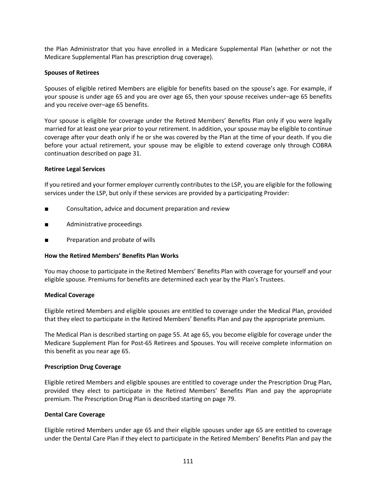the Plan Administrator that you have enrolled in a Medicare Supplemental Plan (whether or not the Medicare Supplemental Plan has prescription drug coverage).

## **Spouses of Retirees**

Spouses of eligible retired Members are eligible for benefits based on the spouse's age. For example, if your spouse is under age 65 and you are over age 65, then your spouse receives under–age 65 benefits and you receive over–age 65 benefits.

Your spouse is eligible for coverage under the Retired Members' Benefits Plan only if you were legally married for at least one year prior to your retirement. In addition, your spouse may be eligible to continue coverage after your death only if he or she was covered by the Plan at the time of your death. If you die before your actual retirement, your spouse may be eligible to extend coverage only through COBRA continuation described on page 31.

## **Retiree Legal Services**

If you retired and your former employer currently contributes to the LSP, you are eligible for the following services under the LSP, but only if these services are provided by a participating Provider:

- Consultation, advice and document preparation and review
- Administrative proceedings
- Preparation and probate of wills

# **How the Retired Members' Benefits Plan Works**

You may choose to participate in the Retired Members' Benefits Plan with coverage for yourself and your eligible spouse. Premiums for benefits are determined each year by the Plan's Trustees.

#### **Medical Coverage**

Eligible retired Members and eligible spouses are entitled to coverage under the Medical Plan, provided that they elect to participate in the Retired Members' Benefits Plan and pay the appropriate premium.

The Medical Plan is described starting on page 55. At age 65, you become eligible for coverage under the Medicare Supplement Plan for Post-65 Retirees and Spouses. You will receive complete information on this benefit as you near age 65.

#### **Prescription Drug Coverage**

Eligible retired Members and eligible spouses are entitled to coverage under the Prescription Drug Plan, provided they elect to participate in the Retired Members' Benefits Plan and pay the appropriate premium. The Prescription Drug Plan is described starting on page 79.

# **Dental Care Coverage**

Eligible retired Members under age 65 and their eligible spouses under age 65 are entitled to coverage under the Dental Care Plan if they elect to participate in the Retired Members' Benefits Plan and pay the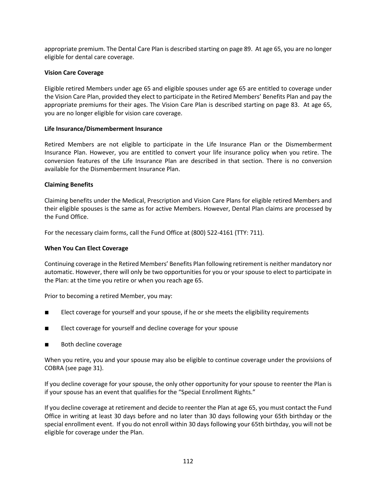appropriate premium. The Dental Care Plan is described starting on page 89. At age 65, you are no longer eligible for dental care coverage.

# **Vision Care Coverage**

Eligible retired Members under age 65 and eligible spouses under age 65 are entitled to coverage under the Vision Care Plan, provided they elect to participate in the Retired Members' Benefits Plan and pay the appropriate premiums for their ages. The Vision Care Plan is described starting on page 83. At age 65, you are no longer eligible for vision care coverage.

## **Life Insurance/Dismemberment Insurance**

Retired Members are not eligible to participate in the Life Insurance Plan or the Dismemberment Insurance Plan. However, you are entitled to convert your life insurance policy when you retire. The conversion features of the Life Insurance Plan are described in that section. There is no conversion available for the Dismemberment Insurance Plan.

## **Claiming Benefits**

Claiming benefits under the Medical, Prescription and Vision Care Plans for eligible retired Members and their eligible spouses is the same as for active Members. However, Dental Plan claims are processed by the Fund Office.

For the necessary claim forms, call the Fund Office at (800) 522-4161 (TTY: 711).

# **When You Can Elect Coverage**

Continuing coverage in the Retired Members' Benefits Plan following retirement is neither mandatory nor automatic. However, there will only be two opportunities for you or your spouse to elect to participate in the Plan: at the time you retire or when you reach age 65.

Prior to becoming a retired Member, you may:

- Elect coverage for yourself and your spouse, if he or she meets the eligibility requirements
- Elect coverage for yourself and decline coverage for your spouse
- Both decline coverage

When you retire, you and your spouse may also be eligible to continue coverage under the provisions of COBRA (see page 31).

If you decline coverage for your spouse, the only other opportunity for your spouse to reenter the Plan is if your spouse has an event that qualifies for the "Special Enrollment Rights."

If you decline coverage at retirement and decide to reenter the Plan at age 65, you must contact the Fund Office in writing at least 30 days before and no later than 30 days following your 65th birthday or the special enrollment event. If you do not enroll within 30 days following your 65th birthday, you will not be eligible for coverage under the Plan.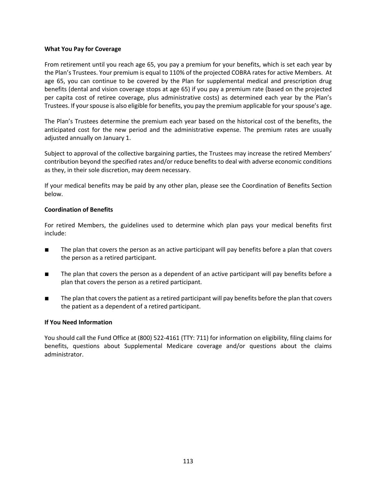## **What You Pay for Coverage**

From retirement until you reach age 65, you pay a premium for your benefits, which is set each year by the Plan's Trustees. Your premium is equal to 110% of the projected COBRA rates for active Members. At age 65, you can continue to be covered by the Plan for supplemental medical and prescription drug benefits (dental and vision coverage stops at age 65) if you pay a premium rate (based on the projected per capita cost of retiree coverage, plus administrative costs) as determined each year by the Plan's Trustees. If your spouse is also eligible for benefits, you pay the premium applicable for your spouse's age.

The Plan's Trustees determine the premium each year based on the historical cost of the benefits, the anticipated cost for the new period and the administrative expense. The premium rates are usually adjusted annually on January 1.

Subject to approval of the collective bargaining parties, the Trustees may increase the retired Members' contribution beyond the specified rates and/or reduce benefits to deal with adverse economic conditions as they, in their sole discretion, may deem necessary.

If your medical benefits may be paid by any other plan, please see the Coordination of Benefits Section below.

## **Coordination of Benefits**

For retired Members, the guidelines used to determine which plan pays your medical benefits first include:

- The plan that covers the person as an active participant will pay benefits before a plan that covers the person as a retired participant.
- The plan that covers the person as a dependent of an active participant will pay benefits before a plan that covers the person as a retired participant.
- The plan that covers the patient as a retired participant will pay benefits before the plan that covers the patient as a dependent of a retired participant.

## **If You Need Information**

You should call the Fund Office at (800) 522-4161 (TTY: 711) for information on eligibility, filing claims for benefits, questions about Supplemental Medicare coverage and/or questions about the claims administrator.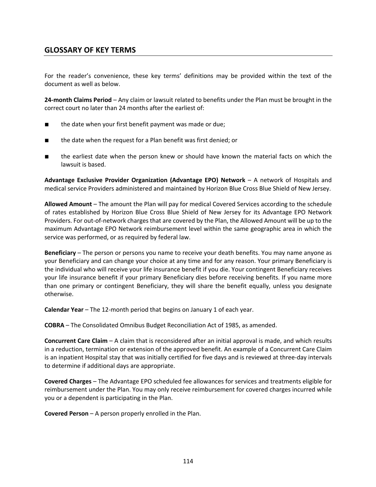# **GLOSSARY OF KEY TERMS**

For the reader's convenience, these key terms' definitions may be provided within the text of the document as well as below.

**24-month Claims Period** – Any claim or lawsuit related to benefits under the Plan must be brought in the correct court no later than 24 months after the earliest of:

- the date when your first benefit payment was made or due;
- the date when the request for a Plan benefit was first denied; or
- the earliest date when the person knew or should have known the material facts on which the lawsuit is based.

**Advantage Exclusive Provider Organization (Advantage EPO) Network** – A network of Hospitals and medical service Providers administered and maintained by Horizon Blue Cross Blue Shield of New Jersey.

**Allowed Amount** – The amount the Plan will pay for medical Covered Services according to the schedule of rates established by Horizon Blue Cross Blue Shield of New Jersey for its Advantage EPO Network Providers. For out-of-network charges that are covered by the Plan, the Allowed Amount will be up to the maximum Advantage EPO Network reimbursement level within the same geographic area in which the service was performed, or as required by federal law.

**Beneficiary** – The person or persons you name to receive your death benefits. You may name anyone as your Beneficiary and can change your choice at any time and for any reason. Your primary Beneficiary is the individual who will receive your life insurance benefit if you die. Your contingent Beneficiary receives your life insurance benefit if your primary Beneficiary dies before receiving benefits. If you name more than one primary or contingent Beneficiary, they will share the benefit equally, unless you designate otherwise.

**Calendar Year** – The 12-month period that begins on January 1 of each year.

**COBRA** – The Consolidated Omnibus Budget Reconciliation Act of 1985, as amended.

**Concurrent Care Claim** – A claim that is reconsidered after an initial approval is made, and which results in a reduction, termination or extension of the approved benefit. An example of a Concurrent Care Claim is an inpatient Hospital stay that was initially certified for five days and is reviewed at three-day intervals to determine if additional days are appropriate.

**Covered Charges** – The Advantage EPO scheduled fee allowances for services and treatments eligible for reimbursement under the Plan. You may only receive reimbursement for covered charges incurred while you or a dependent is participating in the Plan.

**Covered Person** – A person properly enrolled in the Plan.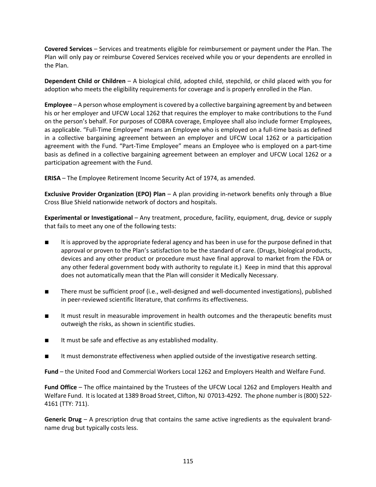**Covered Services** – Services and treatments eligible for reimbursement or payment under the Plan. The Plan will only pay or reimburse Covered Services received while you or your dependents are enrolled in the Plan.

**Dependent Child or Children** – A biological child, adopted child, stepchild, or child placed with you for adoption who meets the eligibility requirements for coverage and is properly enrolled in the Plan.

**Employee** – A person whose employment is covered by a collective bargaining agreement by and between his or her employer and UFCW Local 1262 that requires the employer to make contributions to the Fund on the person's behalf. For purposes of COBRA coverage, Employee shall also include former Employees, as applicable. "Full-Time Employee" means an Employee who is employed on a full-time basis as defined in a collective bargaining agreement between an employer and UFCW Local 1262 or a participation agreement with the Fund. "Part-Time Employee" means an Employee who is employed on a part-time basis as defined in a collective bargaining agreement between an employer and UFCW Local 1262 or a participation agreement with the Fund.

**ERISA** – The Employee Retirement Income Security Act of 1974, as amended.

**Exclusive Provider Organization (EPO) Plan** – A plan providing in-network benefits only through a Blue Cross Blue Shield nationwide network of doctors and hospitals.

**Experimental or Investigational** – Any treatment, procedure, facility, equipment, drug, device or supply that fails to meet any one of the following tests:

- It is approved by the appropriate federal agency and has been in use for the purpose defined in that approval or proven to the Plan's satisfaction to be the standard of care. (Drugs, biological products, devices and any other product or procedure must have final approval to market from the FDA or any other federal government body with authority to regulate it.) Keep in mind that this approval does not automatically mean that the Plan will consider it Medically Necessary.
- There must be sufficient proof (i.e., well-designed and well-documented investigations), published in peer-reviewed scientific literature, that confirms its effectiveness.
- It must result in measurable improvement in health outcomes and the therapeutic benefits must outweigh the risks, as shown in scientific studies.
- It must be safe and effective as any established modality.
- It must demonstrate effectiveness when applied outside of the investigative research setting.

**Fund** – the United Food and Commercial Workers Local 1262 and Employers Health and Welfare Fund.

**Fund Office** – The office maintained by the Trustees of the UFCW Local 1262 and Employers Health and Welfare Fund. It is located at 1389 Broad Street, Clifton, NJ 07013-4292. The phone number is (800) 522- 4161 (TTY: 711).

**Generic Drug** – A prescription drug that contains the same active ingredients as the equivalent brandname drug but typically costs less.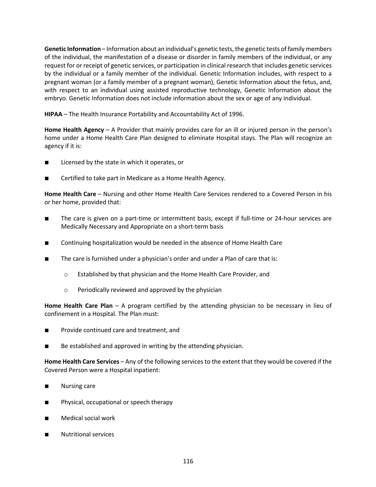**Genetic Information** – Information about an individual's genetic tests, the genetic tests of family members of the individual, the manifestation of a disease or disorder in family members of the individual, or any request for or receipt of genetic services, or participation in clinical research that includes genetic services by the individual or a family member of the individual. Genetic Information includes, with respect to a pregnant woman (or a family member of a pregnant woman), Genetic Information about the fetus, and, with respect to an individual using assisted reproductive technology, Genetic Information about the embryo. Genetic Information does not include information about the sex or age of any individual.

**HIPAA** – The Health Insurance Portability and Accountability Act of 1996.

**Home Health Agency** – A Provider that mainly provides care for an ill or injured person in the person's home under a Home Health Care Plan designed to eliminate Hospital stays. The Plan will recognize an agency if it is:

- Licensed by the state in which it operates, or
- Certified to take part in Medicare as a Home Health Agency.

**Home Health Care** – Nursing and other Home Health Care Services rendered to a Covered Person in his or her home, provided that:

- The care is given on a part-time or intermittent basis, except if full-time or 24-hour services are Medically Necessary and Appropriate on a short-term basis
- Continuing hospitalization would be needed in the absence of Home Health Care
- The care is furnished under a physician's order and under a Plan of care that is:
	- o Established by that physician and the Home Health Care Provider, and
	- o Periodically reviewed and approved by the physician

**Home Health Care Plan** – A program certified by the attending physician to be necessary in lieu of confinement in a Hospital. The Plan must:

- Provide continued care and treatment, and
- Be established and approved in writing by the attending physician.

**Home Health Care Services** – Any of the following services to the extent that they would be covered if the Covered Person were a Hospital inpatient:

- Nursing care
- Physical, occupational or speech therapy
- Medical social work
- **Nutritional services**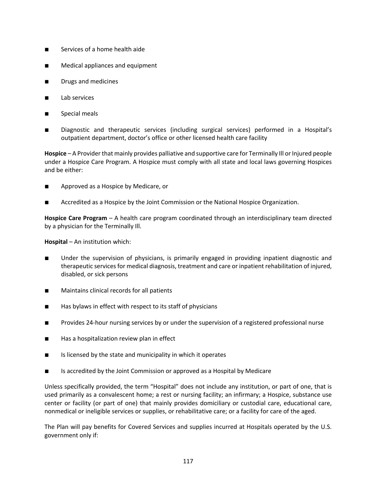- Services of a home health aide
- Medical appliances and equipment
- Drugs and medicines
- Lab services
- Special meals
- Diagnostic and therapeutic services (including surgical services) performed in a Hospital's outpatient department, doctor's office or other licensed health care facility

**Hospice** – A Provider that mainly provides palliative and supportive care for Terminally Ill or Injured people under a Hospice Care Program. A Hospice must comply with all state and local laws governing Hospices and be either:

- Approved as a Hospice by Medicare, or
- Accredited as a Hospice by the Joint Commission or the National Hospice Organization.

**Hospice Care Program** – A health care program coordinated through an interdisciplinary team directed by a physician for the Terminally Ill.

**Hospital** – An institution which:

- Under the supervision of physicians, is primarily engaged in providing inpatient diagnostic and therapeutic services for medical diagnosis, treatment and care or inpatient rehabilitation of injured, disabled, or sick persons
- Maintains clinical records for all patients
- Has bylaws in effect with respect to its staff of physicians
- Provides 24-hour nursing services by or under the supervision of a registered professional nurse
- Has a hospitalization review plan in effect
- Is licensed by the state and municipality in which it operates
- Is accredited by the Joint Commission or approved as a Hospital by Medicare

Unless specifically provided, the term "Hospital" does not include any institution, or part of one, that is used primarily as a convalescent home; a rest or nursing facility; an infirmary; a Hospice, substance use center or facility (or part of one) that mainly provides domiciliary or custodial care, educational care, nonmedical or ineligible services or supplies, or rehabilitative care; or a facility for care of the aged.

The Plan will pay benefits for Covered Services and supplies incurred at Hospitals operated by the U.S. government only if: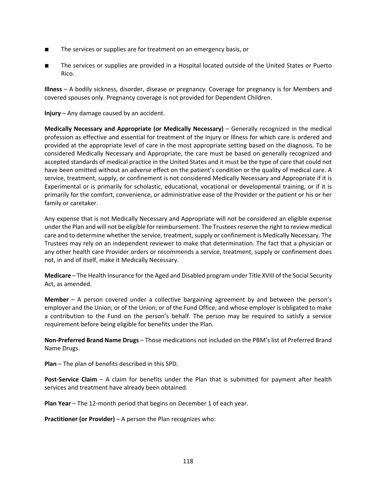- The services or supplies are for treatment on an emergency basis, or
- The services or supplies are provided in a Hospital located outside of the United States or Puerto Rico.

**Illness** – A bodily sickness, disorder, disease or pregnancy. Coverage for pregnancy is for Members and covered spouses only. Pregnancy coverage is not provided for Dependent Children.

**Injury** – Any damage caused by an accident.

**Medically Necessary and Appropriate (or Medically Necessary)** – Generally recognized in the medical profession as effective and essential for treatment of the Injury or Illness for which care is ordered and provided at the appropriate level of care in the most appropriate setting based on the diagnosis. To be considered Medically Necessary and Appropriate, the care must be based on generally recognized and accepted standards of medical practice in the United States and it must be the type of care that could not have been omitted without an adverse effect on the patient's condition or the quality of medical care. A service, treatment, supply, or confinement is not considered Medically Necessary and Appropriate if it is Experimental or is primarily for scholastic, educational, vocational or developmental training, or if it is primarily for the comfort, convenience, or administrative ease of the Provider or the patient or his or her family or caretaker.

Any expense that is not Medically Necessary and Appropriate will not be considered an eligible expense under the Plan and will not be eligible for reimbursement. The Trustees reserve the right to review medical care and to determine whether the service, treatment, supply or confinement is Medically Necessary. The Trustees may rely on an independent reviewer to make that determination. The fact that a physician or any other health care Provider orders or recommends a service, treatment, supply or confinement does not, in and of itself, make it Medically Necessary.

**Medicare** – The Health Insurance for the Aged and Disabled program under Title XVIII of the Social Security Act, as amended.

**Member** – A person covered under a collective bargaining agreement by and between the person's employer and the Union; or of the Union; or of the Fund Office; and whose employer is obligated to make a contribution to the Fund on the person's behalf. The person may be required to satisfy a service requirement before being eligible for benefits under the Plan.

**Non-Preferred Brand Name Drugs** – Those medications not included on the PBM's list of Preferred Brand Name Drugs.

**Plan** – The plan of benefits described in this SPD.

**Post-Service Claim** – A claim for benefits under the Plan that is submitted for payment after health services and treatment have already been obtained.

**Plan Year** – The 12-month period that begins on December 1 of each year.

**Practitioner (or Provider)** – A person the Plan recognizes who: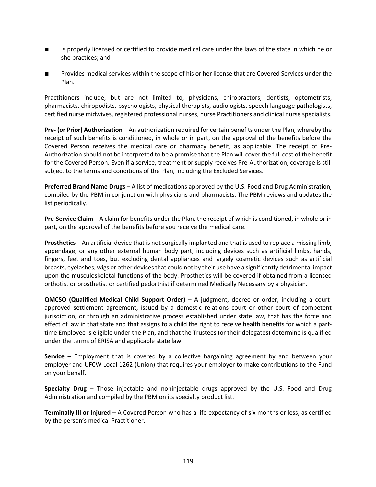- Is properly licensed or certified to provide medical care under the laws of the state in which he or she practices; and
- Provides medical services within the scope of his or her license that are Covered Services under the Plan.

Practitioners include, but are not limited to, physicians, chiropractors, dentists, optometrists, pharmacists, chiropodists, psychologists, physical therapists, audiologists, speech language pathologists, certified nurse midwives, registered professional nurses, nurse Practitioners and clinical nurse specialists.

**Pre- (or Prior) Authorization** – An authorization required for certain benefits under the Plan, whereby the receipt of such benefits is conditioned, in whole or in part, on the approval of the benefits before the Covered Person receives the medical care or pharmacy benefit, as applicable. The receipt of Pre-Authorization should not be interpreted to be a promise that the Plan will cover the full cost of the benefit for the Covered Person. Even if a service, treatment or supply receives Pre-Authorization, coverage is still subject to the terms and conditions of the Plan, including the Excluded Services.

**Preferred Brand Name Drugs** – A list of medications approved by the U.S. Food and Drug Administration, compiled by the PBM in conjunction with physicians and pharmacists. The PBM reviews and updates the list periodically.

**Pre-Service Claim** – A claim for benefits under the Plan, the receipt of which is conditioned, in whole or in part, on the approval of the benefits before you receive the medical care.

**Prosthetics** – An artificial device that is not surgically implanted and that is used to replace a missing limb, appendage, or any other external human body part, including devices such as artificial limbs, hands, fingers, feet and toes, but excluding dental appliances and largely cosmetic devices such as artificial breasts, eyelashes, wigs or other devices that could not by their use have a significantly detrimental impact upon the musculoskeletal functions of the body. Prosthetics will be covered if obtained from a licensed orthotist or prosthetist or certified pedorthist if determined Medically Necessary by a physician.

**QMCSO (Qualified Medical Child Support Order)** – A judgment, decree or order, including a courtapproved settlement agreement, issued by a domestic relations court or other court of competent jurisdiction, or through an administrative process established under state law, that has the force and effect of law in that state and that assigns to a child the right to receive health benefits for which a parttime Employee is eligible under the Plan, and that the Trustees (or their delegates) determine is qualified under the terms of ERISA and applicable state law.

**Service** – Employment that is covered by a collective bargaining agreement by and between your employer and UFCW Local 1262 (Union) that requires your employer to make contributions to the Fund on your behalf.

**Specialty Drug** – Those injectable and noninjectable drugs approved by the U.S. Food and Drug Administration and compiled by the PBM on its specialty product list.

**Terminally Ill or Injured** – A Covered Person who has a life expectancy of six months or less, as certified by the person's medical Practitioner.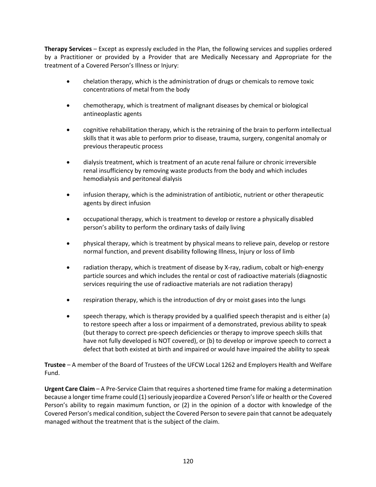**Therapy Services** – Except as expressly excluded in the Plan, the following services and supplies ordered by a Practitioner or provided by a Provider that are Medically Necessary and Appropriate for the treatment of a Covered Person's Illness or Injury:

- chelation therapy, which is the administration of drugs or chemicals to remove toxic concentrations of metal from the body
- chemotherapy, which is treatment of malignant diseases by chemical or biological antineoplastic agents
- cognitive rehabilitation therapy, which is the retraining of the brain to perform intellectual skills that it was able to perform prior to disease, trauma, surgery, congenital anomaly or previous therapeutic process
- dialysis treatment, which is treatment of an acute renal failure or chronic irreversible renal insufficiency by removing waste products from the body and which includes hemodialysis and peritoneal dialysis
- infusion therapy, which is the administration of antibiotic, nutrient or other therapeutic agents by direct infusion
- occupational therapy, which is treatment to develop or restore a physically disabled person's ability to perform the ordinary tasks of daily living
- physical therapy, which is treatment by physical means to relieve pain, develop or restore normal function, and prevent disability following Illness, Injury or loss of limb
- radiation therapy, which is treatment of disease by X-ray, radium, cobalt or high-energy particle sources and which includes the rental or cost of radioactive materials (diagnostic services requiring the use of radioactive materials are not radiation therapy)
- respiration therapy, which is the introduction of dry or moist gases into the lungs
- speech therapy, which is therapy provided by a qualified speech therapist and is either (a) to restore speech after a loss or impairment of a demonstrated, previous ability to speak (but therapy to correct pre-speech deficiencies or therapy to improve speech skills that have not fully developed is NOT covered), or (b) to develop or improve speech to correct a defect that both existed at birth and impaired or would have impaired the ability to speak

**Trustee** – A member of the Board of Trustees of the UFCW Local 1262 and Employers Health and Welfare Fund.

**Urgent Care Claim** – A Pre-Service Claim that requires a shortened time frame for making a determination because a longer time frame could (1) seriously jeopardize a Covered Person's life or health or the Covered Person's ability to regain maximum function, or (2) in the opinion of a doctor with knowledge of the Covered Person's medical condition, subject the Covered Person to severe pain that cannot be adequately managed without the treatment that is the subject of the claim.